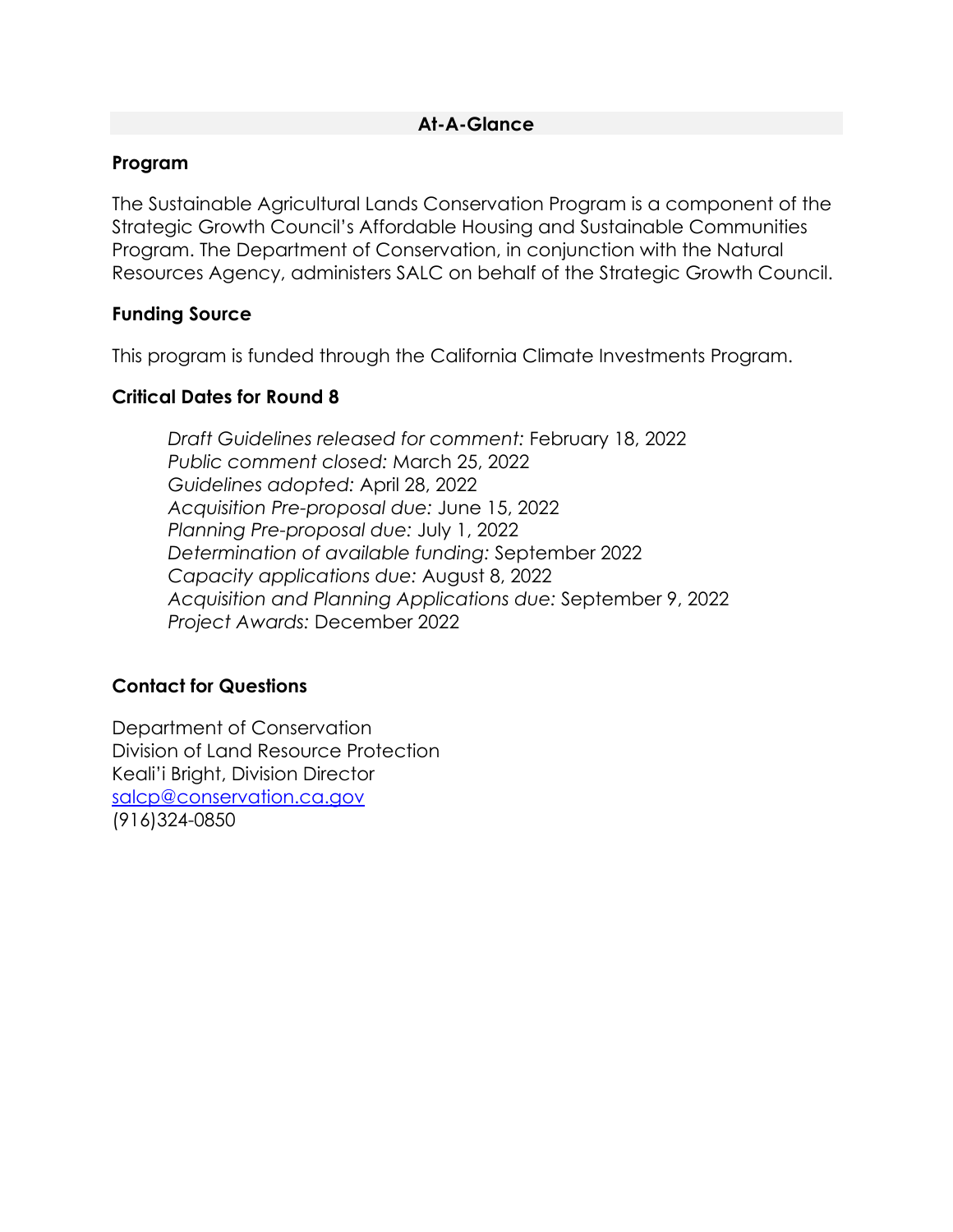#### **At-A-Glance**

#### **Program**

The Sustainable Agricultural Lands Conservation Program is a component of the Strategic Growth Council's Affordable Housing and Sustainable Communities Program. The Department of Conservation, in conjunction with the Natural Resources Agency, administers SALC on behalf of the Strategic Growth Council.

#### **Funding Source**

This program is funded through the California Climate Investments Program.

#### **Critical Dates for Round 8**

*Draft Guidelines released for comment:* February 18, 2022 *Public comment closed:* March 25, 2022 *Guidelines adopted:* April 28, 2022 *Acquisition Pre-proposal due:* June 15, 2022 *Planning Pre-proposal due:* July 1, 2022 *Determination of available funding:* September 2022 *Capacity applications due:* August 8, 2022 *Acquisition and Planning Applications due:* September 9, 2022 *Project Awards:* December 2022

#### **Contact for Questions**

Department of Conservation Division of Land Resource Protection Keali'i Bright, Division Director [salcp@conservation.ca.gov](mailto:salcp@conservation.ca.gov) (916)324-0850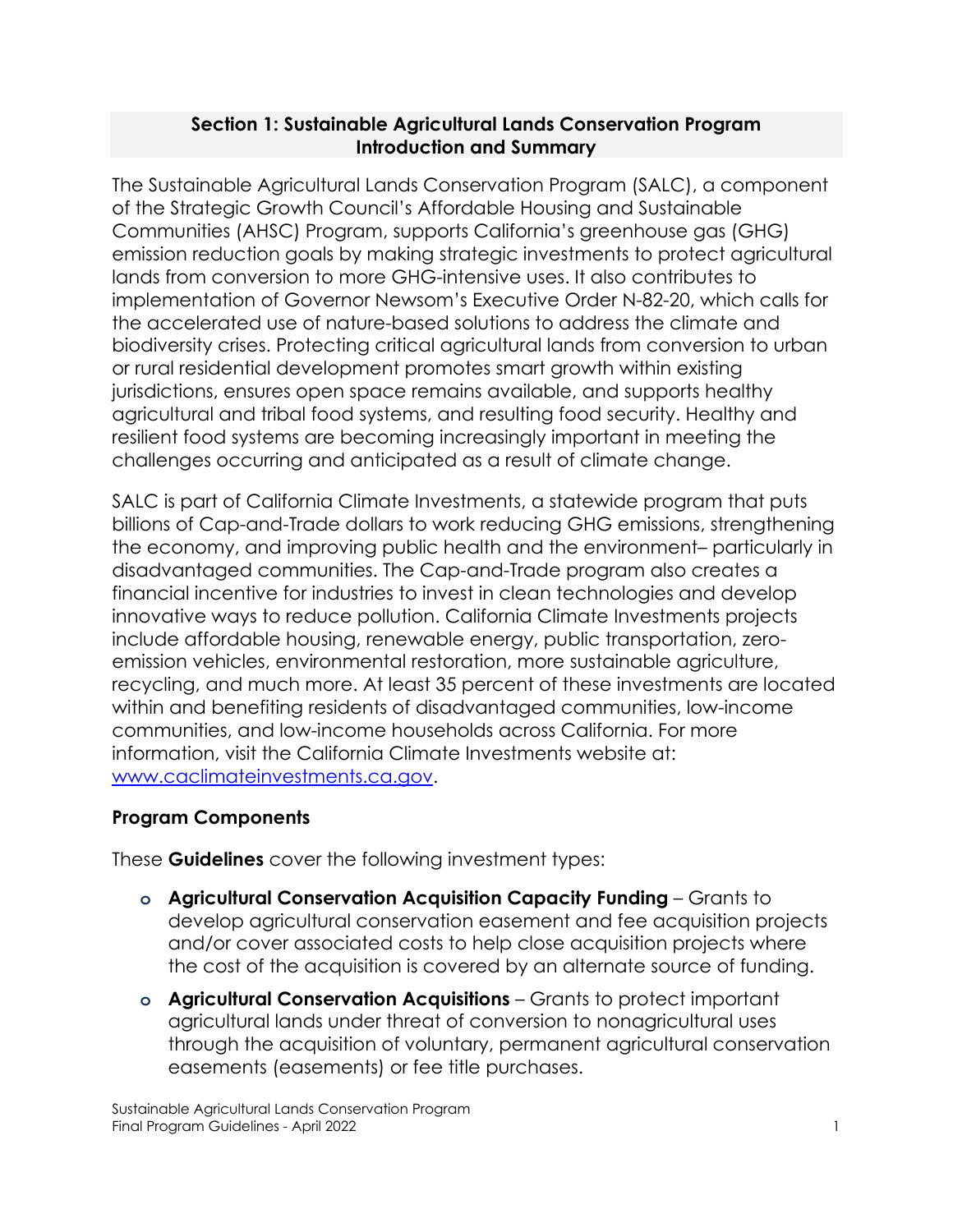#### **Section 1: Sustainable Agricultural Lands Conservation Program Introduction and Summary**

The Sustainable Agricultural Lands Conservation Program (SALC), a component of the Strategic Growth Council's Affordable Housing and Sustainable Communities (AHSC) Program, supports California's greenhouse gas (GHG) emission reduction goals by making strategic investments to protect agricultural lands from conversion to more GHG-intensive uses. It also contributes to implementation of Governor Newsom's Executive Order N-82-20, which calls for the accelerated use of nature-based solutions to address the climate and biodiversity crises. Protecting critical agricultural lands from conversion to urban or rural residential development promotes smart growth within existing jurisdictions, ensures open space remains available, and supports healthy agricultural and tribal food systems, and resulting food security. Healthy and resilient food systems are becoming increasingly important in meeting the challenges occurring and anticipated as a result of climate change.

SALC is part of California Climate Investments, a statewide program that puts billions of Cap-and-Trade dollars to work reducing GHG emissions, strengthening the economy, and improving public health and the environment– particularly in disadvantaged communities. The Cap-and-Trade program also creates a financial incentive for industries to invest in clean technologies and develop innovative ways to reduce pollution. California Climate Investments projects include affordable housing, renewable energy, public transportation, zeroemission vehicles, environmental restoration, more sustainable agriculture, recycling, and much more. At least 35 percent of these investments are located within and benefiting residents of disadvantaged communities, low-income communities, and low-income households across California. For more information, visit the California Climate Investments website at: [www.caclimateinvestments.ca.gov.](https://gcc01.safelinks.protection.outlook.com/?url=http%3A%2F%2Fwww.caclimateinvestments.ca.gov%2F&data=02%7C01%7CDavid.Dodds%40conservation.ca.gov%7C4fb7b0e857d6408a021908d7a8c9d375%7C4c5988ae5a0040e8b065a017f9c99494%7C0%7C0%7C637163457115431615&sdata=VRPccLBbwY6CQXuvdYR7a8TQfYju6V9rzcIR%2BxbyAlU%3D&reserved=0)

# **Program Components**

These **Guidelines** cover the following investment types:

- **o Agricultural Conservation Acquisition Capacity Funding** Grants to develop agricultural conservation easement and fee acquisition projects and/or cover associated costs to help close acquisition projects where the cost of the acquisition is covered by an alternate source of funding.
- **o Agricultural Conservation Acquisitions** Grants to protect important agricultural lands under threat of conversion to nonagricultural uses through the acquisition of voluntary, permanent agricultural conservation easements (easements) or fee title purchases.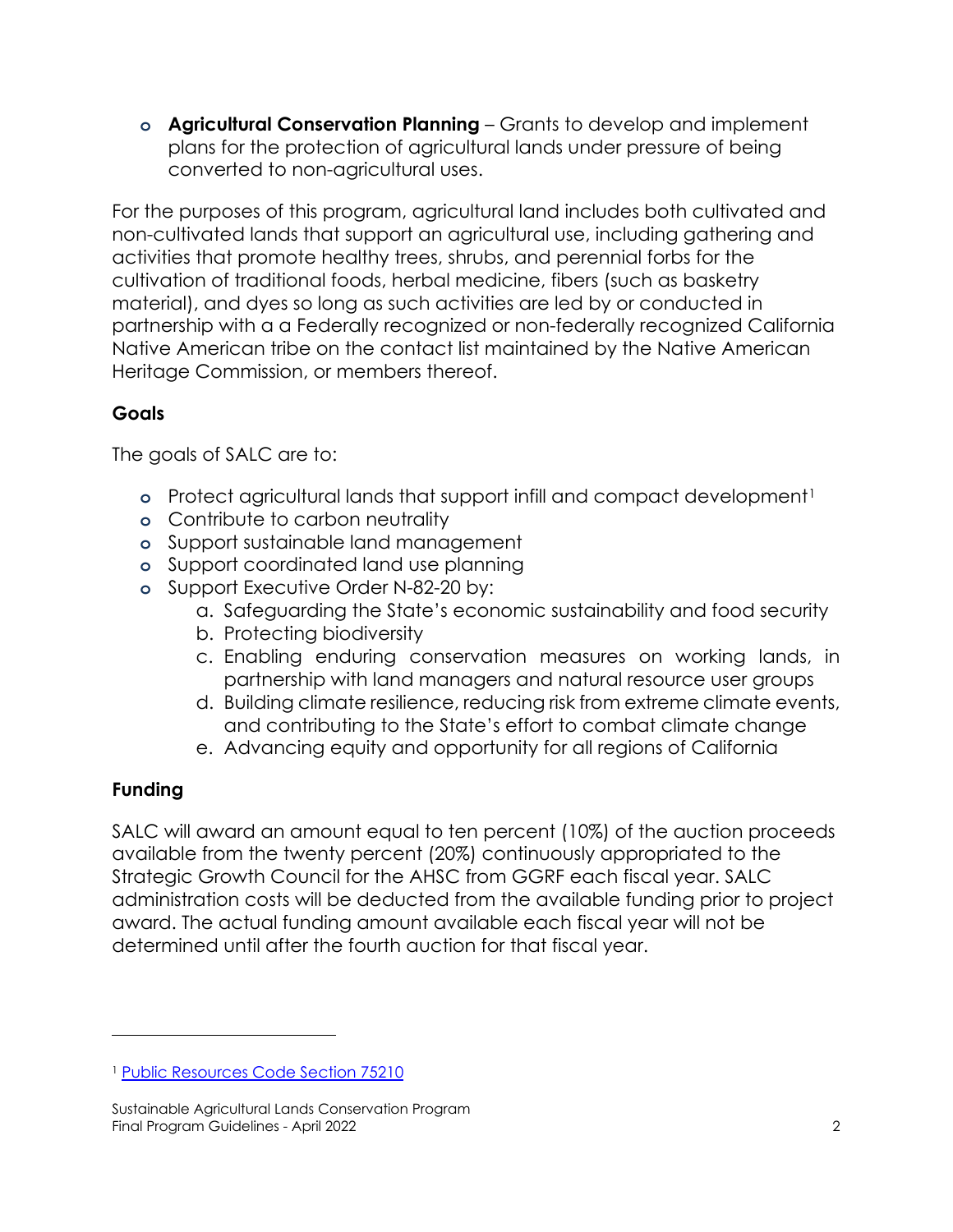**o Agricultural Conservation Planning** – Grants to develop and implement plans for the protection of agricultural lands under pressure of being converted to non-agricultural uses.

For the purposes of this program, agricultural land includes both cultivated and non-cultivated lands that support an agricultural use, including gathering and activities that promote healthy trees, shrubs, and perennial forbs for the cultivation of traditional foods, herbal medicine, fibers (such as basketry material), and dyes so long as such activities are led by or conducted in partnership with a a Federally recognized or non-federally recognized California Native American tribe on the contact list maintained by the Native American Heritage Commission, or members thereof.

# **Goals**

The goals of SALC are to:

- **o** Protect agricultural lands that support infill and compact development<sup>[1](#page-2-0)</sup>
- **o** Contribute to carbon neutrality
- **o** Support sustainable land management
- **o** Support coordinated land use planning
- **o** Support Executive Order N-82-20 by:
	- a. Safeguarding the State's economic sustainability and food security
	- b. Protecting biodiversity
	- c. Enabling enduring conservation measures on working lands, in partnership with land managers and natural resource user groups
	- d. Building climate resilience, reducing risk from extreme climate events, and contributing to the State's effort to combat climate change
	- e. Advancing equity and opportunity for all regions of California

# **Funding**

SALC will award an amount equal to ten percent (10%) of the auction proceeds available from the twenty percent (20%) continuously appropriated to the Strategic Growth Council for the AHSC from GGRF each fiscal year. SALC administration costs will be deducted from the available funding prior to project award. The actual funding amount available each fiscal year will not be determined until after the fourth auction for that fiscal year.

<span id="page-2-0"></span><sup>1</sup> [Public Resources Code Section 75210](https://leginfo.legislature.ca.gov/faces/codes_displaySection.xhtml?lawCode=PRC§ionNum=75210.)

Sustainable Agricultural Lands Conservation Program Final Program Guidelines - April 2022 2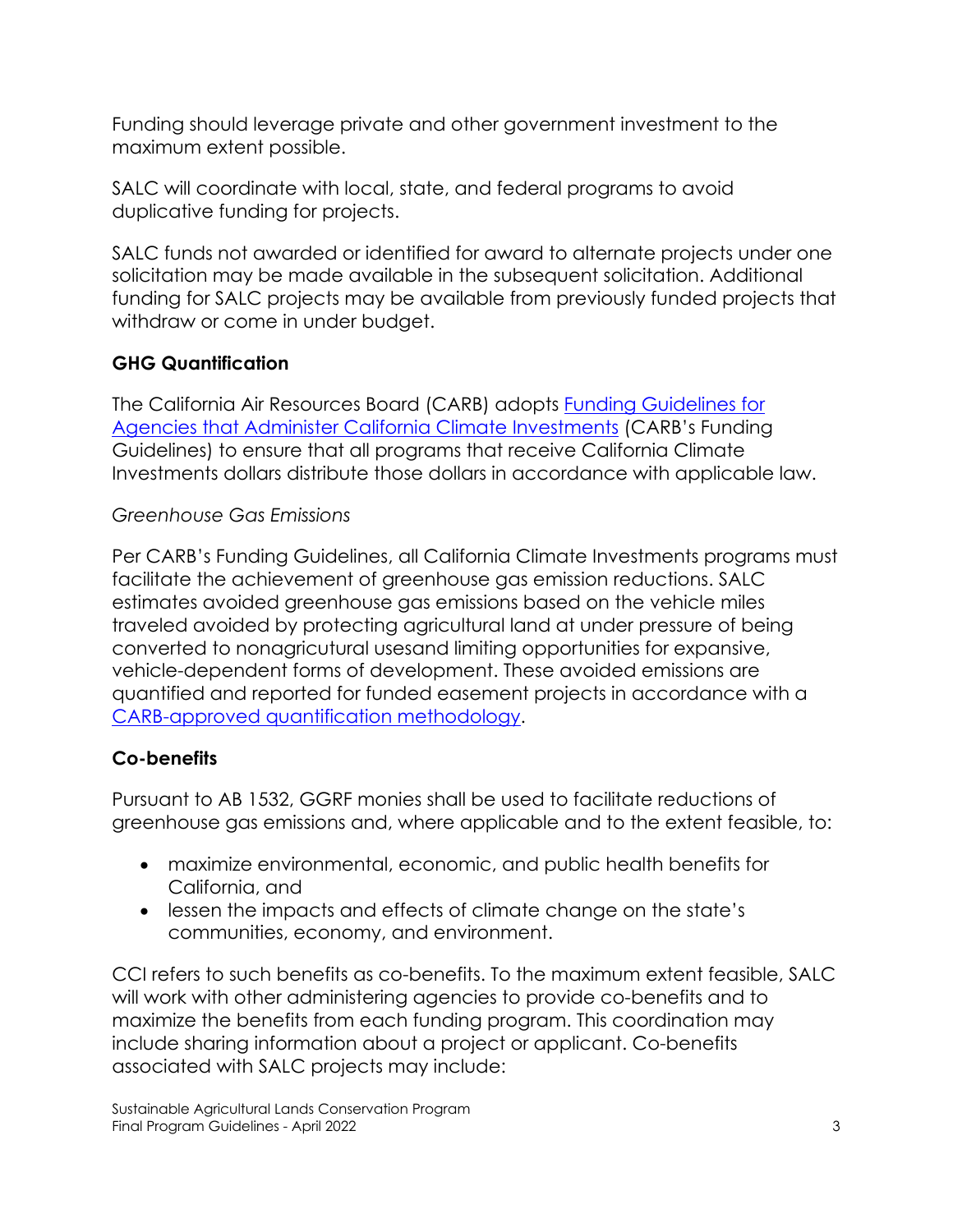Funding should leverage private and other government investment to the maximum extent possible.

SALC will coordinate with local, state, and federal programs to avoid duplicative funding for projects.

SALC funds not awarded or identified for award to alternate projects under one solicitation may be made available in the subsequent solicitation. Additional funding for SALC projects may be available from previously funded projects that withdraw or come in under budget.

# **GHG Quantification**

The California Air Resources Board (CARB) adopts [Funding Guidelines for](http://www.arb.ca.gov/cci-fundingguidelines)  [Agencies that Administer California Climate Investments](http://www.arb.ca.gov/cci-fundingguidelines) (CARB's Funding Guidelines) to ensure that all programs that receive California Climate Investments dollars distribute those dollars in accordance with applicable law.

## *Greenhouse Gas Emissions*

Per CARB's Funding Guidelines, all California Climate Investments programs must facilitate the achievement of greenhouse gas emission reductions. SALC estimates avoided greenhouse gas emissions based on the vehicle miles traveled avoided by protecting agricultural land at under pressure of being converted to nonagricutural usesand limiting opportunities for expansive, vehicle-dependent forms of development. These avoided emissions are quantified and reported for funded easement projects in accordance with a [CARB-approved quantification methodology.](http://www.arb.ca.gov/cci-quantification)

# **Co-benefits**

Pursuant to AB 1532, GGRF monies shall be used to facilitate reductions of greenhouse gas emissions and, where applicable and to the extent feasible, to:

- maximize environmental, economic, and public health benefits for California, and
- lessen the impacts and effects of climate change on the state's communities, economy, and environment.

CCI refers to such benefits as co-benefits. To the maximum extent feasible, SALC will work with other administering agencies to provide co-benefits and to maximize the benefits from each funding program. This coordination may include sharing information about a project or applicant. Co-benefits associated with SALC projects may include: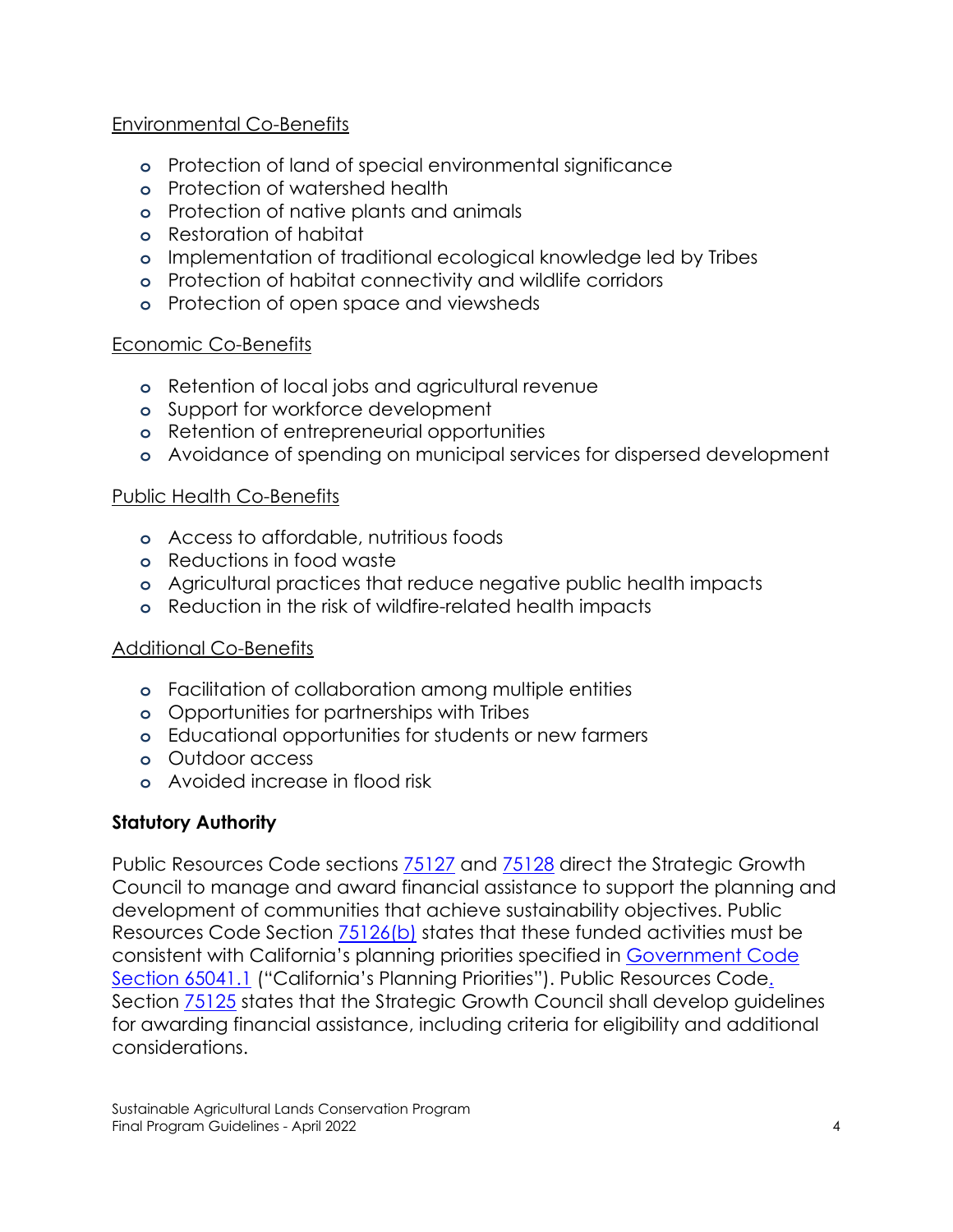## Environmental Co-Benefits

- **o** Protection of land of special environmental significance
- **o** Protection of watershed health
- **o** Protection of native plants and animals
- **o** Restoration of habitat
- **o** Implementation of traditional ecological knowledge led by Tribes
- **o** Protection of habitat connectivity and wildlife corridors
- **o** Protection of open space and viewsheds

#### Economic Co-Benefits

- **o** Retention of local jobs and agricultural revenue
- **o** Support for workforce development
- **o** Retention of entrepreneurial opportunities
- **o** Avoidance of spending on municipal services for dispersed development

## Public Health Co-Benefits

- **o** Access to affordable, nutritious foods
- **o** Reductions in food waste
- **o** Agricultural practices that reduce negative public health impacts
- **o** Reduction in the risk of wildfire-related health impacts

#### Additional Co-Benefits

- **o** Facilitation of collaboration among multiple entities
- **o** Opportunities for partnerships with Tribes
- **o** Educational opportunities for students or new farmers
- **o** Outdoor access
- **o** Avoided increase in flood risk

#### **Statutory Authority**

Public Resources Code sections [75127](https://leginfo.legislature.ca.gov/faces/codes_displaySection.xhtml?lawCode=PRC§ionNum=75127.) and [75128](https://leginfo.legislature.ca.gov/faces/codes_displaySection.xhtml?lawCode=PRC§ionNum=75128.) direct the Strategic Growth Council to manage and award financial assistance to support the planning and development of communities that achieve sustainability objectives. Public Resources Code Section [75126\(b\)](https://leginfo.legislature.ca.gov/faces/codes_displaySection.xhtml?lawCode=PRC§ionNum=75126.) states that these funded activities must be consistent with California's planning priorities specified in [Government Code](https://leginfo.legislature.ca.gov/faces/codes_displaySection.xhtml?lawCode=GOV§ionNum=65041.1)  [Section 65041.1](https://leginfo.legislature.ca.gov/faces/codes_displaySection.xhtml?lawCode=GOV§ionNum=65041.1) ("California's Planning Priorities"). Public Resources Code. Section [75125](https://leginfo.legislature.ca.gov/faces/codes_displaySection.xhtml?lawCode=PRC§ionNum=75125.) states that the Strategic Growth Council shall develop guidelines for awarding financial assistance, including criteria for eligibility and additional considerations.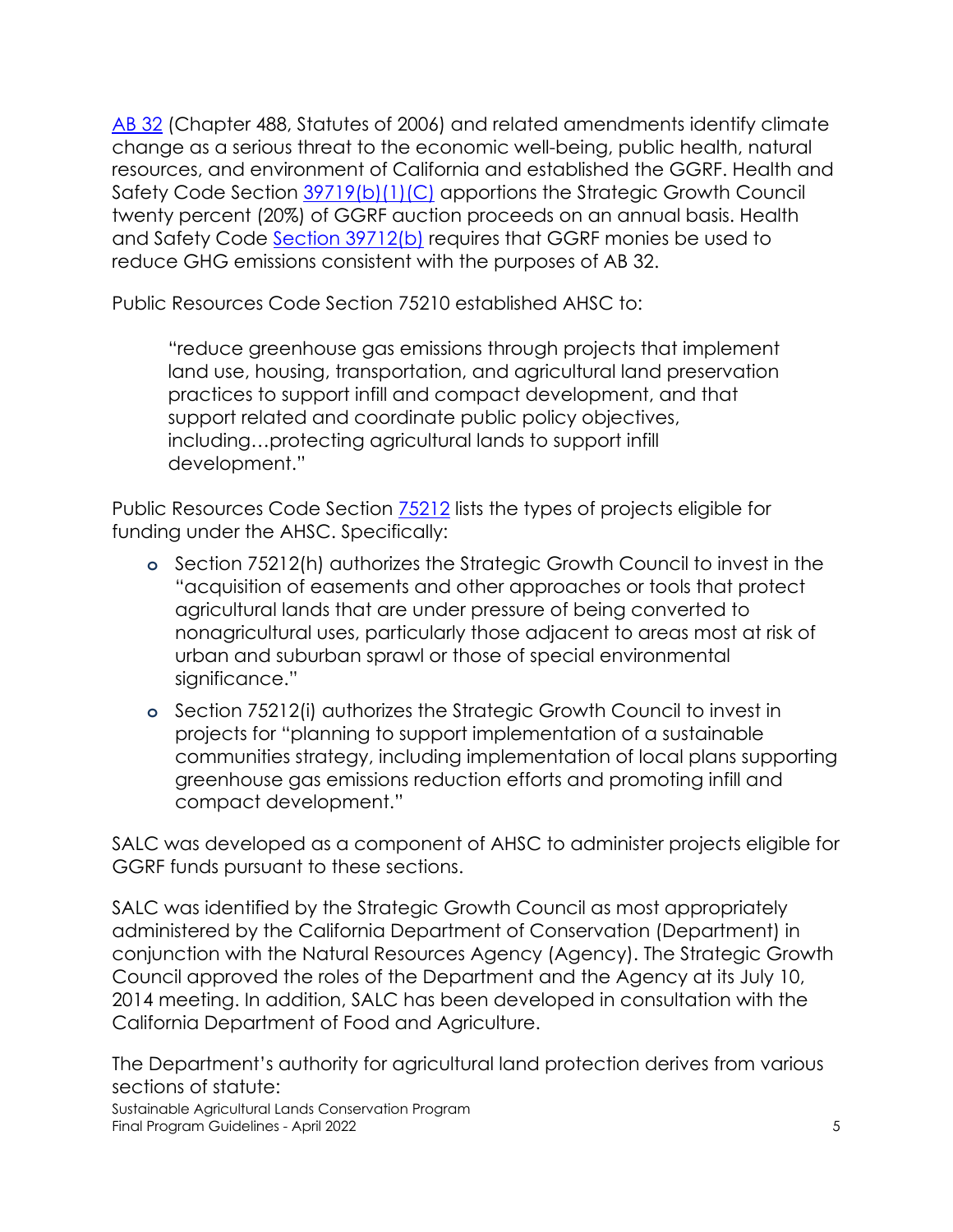[AB 32](https://ww3.arb.ca.gov/cc/ab32/ab32.htm) (Chapter 488, Statutes of 2006) and related amendments identify climate change as a serious threat to the economic well-being, public health, natural resources, and environment of California and established the GGRF. Health and Safety Code Section [39719\(b\)\(1\)\(C\)](https://leginfo.legislature.ca.gov/faces/billTextClient.xhtml?bill_id=201520160AB2094) apportions the Strategic Growth Council twenty percent (20%) of GGRF auction proceeds on an annual basis. Health and Safety Code [Section 39712\(b\)](https://leginfo.legislature.ca.gov/faces/codes_displaySection.xhtml?lawCode=HSC§ionNum=39712.) requires that GGRF monies be used to reduce GHG emissions consistent with the purposes of AB 32.

Public Resources Code Section 75210 established AHSC to:

"reduce greenhouse gas emissions through projects that implement land use, housing, transportation, and agricultural land preservation practices to support infill and compact development, and that support related and coordinate public policy objectives, including…protecting agricultural lands to support infill development."

Public Resources Code Section [75212](https://leginfo.legislature.ca.gov/faces/codes_displaySection.xhtml?lawCode=PRC§ionNum=75212.) lists the types of projects eligible for funding under the AHSC. Specifically:

- **o** Section 75212(h) authorizes the Strategic Growth Council to invest in the "acquisition of easements and other approaches or tools that protect agricultural lands that are under pressure of being converted to nonagricultural uses, particularly those adjacent to areas most at risk of urban and suburban sprawl or those of special environmental significance."
- **o** Section 75212(i) authorizes the Strategic Growth Council to invest in projects for "planning to support implementation of a sustainable communities strategy, including implementation of local plans supporting greenhouse gas emissions reduction efforts and promoting infill and compact development."

SALC was developed as a component of AHSC to administer projects eligible for GGRF funds pursuant to these sections.

SALC was identified by the Strategic Growth Council as most appropriately administered by the California Department of Conservation (Department) in conjunction with the Natural Resources Agency (Agency). The Strategic Growth Council approved the roles of the Department and the Agency at its July 10, 2014 meeting. In addition, SALC has been developed in consultation with the California Department of Food and Agriculture.

The Department's authority for agricultural land protection derives from various sections of statute:

Sustainable Agricultural Lands Conservation Program Final Program Guidelines - April 2022 5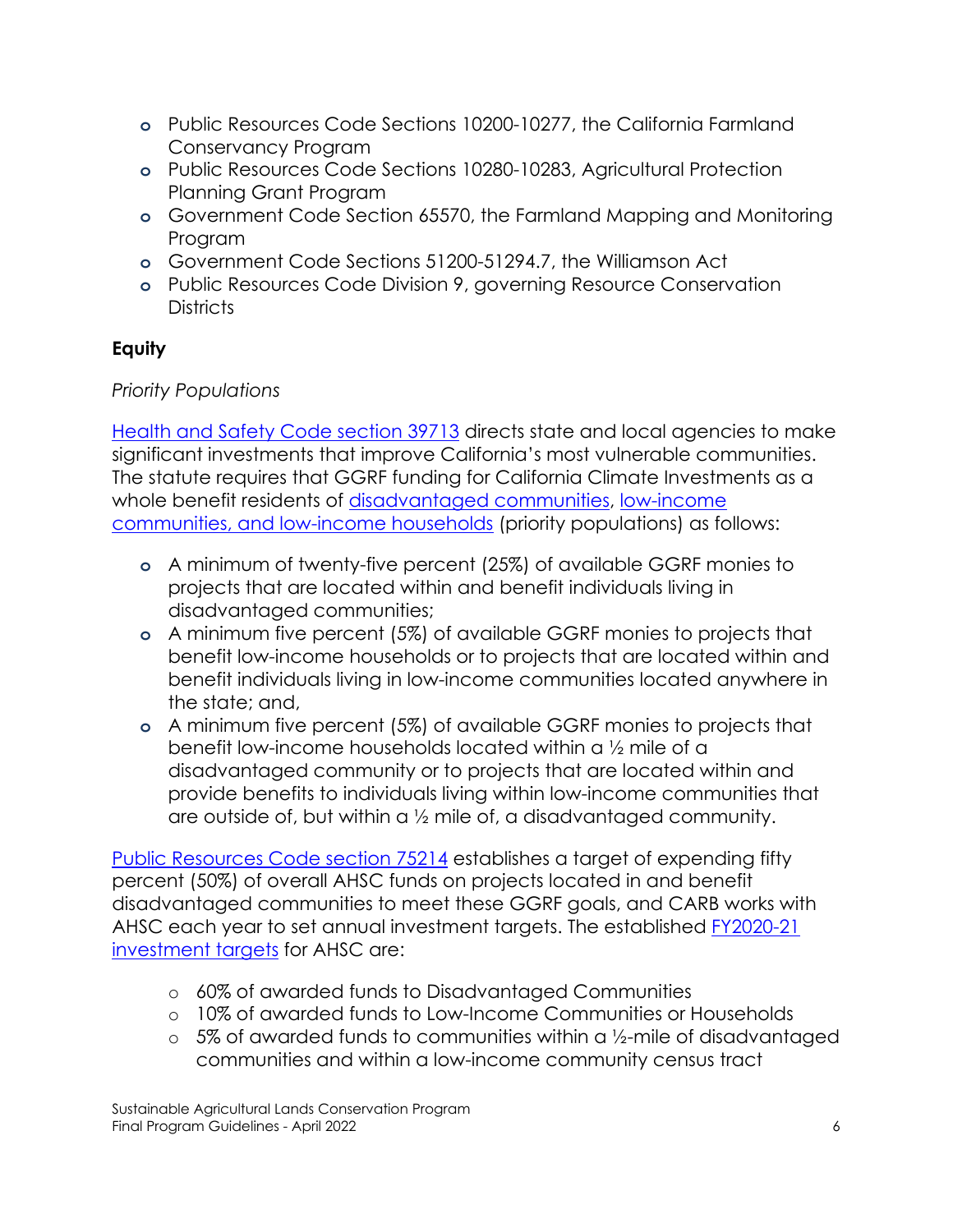- **o** Public Resources Code Sections 10200-10277, the California Farmland Conservancy Program
- **o** Public Resources Code Sections 10280-10283, Agricultural Protection Planning Grant Program
- **o** Government Code Section 65570, the Farmland Mapping and Monitoring Program
- **o** Government Code Sections 51200-51294.7, the Williamson Act
- **o** Public Resources Code Division 9, governing Resource Conservation **Districts**

# **Equity**

# *Priority Populations*

[Health and Safety Code section 39713](https://codes.findlaw.com/ca/health-and-safety-code/hsc-sect-39713.html) directs state and local agencies to make significant investments that improve California's most vulnerable communities. The statute requires that GGRF funding for California Climate Investments as a whole benefit residents of [disadvantaged communities,](https://codes.findlaw.com/ca/health-and-safety-code/hsc-sect-39711.html) low-income [communities, and low-income households](https://codes.findlaw.com/ca/health-and-safety-code/hsc-sect-39713.html) (priority populations) as follows:

- **o** A minimum of twenty-five percent (25%) of available GGRF monies to projects that are located within and benefit individuals living in disadvantaged communities;
- **o** A minimum five percent (5%) of available GGRF monies to projects that benefit low-income households or to projects that are located within and benefit individuals living in low-income communities located anywhere in the state; and,
- **o** A minimum five percent (5%) of available GGRF monies to projects that benefit low-income households located within a ½ mile of a disadvantaged community or to projects that are located within and provide benefits to individuals living within low-income communities that are outside of, but within a  $\frac{1}{2}$  mile of, a disadvantaged community.

[Public Resources Code section 75214](https://codes.findlaw.com/ca/public-resources-code/prc-sect-75214.html) establishes a target of expending fifty percent (50%) of overall AHSC funds on projects located in and benefit disadvantaged communities to meet these GGRF goals, and CARB works with AHSC each year to set annual investment targets. The established [FY2020-21](https://ww2.arb.ca.gov/resources/documents/cci-funding-guidelines-administering-agencies)  [investment targets](https://ww2.arb.ca.gov/resources/documents/cci-funding-guidelines-administering-agencies) for AHSC are:

- o 60% of awarded funds to Disadvantaged Communities
- o 10% of awarded funds to Low-Income Communities or Households
- $\circ$  5% of awarded funds to communities within a 1/2-mile of disadvantaged communities and within a low-income community census tract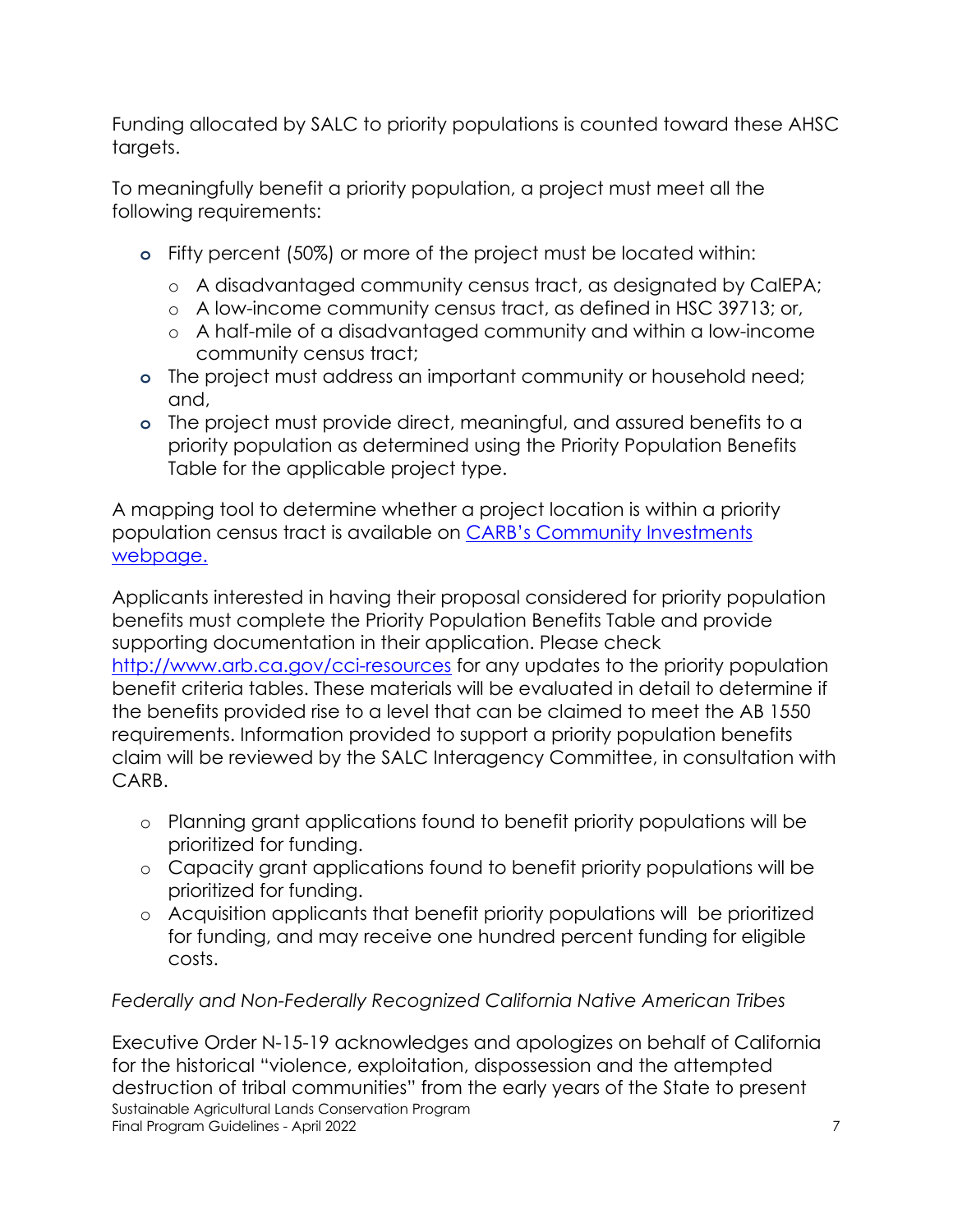Funding allocated by SALC to priority populations is counted toward these AHSC targets.

To meaningfully benefit a priority population, a project must meet all the following requirements:

- **o** Fifty percent (50%) or more of the project must be located within:
	- o A disadvantaged community census tract, as designated by CalEPA;
	- o A low-income community census tract, as defined in HSC 39713; or,
	- o A half-mile of a disadvantaged community and within a low-income community census tract;
- **o** The project must address an important community or household need; and,
- **o** The project must provide direct, meaningful, and assured benefits to a priority population as determined using the Priority Population Benefits Table for the applicable project type.

A mapping tool to determine whether a project location is within a priority population census tract is available on [CARB's Community Investments](https://ww3.arb.ca.gov/cc/capandtrade/auctionproceeds/lowincomemapfull.htm)  [webpage.](https://ww3.arb.ca.gov/cc/capandtrade/auctionproceeds/lowincomemapfull.htm)

Applicants interested in having their proposal considered for priority population benefits must complete the Priority Population Benefits Table and provide supporting documentation in their application. Please check <http://www.arb.ca.gov/cci-resources> for any updates to the priority population benefit criteria tables. These materials will be evaluated in detail to determine if the benefits provided rise to a level that can be claimed to meet the AB 1550 requirements. Information provided to support a priority population benefits claim will be reviewed by the SALC Interagency Committee, in consultation with CARB.

- o Planning grant applications found to benefit priority populations will be prioritized for funding.
- o Capacity grant applications found to benefit priority populations will be prioritized for funding.
- o Acquisition applicants that benefit priority populations will be prioritized for funding, and may receive one hundred percent funding for eligible costs.

# *Federally and Non-Federally Recognized California Native American Tribes*

Sustainable Agricultural Lands Conservation Program Final Program Guidelines - April 2022 7 Executive Order N-15-19 acknowledges and apologizes on behalf of California for the historical "violence, exploitation, dispossession and the attempted destruction of tribal communities" from the early years of the State to present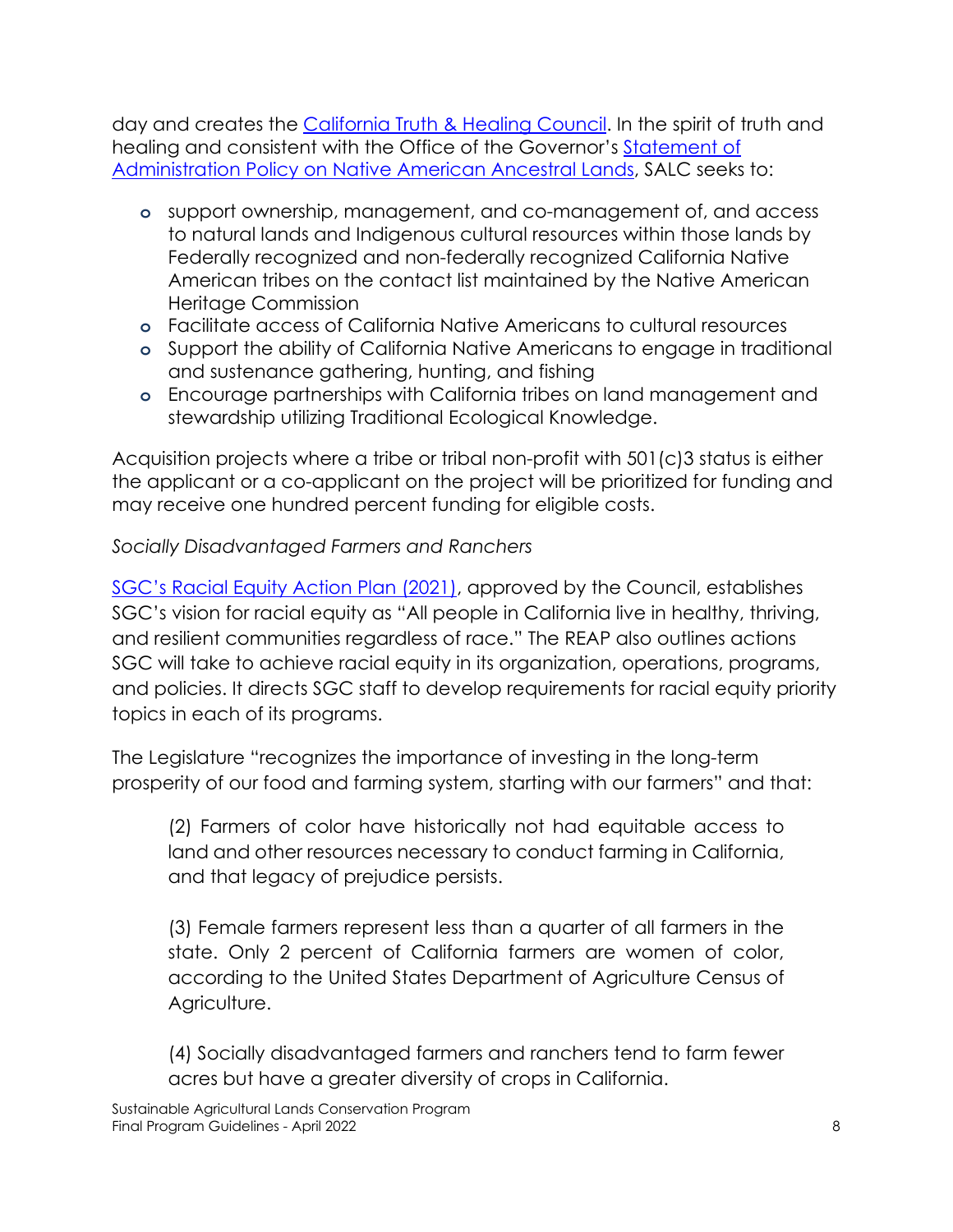day and creates the [California Truth & Healing Council. I](https://tribalaffairs.ca.gov/cthc/)n the spirit of truth and healing and consistent with the Office of the Governor's Statement of [Administration Policy on Native American Ancestral Lands,](https://www.gov.ca.gov/wp-content/uploads/2020/09/9.25.20-Native-Ancestral-Lands-Policy.pdf) SALC seeks to:

- **o** support ownership, management, and co-management of, and access to natural lands and Indigenous cultural resources within those lands by Federally recognized and non-federally recognized California Native American tribes on the contact list maintained by the Native American Heritage Commission
- **o** Facilitate access of California Native Americans to cultural resources
- **o** Support the ability of California Native Americans to engage in traditional and sustenance gathering, hunting, and fishing
- **o** Encourage partnerships with California tribes on land management and stewardship utilizing Traditional Ecological Knowledge.

Acquisition projects where a tribe or tribal non-profit with 501(c)3 status is either the applicant or a co-applicant on the project will be prioritized for funding and may receive one hundred percent funding for eligible costs.

## *Socially Disadvantaged Farmers and Ranchers*

[SGC's Racial Equity Action Plan \(2021\),](https://sgc.ca.gov/programs/healthandequity/docs/20211110-REAP.pdf) approved by the Council, establishes SGC's vision for racial equity as "All people in California live in healthy, thriving, and resilient communities regardless of race." The REAP also outlines actions SGC will take to achieve racial equity in its organization, operations, programs, and policies. It directs SGC staff to develop requirements for racial equity priority topics in each of its programs.

The Legislature "recognizes the importance of investing in the long-term prosperity of our food and farming system, starting with our farmers" and that:

(2) Farmers of color have historically not had equitable access to land and other resources necessary to conduct farming in California, and that legacy of prejudice persists.

(3) Female farmers represent less than a quarter of all farmers in the state. Only 2 percent of California farmers are women of color, according to the United States Department of Agriculture Census of Agriculture.

(4) Socially disadvantaged farmers and ranchers tend to farm fewer acres but have a greater diversity of crops in California.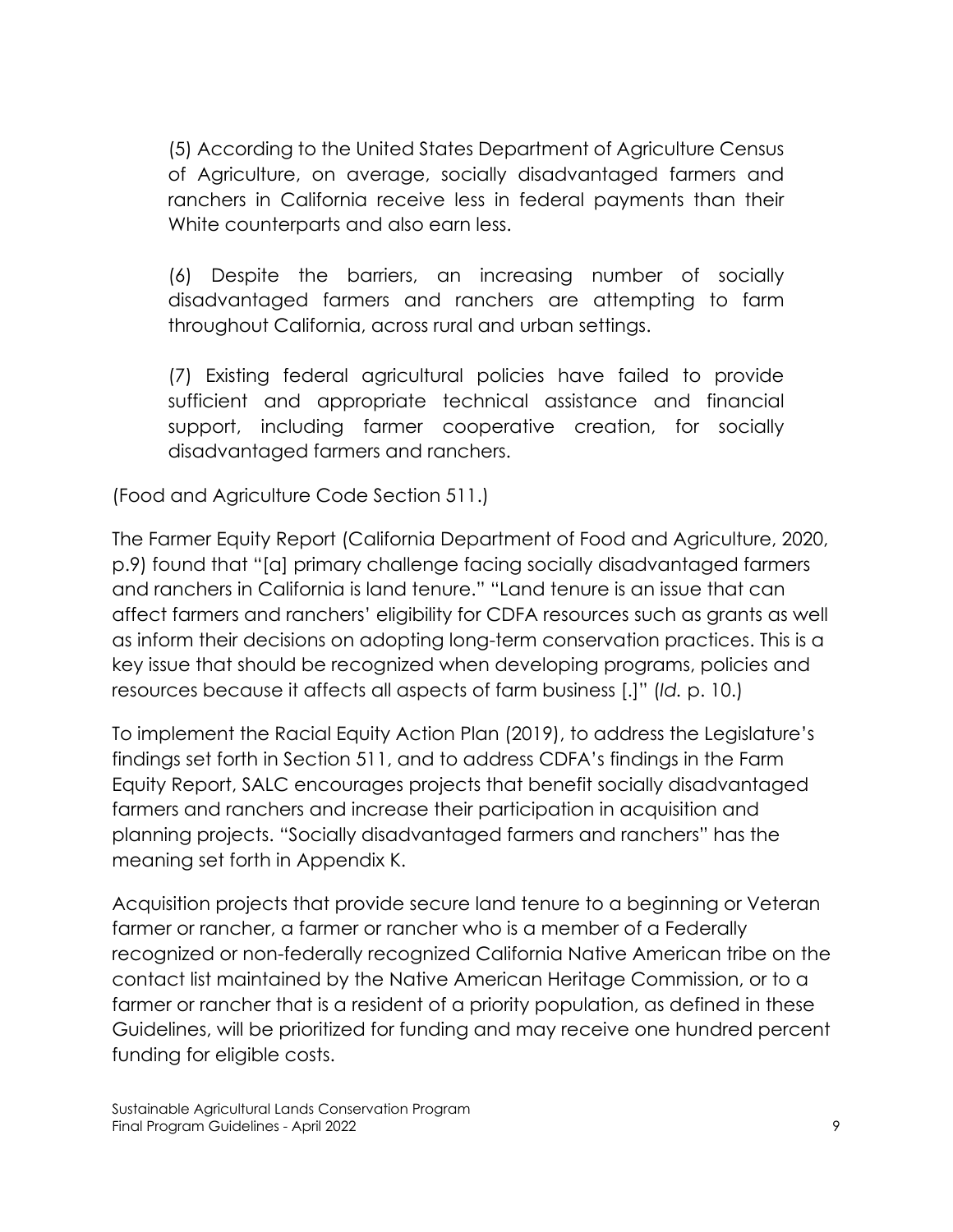(5) According to the United States Department of Agriculture Census of Agriculture, on average, socially disadvantaged farmers and ranchers in California receive less in federal payments than their White counterparts and also earn less.

(6) Despite the barriers, an increasing number of socially disadvantaged farmers and ranchers are attempting to farm throughout California, across rural and urban settings.

(7) Existing federal agricultural policies have failed to provide sufficient and appropriate technical assistance and financial support, including farmer cooperative creation, for socially disadvantaged farmers and ranchers.

(Food and Agriculture Code Section 511.)

The Farmer Equity Report (California Department of Food and Agriculture, 2020, p.9) found that "[a] primary challenge facing socially disadvantaged farmers and ranchers in California is land tenure." "Land tenure is an issue that can affect farmers and ranchers' eligibility for CDFA resources such as grants as well as inform their decisions on adopting long-term conservation practices. This is a key issue that should be recognized when developing programs, policies and resources because it affects all aspects of farm business [.]" (*Id.* p. 10.)

To implement the Racial Equity Action Plan (2019), to address the Legislature's findings set forth in Section 511, and to address CDFA's findings in the Farm Equity Report, SALC encourages projects that benefit socially disadvantaged farmers and ranchers and increase their participation in acquisition and planning projects. "Socially disadvantaged farmers and ranchers" has the meaning set forth in Appendix K.

Acquisition projects that provide secure land tenure to a beginning or Veteran farmer or rancher, a farmer or rancher who is a member of a Federally recognized or non-federally recognized California Native American tribe on the contact list maintained by the Native American Heritage Commission, or to a farmer or rancher that is a resident of a priority population, as defined in these Guidelines, will be prioritized for funding and may receive one hundred percent funding for eligible costs.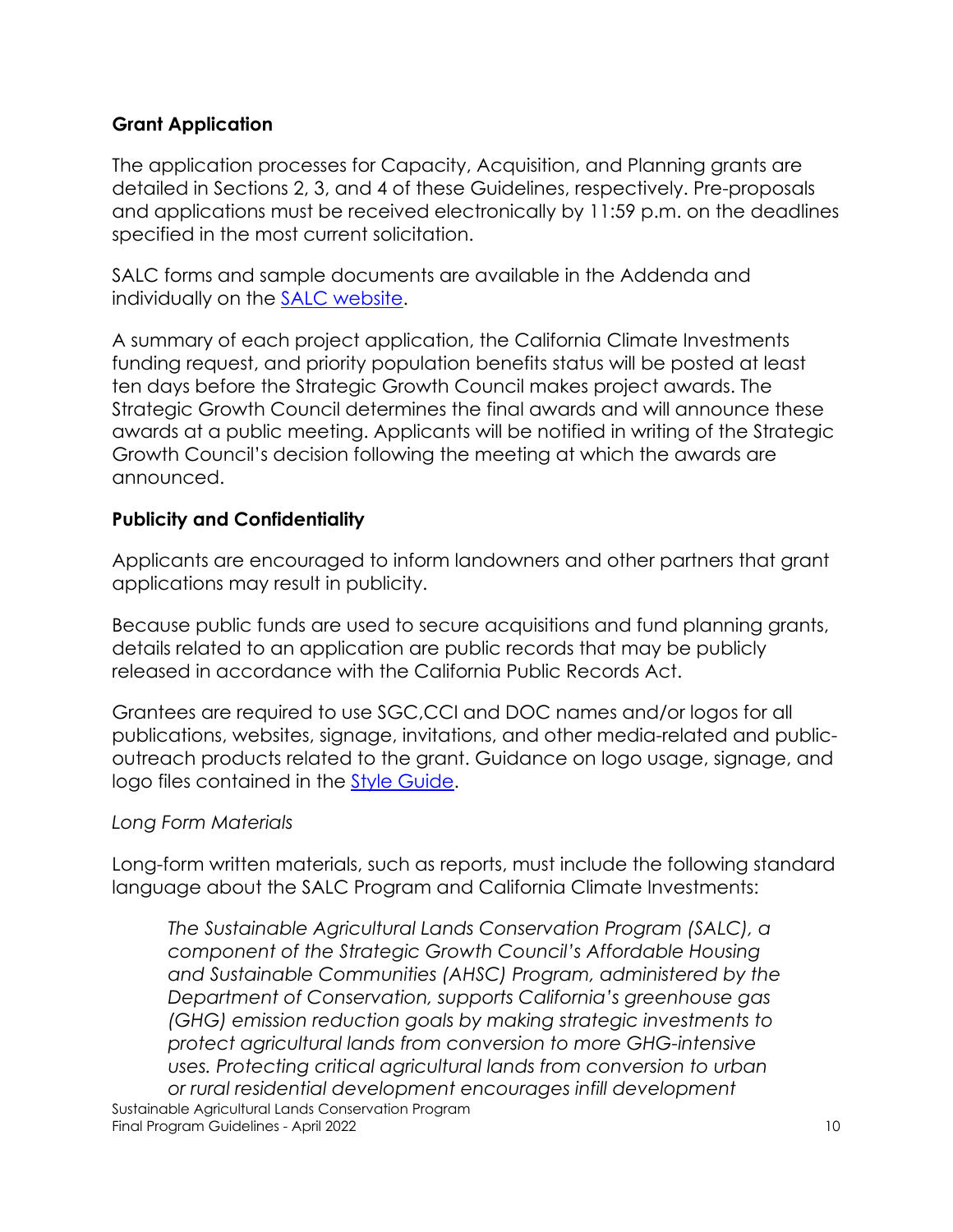#### **Grant Application**

The application processes for Capacity, Acquisition, and Planning grants are detailed in Sections 2, 3, and 4 of these Guidelines, respectively. Pre-proposals and applications must be received electronically by 11:59 p.m. on the deadlines specified in the most current solicitation.

SALC forms and sample documents are available in the Addenda and individually on the [SALC website.](https://www.conservation.ca.ov/dlrp/grant-programs/SALCP)

A summary of each project application, the California Climate Investments funding request, and priority population benefits status will be posted at least ten days before the Strategic Growth Council makes project awards. The Strategic Growth Council determines the final awards and will announce these awards at a public meeting. Applicants will be notified in writing of the Strategic Growth Council's decision following the meeting at which the awards are announced.

## **Publicity and Confidentiality**

Applicants are encouraged to inform landowners and other partners that grant applications may result in publicity.

Because public funds are used to secure acquisitions and fund planning grants, details related to an application are public records that may be publicly released in accordance with the California Public Records Act.

Grantees are required to use SGC,CCI and DOC names and/or logos for all publications, websites, signage, invitations, and other media-related and publicoutreach products related to the grant. Guidance on logo usage, signage, and logo files contained in the [Style Guide.](http://www.caclimateinvestments.ca.gov/logo-graphics-request)

#### *Long Form Materials*

Long-form written materials, such as reports, must include the following standard language about the SALC Program and California Climate Investments:

Sustainable Agricultural Lands Conservation Program Final Program Guidelines - April 2022 10 *The Sustainable Agricultural Lands Conservation Program (SALC), a component of the Strategic Growth Council's Affordable Housing and Sustainable Communities (AHSC) Program, administered by the Department of Conservation, supports California's greenhouse gas (GHG) emission reduction goals by making strategic investments to protect agricultural lands from conversion to more GHG-intensive uses. Protecting critical agricultural lands from conversion to urban or rural residential development encourages infill development*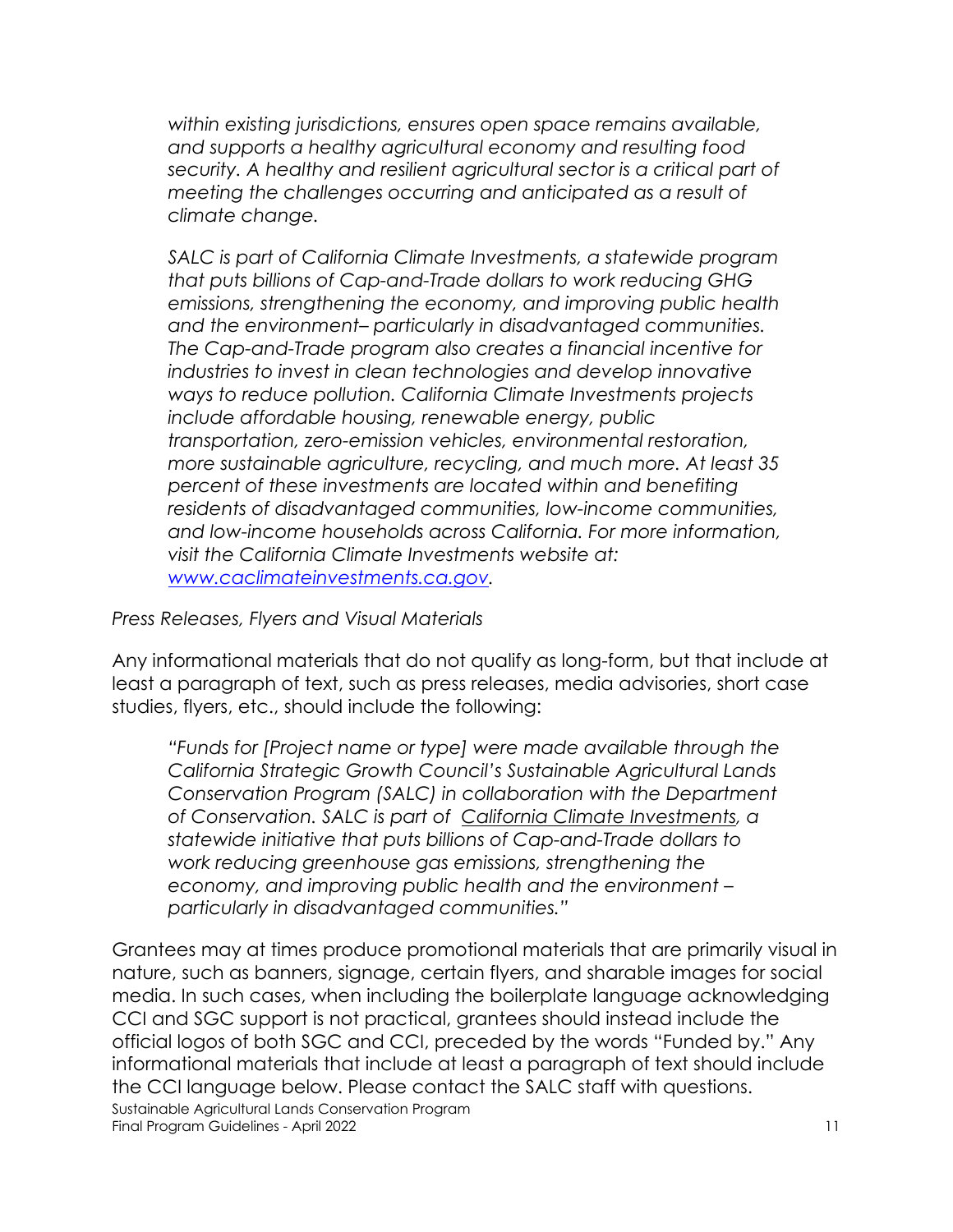*within existing jurisdictions, ensures open space remains available, and supports a healthy agricultural economy and resulting food security. A healthy and resilient agricultural sector is a critical part of meeting the challenges occurring and anticipated as a result of climate change.*

*SALC is part of California Climate Investments, a statewide program that puts billions of Cap-and-Trade dollars to work reducing GHG emissions, strengthening the economy, and improving public health and the environment– particularly in disadvantaged communities. The Cap-and-Trade program also creates a financial incentive for industries to invest in clean technologies and develop innovative ways to reduce pollution. California Climate Investments projects include affordable housing, renewable energy, public transportation, zero-emission vehicles, environmental restoration, more sustainable agriculture, recycling, and much more. At least 35 percent of these investments are located within and benefiting residents of disadvantaged communities, low-income communities, and low-income households across California. For more information, visit the California Climate Investments website at: [www.caclimateinvestments.ca.gov.](https://gcc01.safelinks.protection.outlook.com/?url=http%3A%2F%2Fwww.caclimateinvestments.ca.gov%2F&data=02%7C01%7CDavid.Dodds%40conservation.ca.gov%7C4fb7b0e857d6408a021908d7a8c9d375%7C4c5988ae5a0040e8b065a017f9c99494%7C0%7C0%7C637163457115431615&sdata=VRPccLBbwY6CQXuvdYR7a8TQfYju6V9rzcIR%2BxbyAlU%3D&reserved=0)*

*Press Releases, Flyers and Visual Materials* 

Any informational materials that do not qualify as long-form, but that include at least a paragraph of text, such as press releases, media advisories, short case studies, flyers, etc., should include the following:

*"Funds for [Project name or type] were made available through the California Strategic Growth Council's Sustainable Agricultural Lands Conservation Program (SALC) in collaboration with the Department of Conservation. SALC is part of [California Climate Investments,](https://gcc01.safelinks.protection.outlook.com/?url=http%3A%2F%2Fwww.caclimateinvestments.ca.gov%2F&data=02%7C01%7CElena.Davert%40conservation.ca.gov%7Ca56c3afe557a46b8bc3608d738819641%7C4c5988ae5a0040e8b065a017f9c99494%7C0%7C0%7C637040001558713546&sdata=TtcmMtO3Yi8r3tmneHEyKwjDb9nfEzDh0CdtWbOe5mE%3D&reserved=0) a statewide initiative that puts billions of Cap-and-Trade dollars to work reducing greenhouse gas emissions, strengthening the economy, and improving public health and the environment – particularly in disadvantaged communities."*

Sustainable Agricultural Lands Conservation Program Final Program Guidelines - April 2022 11 and 2022 11 and 2012 11 and 2012 11 and 2012 11 and 2012 11 and 2012 11 and 2012 11 and 2012 11 and 2012 11 and 2012 11 and 2012 11 and 2012 11 and 2012 11 and 2012 11 and 2012 11 a Grantees may at times produce promotional materials that are primarily visual in nature, such as banners, signage, certain flyers, and sharable images for social media. In such cases, when including the boilerplate language acknowledging CCI and SGC support is not practical, grantees should instead include the official logos of both SGC and CCI, preceded by the words "Funded by." Any informational materials that include at least a paragraph of text should include the CCI language below. Please contact the SALC staff with questions.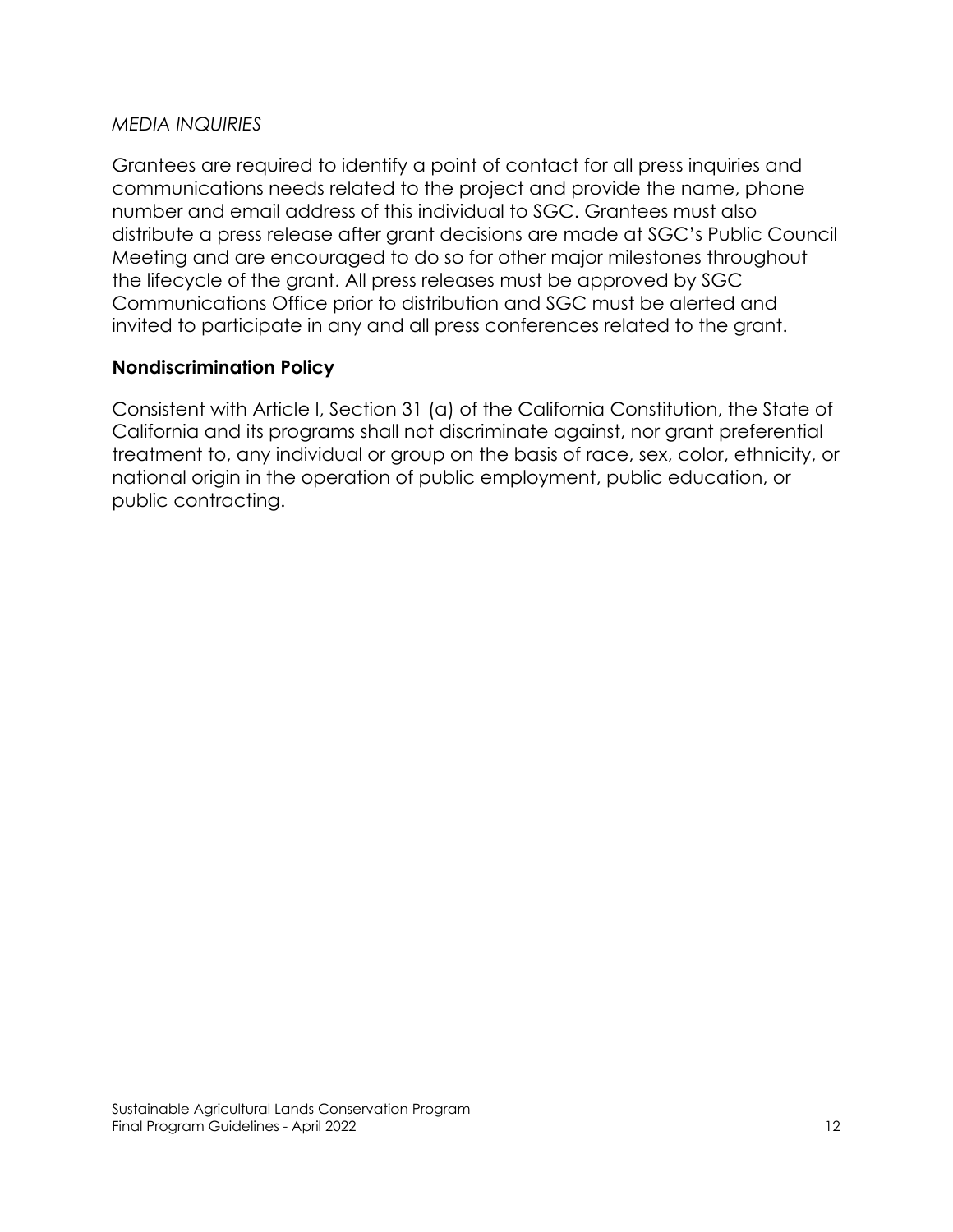#### *MEDIA INQUIRIES*

Grantees are required to identify a point of contact for all press inquiries and communications needs related to the project and provide the name, phone number and email address of this individual to SGC. Grantees must also distribute a press release after grant decisions are made at SGC's Public Council Meeting and are encouraged to do so for other major milestones throughout the lifecycle of the grant. All press releases must be approved by SGC Communications Office prior to distribution and SGC must be alerted and invited to participate in any and all press conferences related to the grant.

#### **Nondiscrimination Policy**

Consistent with Article I, Section 31 (a) of the California Constitution, the State of California and its programs shall not discriminate against, nor grant preferential treatment to, any individual or group on the basis of race, sex, color, ethnicity, or national origin in the operation of public employment, public education, or public contracting.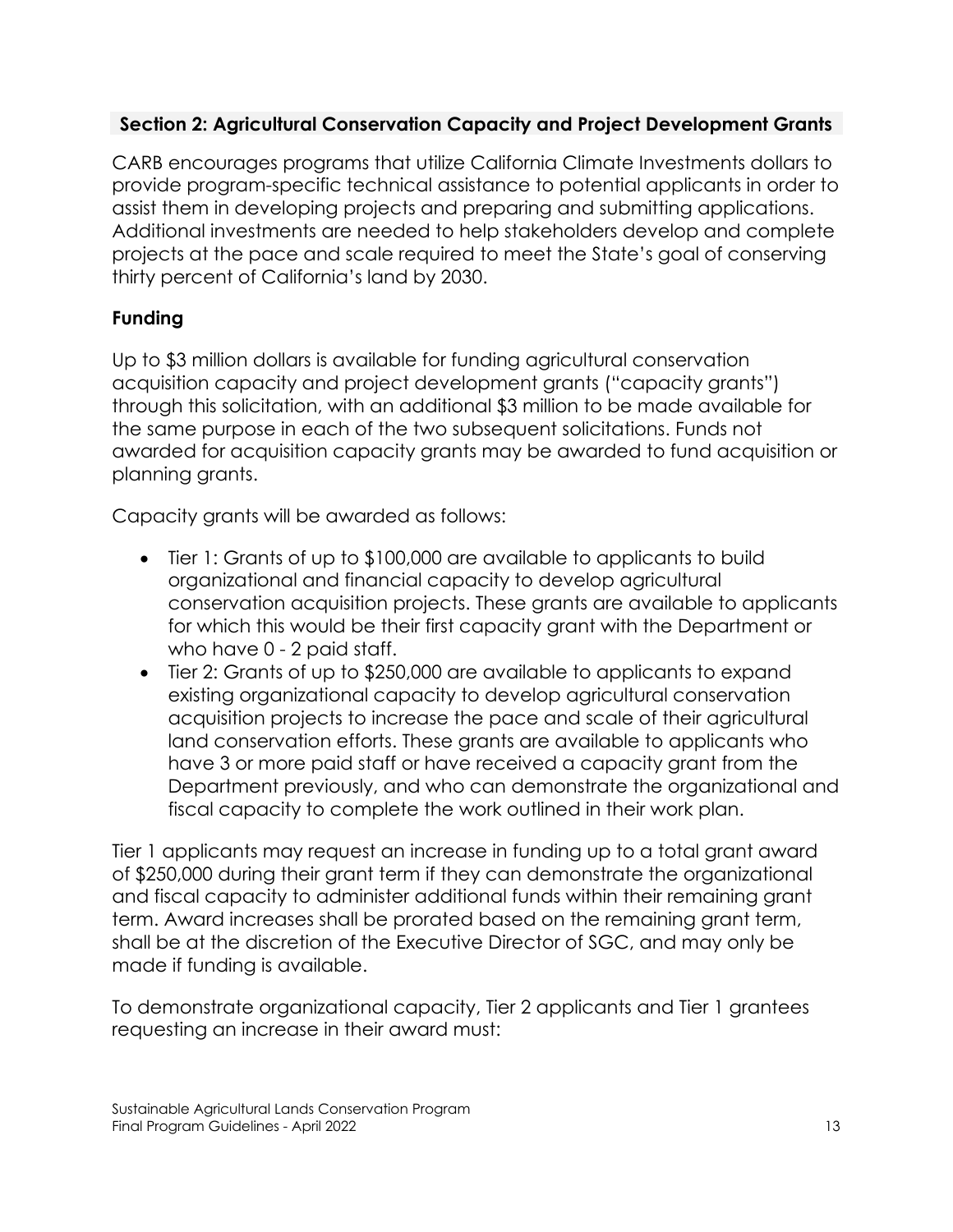# **Section 2: Agricultural Conservation Capacity and Project Development Grants**

CARB encourages programs that utilize California Climate Investments dollars to provide program-specific technical assistance to potential applicants in order to assist them in developing projects and preparing and submitting applications. Additional investments are needed to help stakeholders develop and complete projects at the pace and scale required to meet the State's goal of conserving thirty percent of California's land by 2030.

# **Funding**

Up to \$3 million dollars is available for funding agricultural conservation acquisition capacity and project development grants ("capacity grants") through this solicitation, with an additional \$3 million to be made available for the same purpose in each of the two subsequent solicitations. Funds not awarded for acquisition capacity grants may be awarded to fund acquisition or planning grants.

Capacity grants will be awarded as follows:

- Tier 1: Grants of up to \$100,000 are available to applicants to build organizational and financial capacity to develop agricultural conservation acquisition projects. These grants are available to applicants for which this would be their first capacity grant with the Department or who have 0 - 2 paid staff.
- Tier 2: Grants of up to \$250,000 are available to applicants to expand existing organizational capacity to develop agricultural conservation acquisition projects to increase the pace and scale of their agricultural land conservation efforts. These grants are available to applicants who have 3 or more paid staff or have received a capacity grant from the Department previously, and who can demonstrate the organizational and fiscal capacity to complete the work outlined in their work plan.

Tier 1 applicants may request an increase in funding up to a total grant award of \$250,000 during their grant term if they can demonstrate the organizational and fiscal capacity to administer additional funds within their remaining grant term. Award increases shall be prorated based on the remaining grant term, shall be at the discretion of the Executive Director of SGC, and may only be made if funding is available.

To demonstrate organizational capacity, Tier 2 applicants and Tier 1 grantees requesting an increase in their award must: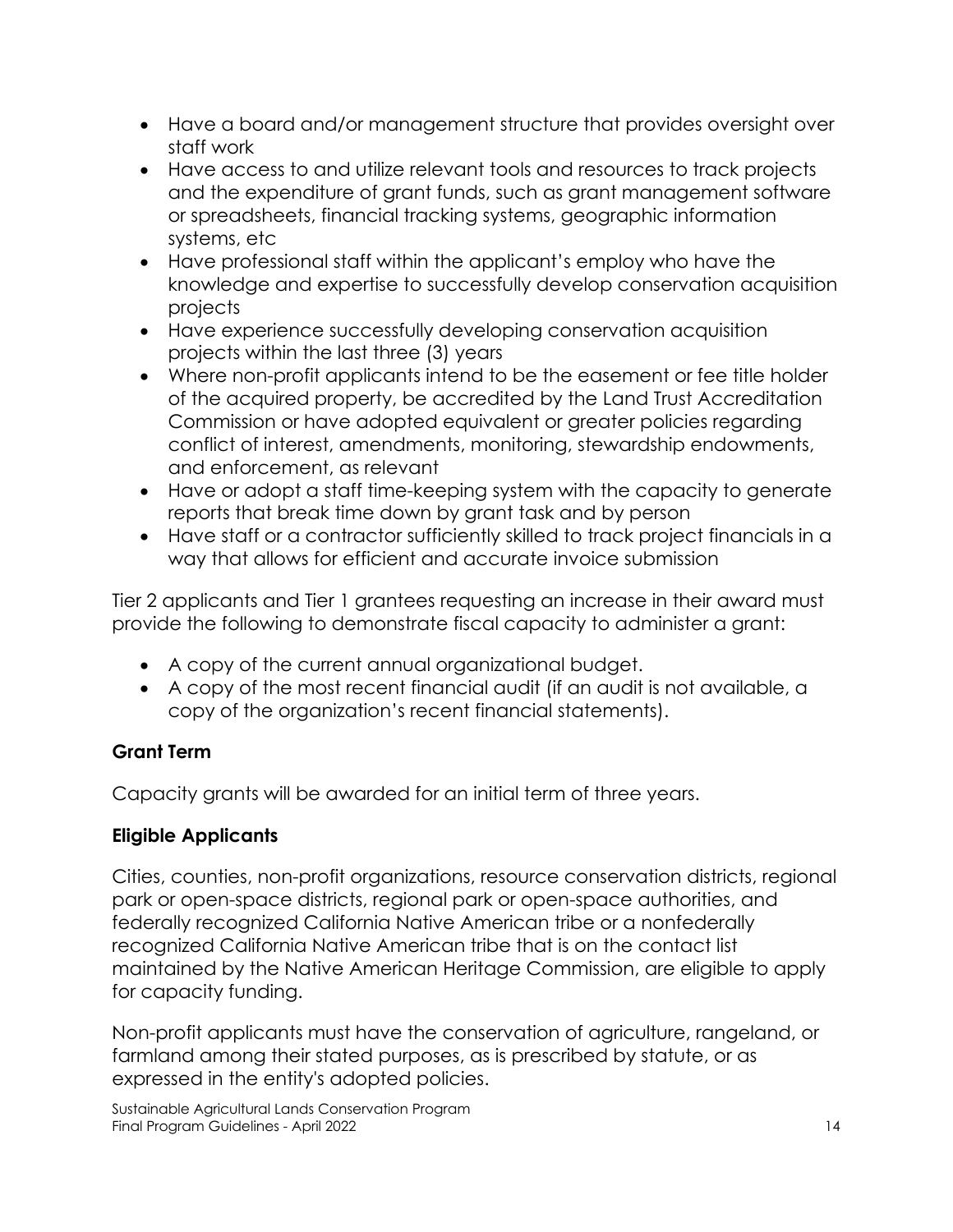- Have a board and/or management structure that provides oversight over staff work
- Have access to and utilize relevant tools and resources to track projects and the expenditure of grant funds, such as grant management software or spreadsheets, financial tracking systems, geographic information systems, etc
- Have professional staff within the applicant's employ who have the knowledge and expertise to successfully develop conservation acquisition projects
- Have experience successfully developing conservation acquisition projects within the last three (3) years
- Where non-profit applicants intend to be the easement or fee title holder of the acquired property, be accredited by the Land Trust Accreditation Commission or have adopted equivalent or greater policies regarding conflict of interest, amendments, monitoring, stewardship endowments, and enforcement, as relevant
- Have or adopt a staff time-keeping system with the capacity to generate reports that break time down by grant task and by person
- Have staff or a contractor sufficiently skilled to track project financials in a way that allows for efficient and accurate invoice submission

Tier 2 applicants and Tier 1 grantees requesting an increase in their award must provide the following to demonstrate fiscal capacity to administer a grant:

- A copy of the current annual organizational budget.
- A copy of the most recent financial audit (if an audit is not available, a copy of the organization's recent financial statements).

# **Grant Term**

Capacity grants will be awarded for an initial term of three years.

# **Eligible Applicants**

Cities, counties, non-profit organizations, resource conservation districts, regional park or open-space districts, regional park or open-space authorities, and federally recognized California Native American tribe or a nonfederally recognized California Native American tribe that is on the contact list maintained by the Native American Heritage Commission, are eligible to apply for capacity funding.

Non-profit applicants must have the conservation of agriculture, rangeland, or farmland among their stated purposes, as is prescribed by statute, or as expressed in the entity's adopted policies.

Sustainable Agricultural Lands Conservation Program Final Program Guidelines - April 2022 14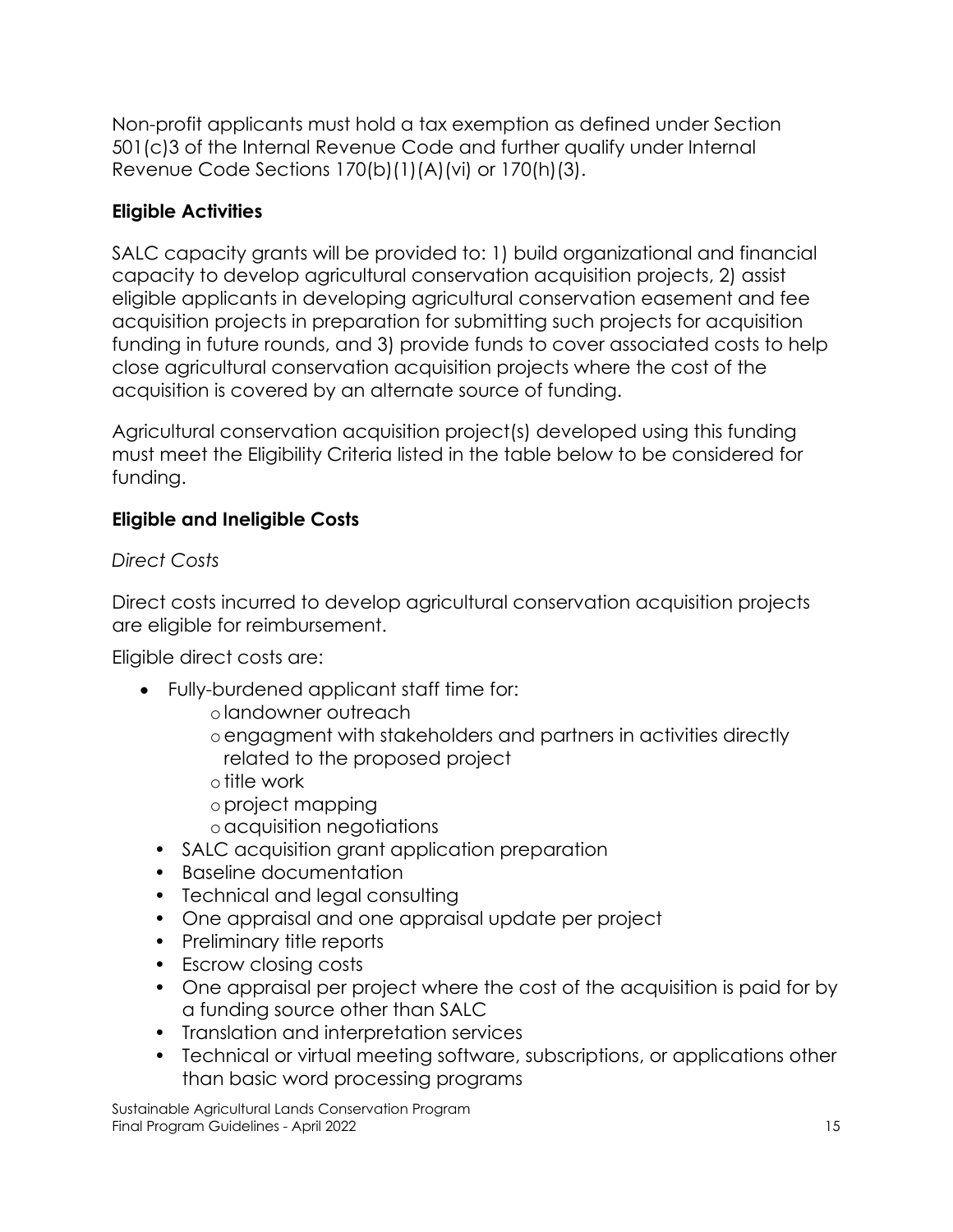Non-profit applicants must hold a tax exemption as defined under Section 501(c)3 of the Internal Revenue Code and further qualify under Internal Revenue Code Sections 170(b)(1)(A)(vi) or 170(h)(3).

# **Eligible Activities**

SALC capacity grants will be provided to: 1) build organizational and financial capacity to develop agricultural conservation acquisition projects, 2) assist eligible applicants in developing agricultural conservation easement and fee acquisition projects in preparation for submitting such projects for acquisition funding in future rounds, and 3) provide funds to cover associated costs to help close agricultural conservation acquisition projects where the cost of the acquisition is covered by an alternate source of funding.

Agricultural conservation acquisition project(s) developed using this funding must meet the Eligibility Criteria listed in the table below to be considered for funding.

# **Eligible and Ineligible Costs**

*Direct Costs*

Direct costs incurred to develop agricultural conservation acquisition projects are eligible for reimbursement.

Eligible direct costs are:

- Fully-burdened applicant staff time for:
	- olandowner outreach
	- oengagment with stakeholders and partners in activities directly related to the proposed project
	- otitle work
	- oproject mapping
	- oacquisition negotiations
	- SALC acquisition grant application preparation
	- Baseline documentation
	- Technical and legal consulting
	- One appraisal and one appraisal update per project
	- Preliminary title reports
	- Escrow closing costs
	- One appraisal per project where the cost of the acquisition is paid for by a funding source other than SALC
	- Translation and interpretation services
	- Technical or virtual meeting software, subscriptions, or applications other than basic word processing programs

Sustainable Agricultural Lands Conservation Program Final Program Guidelines - April 2022 15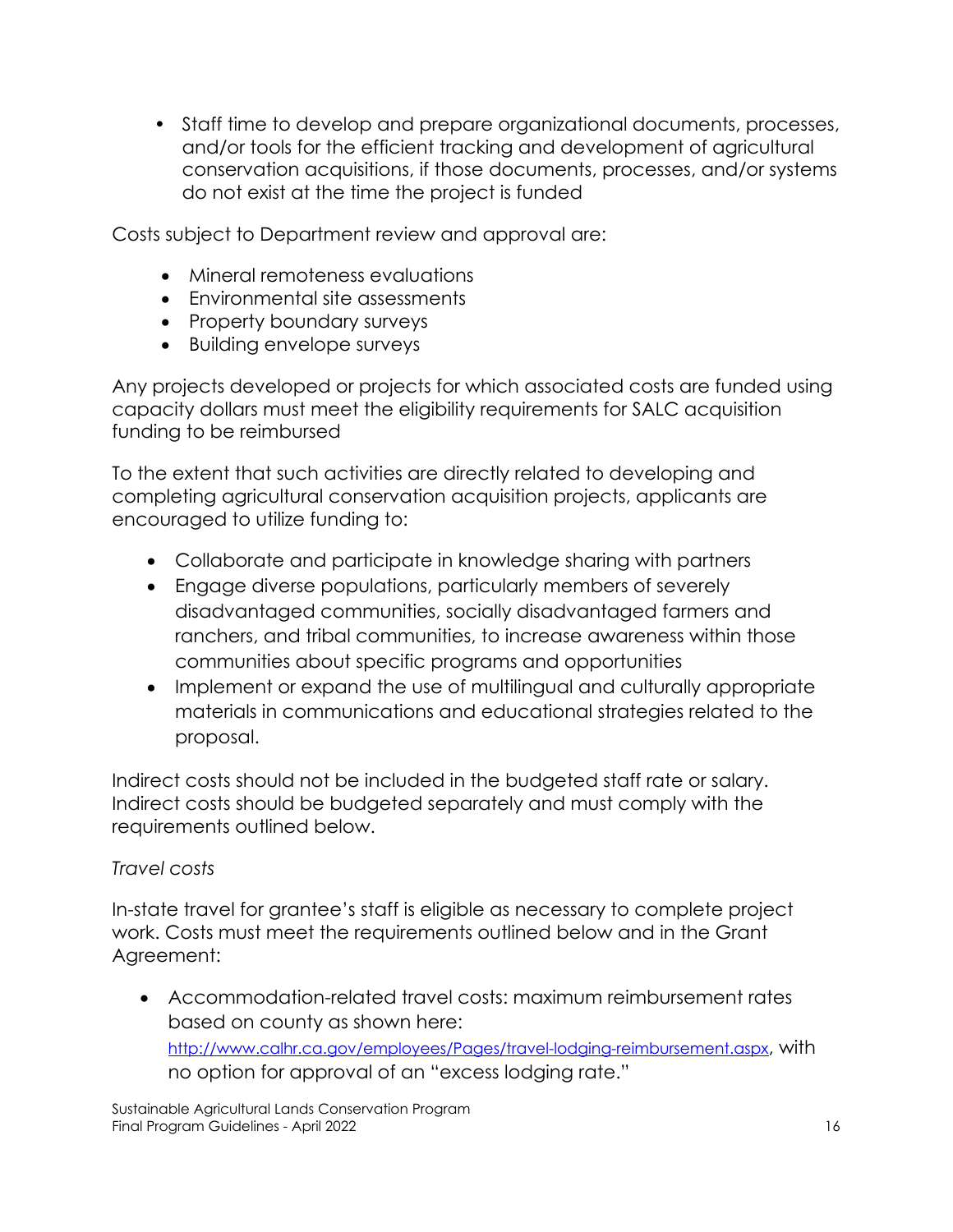• Staff time to develop and prepare organizational documents, processes, and/or tools for the efficient tracking and development of agricultural conservation acquisitions, if those documents, processes, and/or systems do not exist at the time the project is funded

Costs subject to Department review and approval are:

- Mineral remoteness evaluations
- Environmental site assessments
- Property boundary surveys
- Building envelope surveys

Any projects developed or projects for which associated costs are funded using capacity dollars must meet the eligibility requirements for SALC acquisition funding to be reimbursed

To the extent that such activities are directly related to developing and completing agricultural conservation acquisition projects, applicants are encouraged to utilize funding to:

- Collaborate and participate in knowledge sharing with partners
- Engage diverse populations, particularly members of severely disadvantaged communities, socially disadvantaged farmers and ranchers, and tribal communities, to increase awareness within those communities about specific programs and opportunities
- Implement or expand the use of multilingual and culturally appropriate materials in communications and educational strategies related to the proposal.

Indirect costs should not be included in the budgeted staff rate or salary. Indirect costs should be budgeted separately and must comply with the requirements outlined below.

# *Travel costs*

In-state travel for grantee's staff is eligible as necessary to complete project work. Costs must meet the requirements outlined below and in the Grant Agreement:

• Accommodation-related travel costs: maximum reimbursement rates based on county as shown here: [http://www.calhr.ca.gov/employees/Pages/travel-lodging-reimbursement.aspx,](http://www.calhr.ca.gov/employees/Pages/travel-lodging-reimbursement.aspx) with no option for approval of an "excess lodging rate."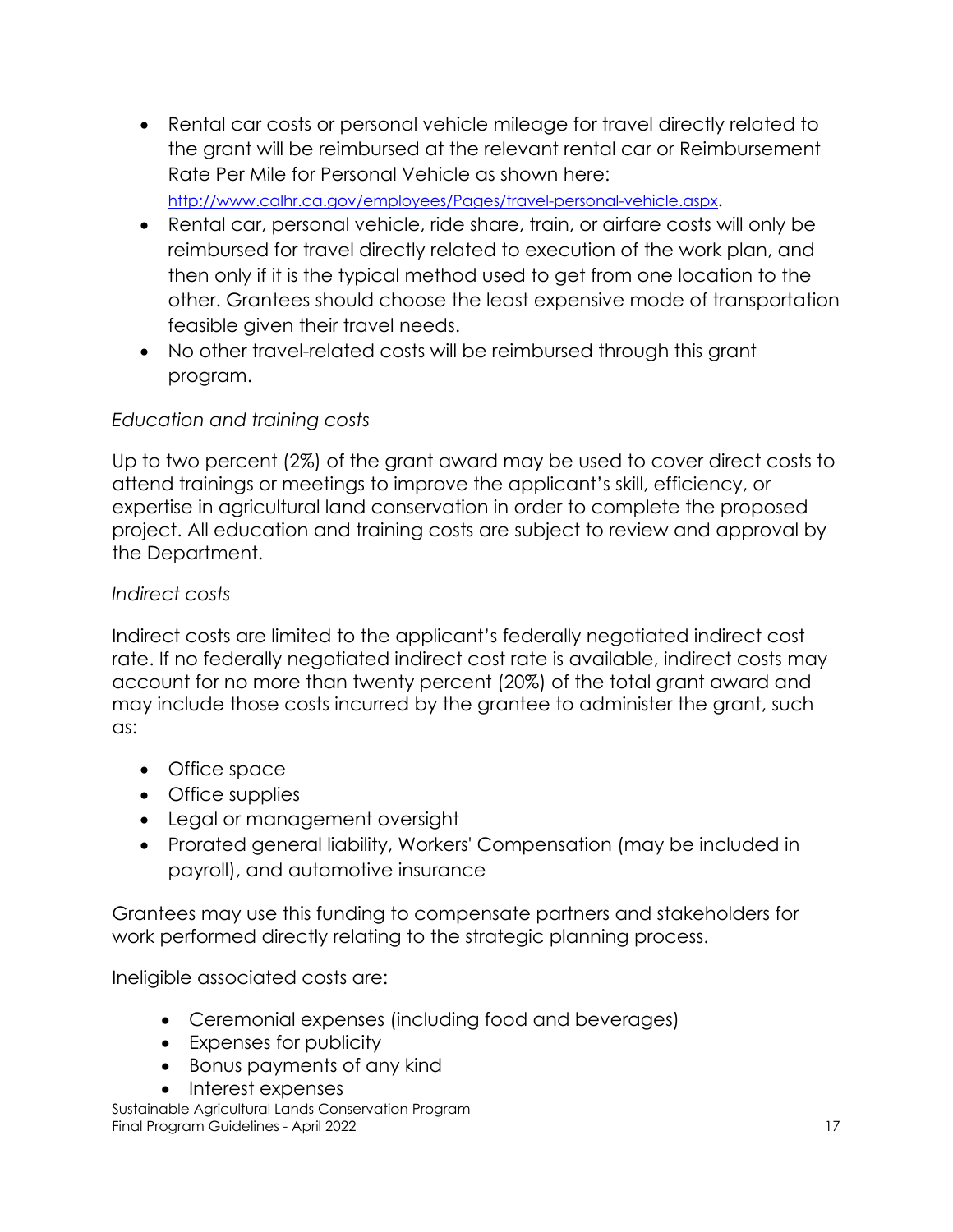• Rental car costs or personal vehicle mileage for travel directly related to the grant will be reimbursed at the relevant rental car or Reimbursement Rate Per Mile for Personal Vehicle as shown here: [http://www.calhr.ca.gov/employees/Pages/travel-personal-vehicle.aspx.](http://www.calhr.ca.gov/employees/Pages/travel-personal-vehicle.aspx) 

• Rental car, personal vehicle, ride share, train, or airfare costs will only be reimbursed for travel directly related to execution of the work plan, and then only if it is the typical method used to get from one location to the other. Grantees should choose the least expensive mode of transportation feasible given their travel needs.

• No other travel-related costs will be reimbursed through this grant program.

# *Education and training costs*

Up to two percent (2%) of the grant award may be used to cover direct costs to attend trainings or meetings to improve the applicant's skill, efficiency, or expertise in agricultural land conservation in order to complete the proposed project. All education and training costs are subject to review and approval by the Department.

# *Indirect costs*

Indirect costs are limited to the applicant's federally negotiated indirect cost rate. If no federally negotiated indirect cost rate is available, indirect costs may account for no more than twenty percent (20%) of the total grant award and may include those costs incurred by the grantee to administer the grant, such as:

- Office space
- Office supplies
- Legal or management oversight
- Prorated general liability, Workers' Compensation (may be included in payroll), and automotive insurance

Grantees may use this funding to compensate partners and stakeholders for work performed directly relating to the strategic planning process.

Ineligible associated costs are:

- Ceremonial expenses (including food and beverages)
- Expenses for publicity
- Bonus payments of any kind
- Interest expenses

Sustainable Agricultural Lands Conservation Program Final Program Guidelines - April 2022 17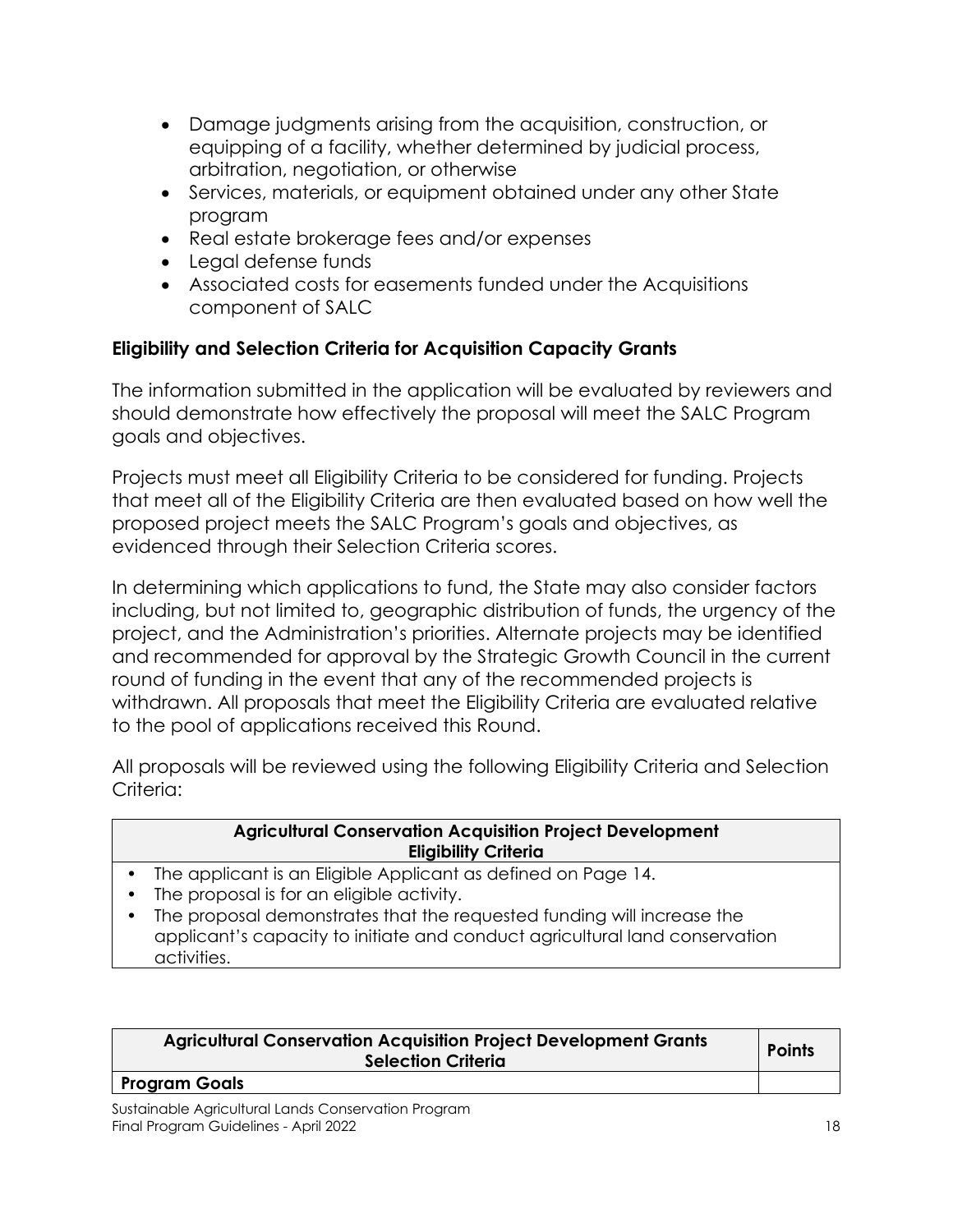- Damage judgments arising from the acquisition, construction, or equipping of a facility, whether determined by judicial process, arbitration, negotiation, or otherwise
- Services, materials, or equipment obtained under any other State program
- Real estate brokerage fees and/or expenses
- Legal defense funds
- Associated costs for easements funded under the Acquisitions component of SALC

# **Eligibility and Selection Criteria for Acquisition Capacity Grants**

The information submitted in the application will be evaluated by reviewers and should demonstrate how effectively the proposal will meet the SALC Program goals and objectives.

Projects must meet all Eligibility Criteria to be considered for funding. Projects that meet all of the Eligibility Criteria are then evaluated based on how well the proposed project meets the SALC Program's goals and objectives, as evidenced through their Selection Criteria scores.

In determining which applications to fund, the State may also consider factors including, but not limited to, geographic distribution of funds, the urgency of the project, and the Administration's priorities. Alternate projects may be identified and recommended for approval by the Strategic Growth Council in the current round of funding in the event that any of the recommended projects is withdrawn. All proposals that meet the Eligibility Criteria are evaluated relative to the pool of applications received this Round.

All proposals will be reviewed using the following Eligibility Criteria and Selection Criteria:

#### **Agricultural Conservation Acquisition Project Development Eligibility Criteria**

- The applicant is an Eligible Applicant as defined on Page 14.
- The proposal is for an eligible activity.
- The proposal demonstrates that the requested funding will increase the applicant's capacity to initiate and conduct agricultural land conservation activities.

| <b>Agricultural Conservation Acquisition Project Development Grants</b><br><b>Selection Criteria</b> | <b>Points</b> |
|------------------------------------------------------------------------------------------------------|---------------|
|                                                                                                      |               |

#### **Program Goals**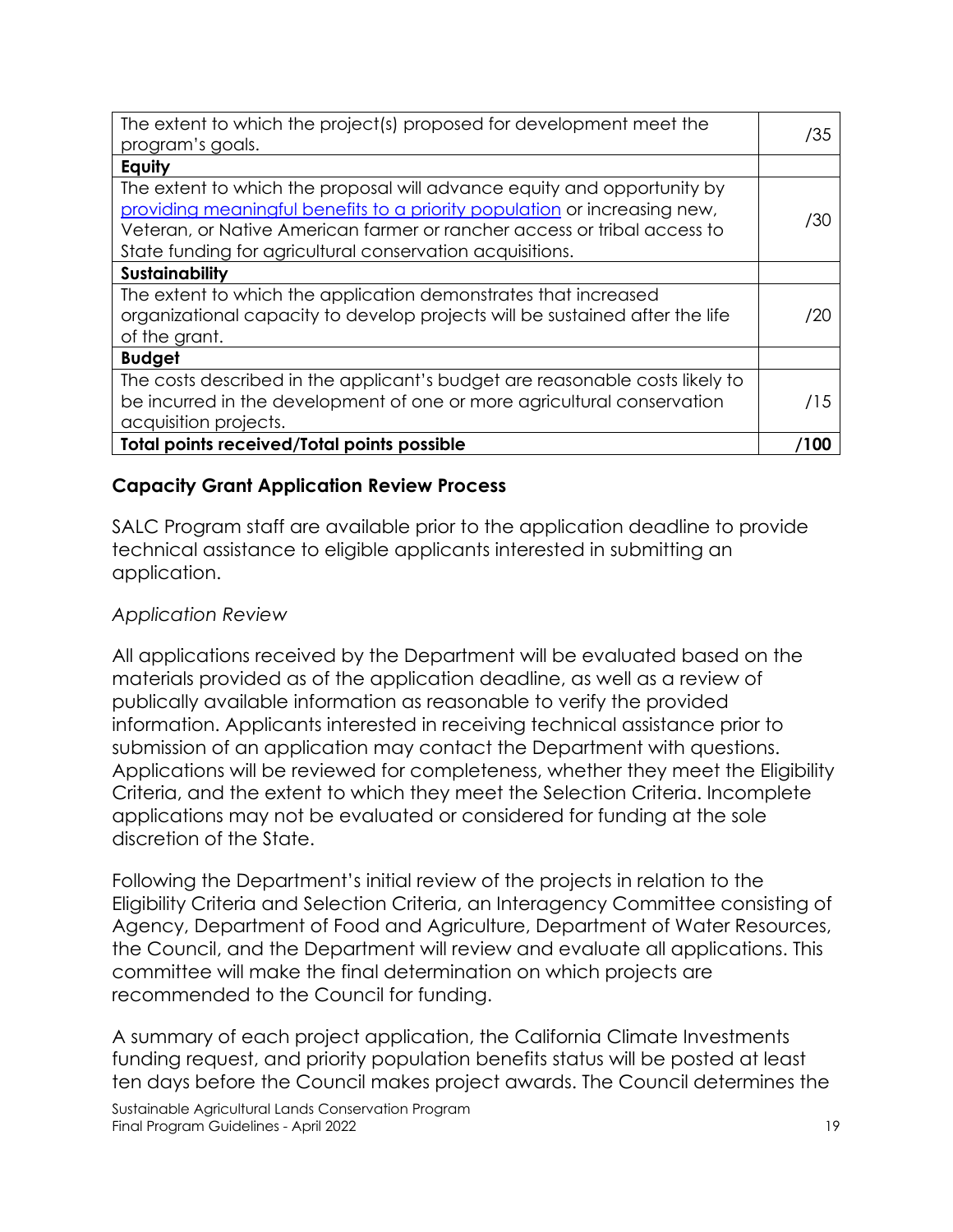| The extent to which the project(s) proposed for development meet the<br>program's goals.                                                                                                                                                                                                      | /35  |
|-----------------------------------------------------------------------------------------------------------------------------------------------------------------------------------------------------------------------------------------------------------------------------------------------|------|
| Equity                                                                                                                                                                                                                                                                                        |      |
| The extent to which the proposal will advance equity and opportunity by<br>providing meaningful benefits to a priority population or increasing new,<br>Veteran, or Native American farmer or rancher access or tribal access to<br>State funding for agricultural conservation acquisitions. | /30  |
| <b>Sustainability</b>                                                                                                                                                                                                                                                                         |      |
| The extent to which the application demonstrates that increased<br>organizational capacity to develop projects will be sustained after the life<br>of the grant.                                                                                                                              | /20  |
| <b>Budget</b>                                                                                                                                                                                                                                                                                 |      |
| The costs described in the applicant's budget are reasonable costs likely to<br>be incurred in the development of one or more agricultural conservation<br>acquisition projects.                                                                                                              | /15  |
| <b>Total points received/Total points possible</b>                                                                                                                                                                                                                                            | l 00 |

## **Capacity Grant Application Review Process**

SALC Program staff are available prior to the application deadline to provide technical assistance to eligible applicants interested in submitting an application.

#### *Application Review*

All applications received by the Department will be evaluated based on the materials provided as of the application deadline, as well as a review of publically available information as reasonable to verify the provided information. Applicants interested in receiving technical assistance prior to submission of an application may contact the Department with questions. Applications will be reviewed for completeness, whether they meet the Eligibility Criteria, and the extent to which they meet the Selection Criteria. Incomplete applications may not be evaluated or considered for funding at the sole discretion of the State.

Following the Department's initial review of the projects in relation to the Eligibility Criteria and Selection Criteria, an Interagency Committee consisting of Agency, Department of Food and Agriculture, Department of Water Resources, the Council, and the Department will review and evaluate all applications. This committee will make the final determination on which projects are recommended to the Council for funding.

A summary of each project application, the California Climate Investments funding request, and priority population benefits status will be posted at least ten days before the Council makes project awards. The Council determines the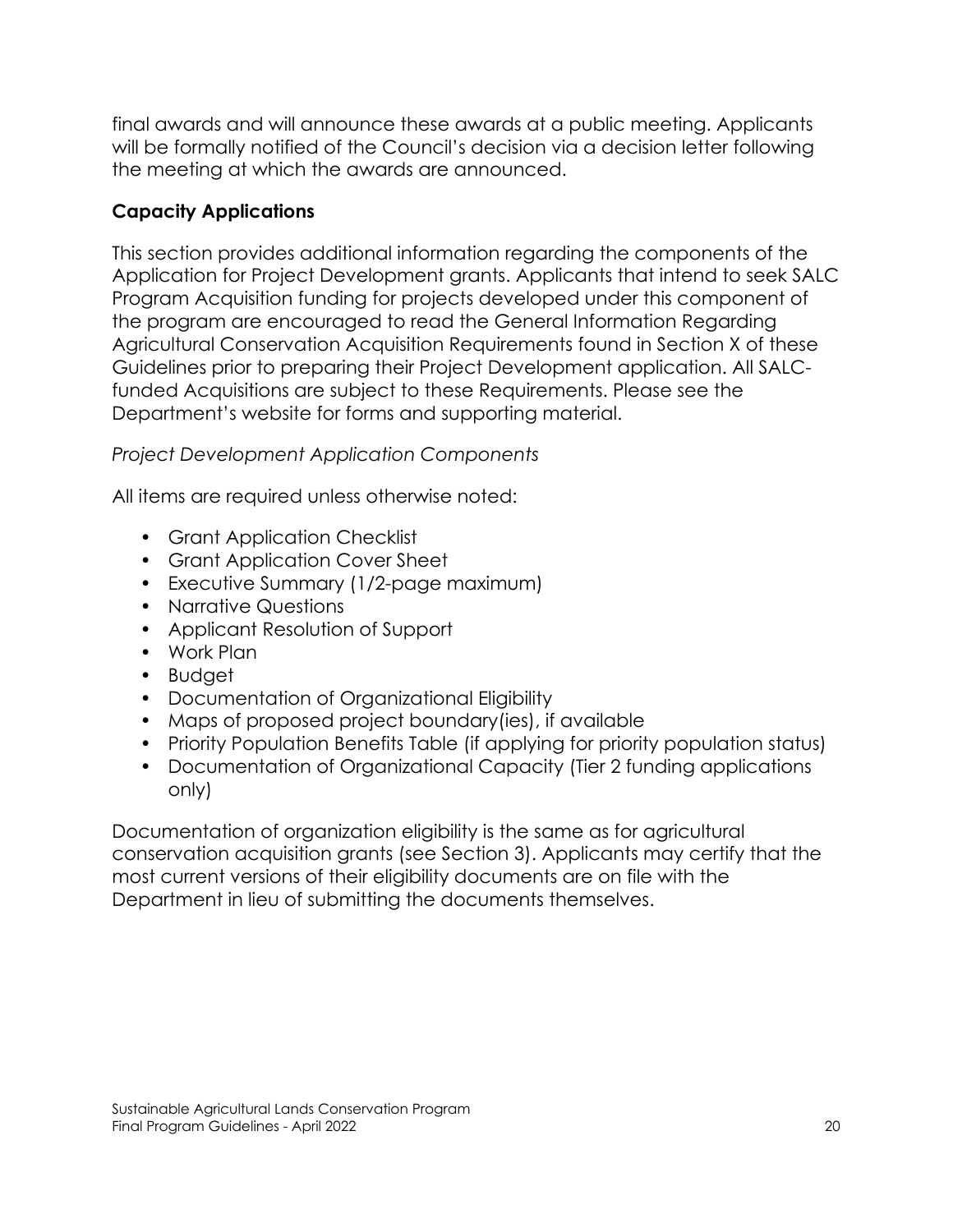final awards and will announce these awards at a public meeting. Applicants will be formally notified of the Council's decision via a decision letter following the meeting at which the awards are announced.

# **Capacity Applications**

This section provides additional information regarding the components of the Application for Project Development grants. Applicants that intend to seek SALC Program Acquisition funding for projects developed under this component of the program are encouraged to read the General Information Regarding Agricultural Conservation Acquisition Requirements found in Section X of these Guidelines prior to preparing their Project Development application. All SALCfunded Acquisitions are subject to these Requirements. Please see the Department's website for forms and supporting material.

# *Project Development Application Components*

All items are required unless otherwise noted:

- Grant Application Checklist
- Grant Application Cover Sheet
- Executive Summary (1/2-page maximum)
- Narrative Questions
- Applicant Resolution of Support
- Work Plan
- Budget
- Documentation of Organizational Eligibility
- Maps of proposed project boundary(ies), if available
- Priority Population Benefits Table (if applying for priority population status)
- Documentation of Organizational Capacity (Tier 2 funding applications only)

Documentation of organization eligibility is the same as for agricultural conservation acquisition grants (see Section 3). Applicants may certify that the most current versions of their eligibility documents are on file with the Department in lieu of submitting the documents themselves.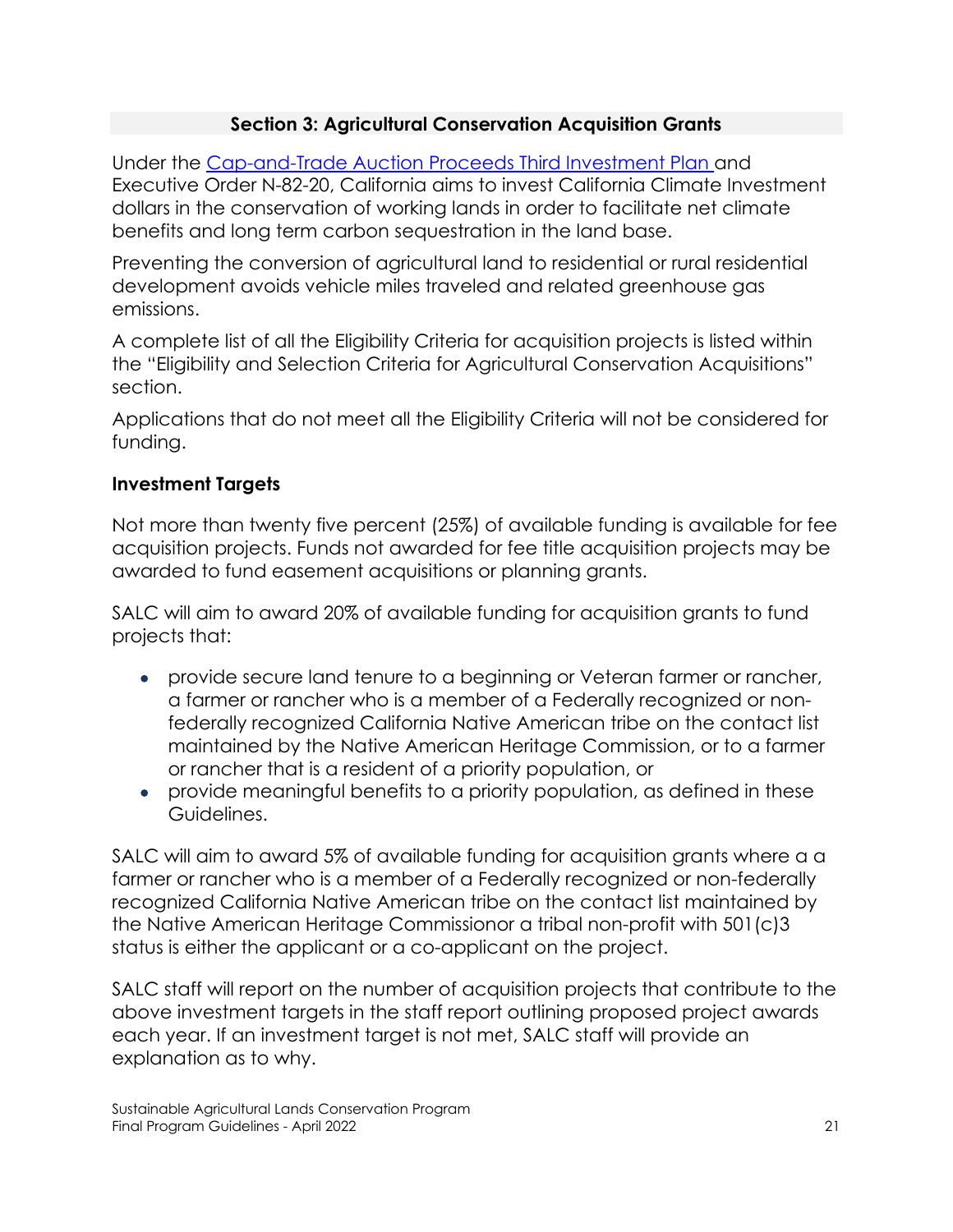# **Section 3: Agricultural Conservation Acquisition Grants**

Under the [Cap-and-Trade Auction Proceeds Third Investment Plan](https://ww2.arb.ca.gov/resources/documents/cci-investment-plan) and Executive Order N-82-20, California aims to invest California Climate Investment dollars in the conservation of working lands in order to facilitate net climate benefits and long term carbon sequestration in the land base.

Preventing the conversion of agricultural land to residential or rural residential development avoids vehicle miles traveled and related greenhouse gas emissions.

A complete list of all the Eligibility Criteria for acquisition projects is listed within the "Eligibility and Selection Criteria for Agricultural Conservation Acquisitions" section.

Applications that do not meet all the Eligibility Criteria will not be considered for funding.

## **Investment Targets**

Not more than twenty five percent (25%) of available funding is available for fee acquisition projects. Funds not awarded for fee title acquisition projects may be awarded to fund easement acquisitions or planning grants.

SALC will aim to award 20% of available funding for acquisition grants to fund projects that:

- provide secure land tenure to a beginning or Veteran farmer or rancher, a farmer or rancher who is a member of a Federally recognized or nonfederally recognized California Native American tribe on the contact list maintained by the Native American Heritage Commission, or to a farmer or rancher that is a resident of a priority population, or
- provide meaningful benefits to a priority population, as defined in these Guidelines.

SALC will aim to award 5% of available funding for acquisition grants where a a farmer or rancher who is a member of a Federally recognized or non-federally recognized California Native American tribe on the contact list maintained by the Native American Heritage Commissionor a tribal non-profit with 501(c)3 status is either the applicant or a co-applicant on the project.

SALC staff will report on the number of acquisition projects that contribute to the above investment targets in the staff report outlining proposed project awards each year. If an investment target is not met, SALC staff will provide an explanation as to why.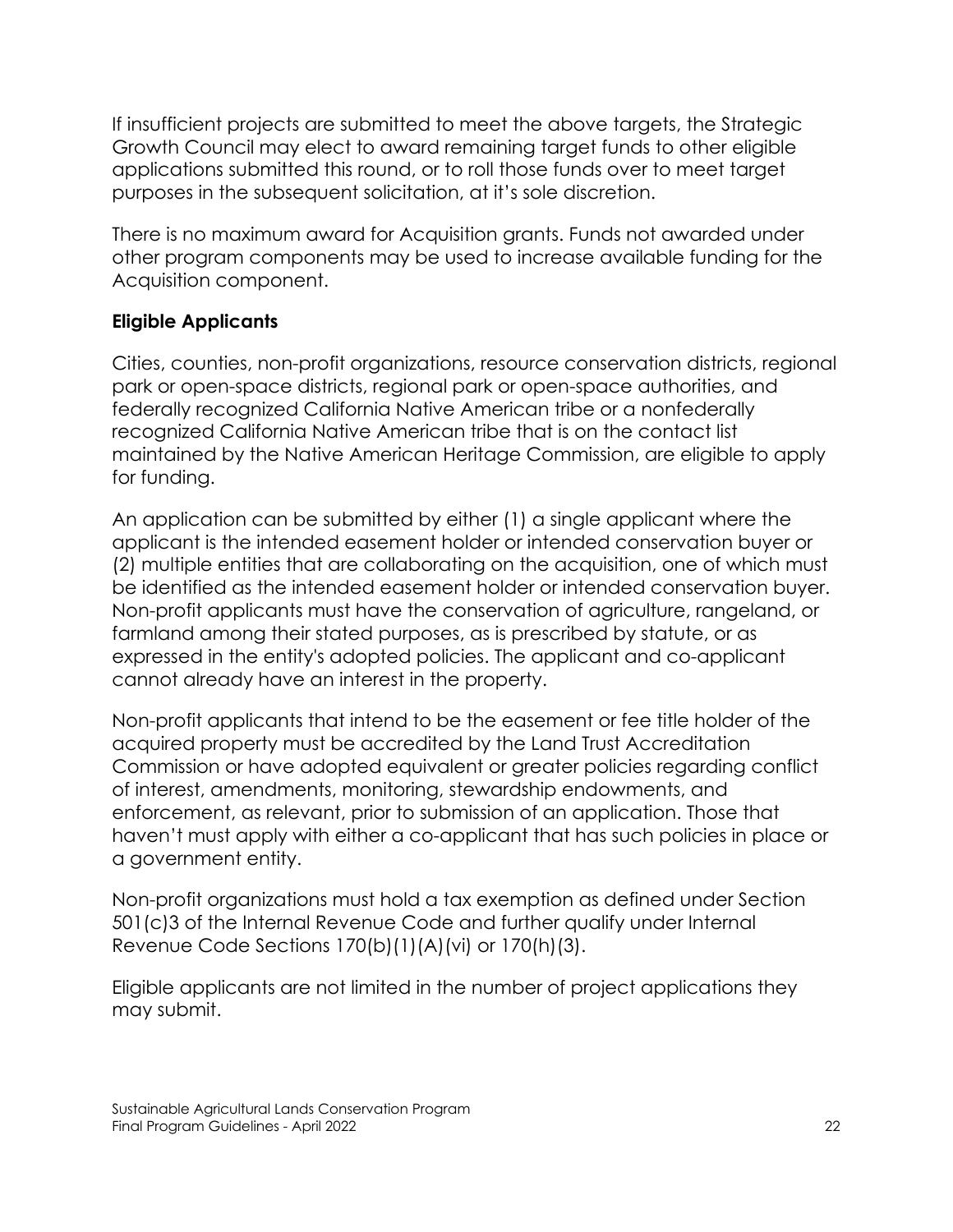If insufficient projects are submitted to meet the above targets, the Strategic Growth Council may elect to award remaining target funds to other eligible applications submitted this round, or to roll those funds over to meet target purposes in the subsequent solicitation, at it's sole discretion.

There is no maximum award for Acquisition grants. Funds not awarded under other program components may be used to increase available funding for the Acquisition component.

## **Eligible Applicants**

Cities, counties, non-profit organizations, resource conservation districts, regional park or open-space districts, regional park or open-space authorities, and federally recognized California Native American tribe or a nonfederally recognized California Native American tribe that is on the contact list maintained by the Native American Heritage Commission, are eligible to apply for funding.

An application can be submitted by either (1) a single applicant where the applicant is the intended easement holder or intended conservation buyer or (2) multiple entities that are collaborating on the acquisition, one of which must be identified as the intended easement holder or intended conservation buyer. Non-profit applicants must have the conservation of agriculture, rangeland, or farmland among their stated purposes, as is prescribed by statute, or as expressed in the entity's adopted policies. The applicant and co-applicant cannot already have an interest in the property.

Non-profit applicants that intend to be the easement or fee title holder of the acquired property must be accredited by the Land Trust Accreditation Commission or have adopted equivalent or greater policies regarding conflict of interest, amendments, monitoring, stewardship endowments, and enforcement, as relevant, prior to submission of an application. Those that haven't must apply with either a co-applicant that has such policies in place or a government entity.

Non-profit organizations must hold a tax exemption as defined under Section 501(c)3 of the Internal Revenue Code and further qualify under Internal Revenue Code Sections 170(b)(1)(A)(vi) or 170(h)(3).

Eligible applicants are not limited in the number of project applications they may submit.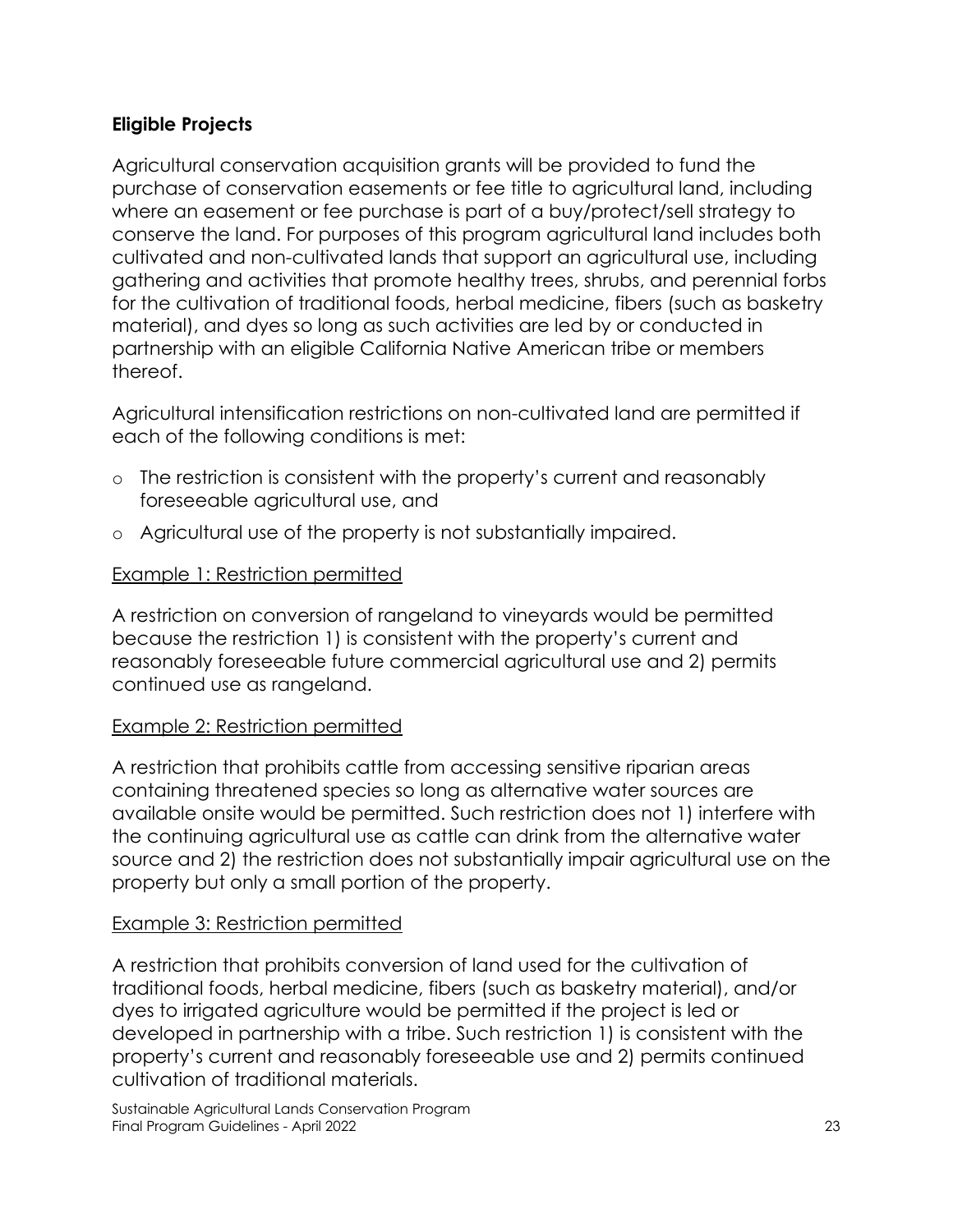# **Eligible Projects**

Agricultural conservation acquisition grants will be provided to fund the purchase of conservation easements or fee title to agricultural land, including where an easement or fee purchase is part of a buy/protect/sell strategy to conserve the land. For purposes of this program agricultural land includes both cultivated and non-cultivated lands that support an agricultural use, including gathering and activities that promote healthy trees, shrubs, and perennial forbs for the cultivation of traditional foods, herbal medicine, fibers (such as basketry material), and dyes so long as such activities are led by or conducted in partnership with an eligible California Native American tribe or members thereof.

Agricultural intensification restrictions on non-cultivated land are permitted if each of the following conditions is met:

- o The restriction is consistent with the property's current and reasonably foreseeable agricultural use, and
- o Agricultural use of the property is not substantially impaired.

#### Example 1: Restriction permitted

A restriction on conversion of rangeland to vineyards would be permitted because the restriction 1) is consistent with the property's current and reasonably foreseeable future commercial agricultural use and 2) permits continued use as rangeland.

#### Example 2: Restriction permitted

A restriction that prohibits cattle from accessing sensitive riparian areas containing threatened species so long as alternative water sources are available onsite would be permitted. Such restriction does not 1) interfere with the continuing agricultural use as cattle can drink from the alternative water source and 2) the restriction does not substantially impair agricultural use on the property but only a small portion of the property.

#### Example 3: Restriction permitted

A restriction that prohibits conversion of land used for the cultivation of traditional foods, herbal medicine, fibers (such as basketry material), and/or dyes to irrigated agriculture would be permitted if the project is led or developed in partnership with a tribe. Such restriction 1) is consistent with the property's current and reasonably foreseeable use and 2) permits continued cultivation of traditional materials.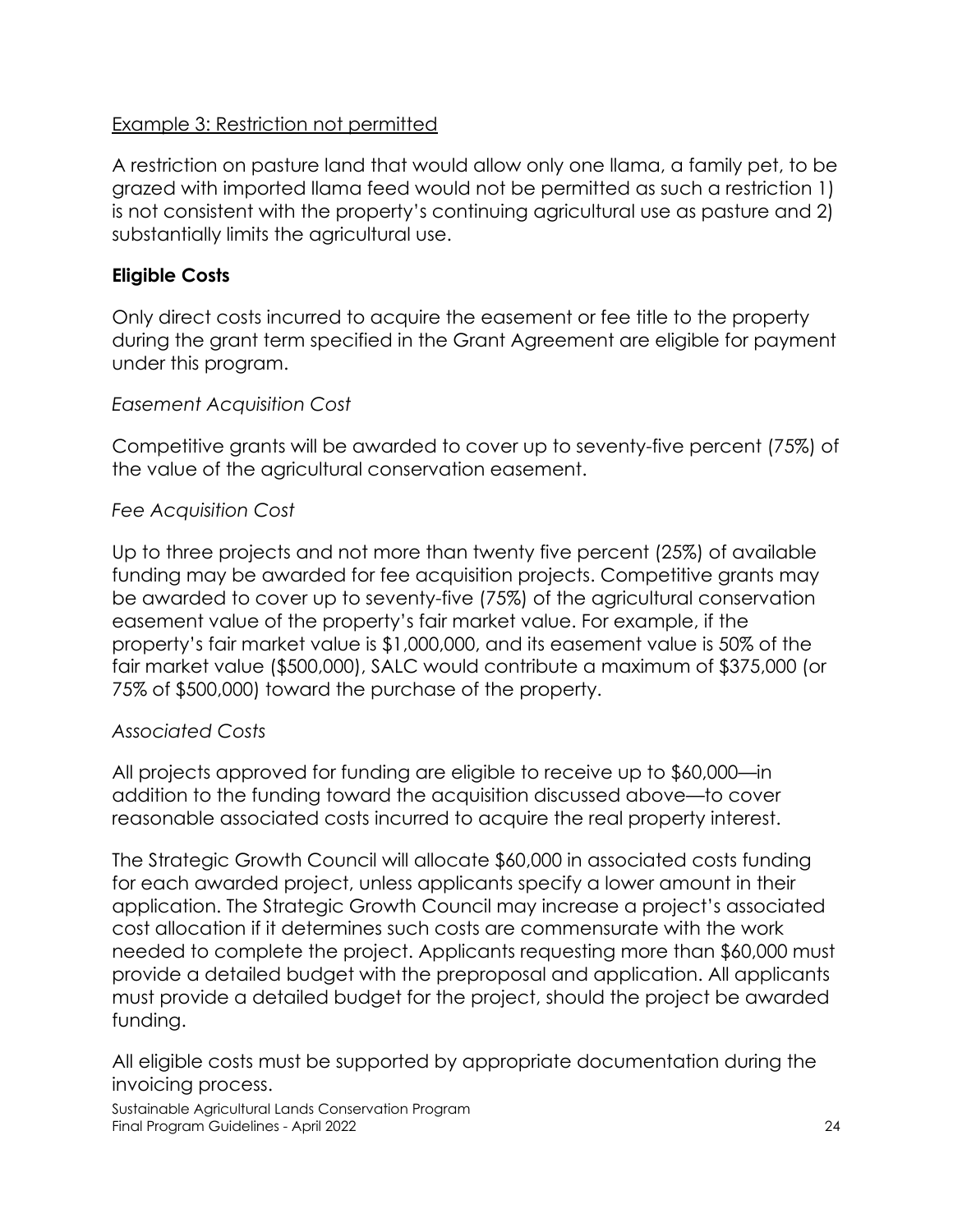## Example 3: Restriction not permitted

A restriction on pasture land that would allow only one llama, a family pet, to be grazed with imported llama feed would not be permitted as such a restriction 1) is not consistent with the property's continuing agricultural use as pasture and 2) substantially limits the agricultural use.

# **Eligible Costs**

Only direct costs incurred to acquire the easement or fee title to the property during the grant term specified in the Grant Agreement are eligible for payment under this program.

## *Easement Acquisition Cost*

Competitive grants will be awarded to cover up to seventy-five percent (75%) of the value of the agricultural conservation easement.

## *Fee Acquisition Cost*

Up to three projects and not more than twenty five percent (25%) of available funding may be awarded for fee acquisition projects. Competitive grants may be awarded to cover up to seventy-five (75%) of the agricultural conservation easement value of the property's fair market value. For example, if the property's fair market value is \$1,000,000, and its easement value is 50% of the fair market value (\$500,000), SALC would contribute a maximum of \$375,000 (or 75% of \$500,000) toward the purchase of the property.

# *Associated Costs*

All projects approved for funding are eligible to receive up to \$60,000—in addition to the funding toward the acquisition discussed above—to cover reasonable associated costs incurred to acquire the real property interest.

The Strategic Growth Council will allocate \$60,000 in associated costs funding for each awarded project, unless applicants specify a lower amount in their application. The Strategic Growth Council may increase a project's associated cost allocation if it determines such costs are commensurate with the work needed to complete the project. Applicants requesting more than \$60,000 must provide a detailed budget with the preproposal and application. All applicants must provide a detailed budget for the project, should the project be awarded funding.

All eligible costs must be supported by appropriate documentation during the invoicing process.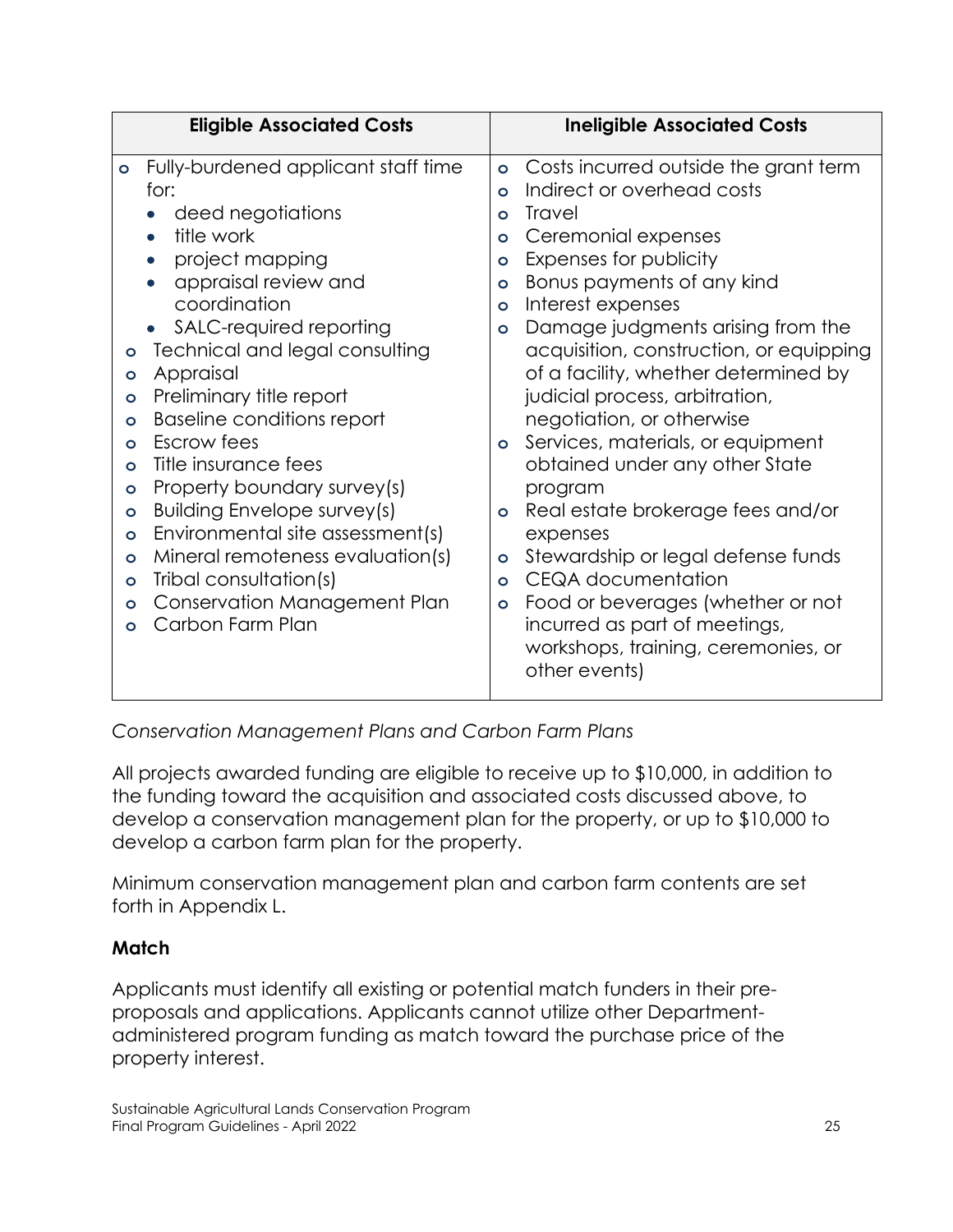| <b>Eligible Associated Costs</b>                                                                                                                                                                                                                                                                                                                                                                                                                                                                                                                                                                                                                                                                                                         | <b>Ineligible Associated Costs</b>                                                                                                                                                                                                                                                                                                                                                                                                                                                                                                                                                                                                                                                                                                                                                                                            |
|------------------------------------------------------------------------------------------------------------------------------------------------------------------------------------------------------------------------------------------------------------------------------------------------------------------------------------------------------------------------------------------------------------------------------------------------------------------------------------------------------------------------------------------------------------------------------------------------------------------------------------------------------------------------------------------------------------------------------------------|-------------------------------------------------------------------------------------------------------------------------------------------------------------------------------------------------------------------------------------------------------------------------------------------------------------------------------------------------------------------------------------------------------------------------------------------------------------------------------------------------------------------------------------------------------------------------------------------------------------------------------------------------------------------------------------------------------------------------------------------------------------------------------------------------------------------------------|
| Fully-burdened applicant staff time<br>$\bullet$<br>for:<br>deed negotiations<br>title work<br>project mapping<br>appraisal review and<br>coordination<br>SALC-required reporting<br>$\bullet$<br>Technical and legal consulting<br>$\bullet$<br>Appraisal<br>$\circ$<br>Preliminary title report<br>$\bullet$<br><b>Baseline conditions report</b><br>$\bullet$<br>Escrow fees<br>$\bullet$<br>Title insurance fees<br>$\circ$<br>Property boundary survey(s)<br>$\circ$<br><b>Building Envelope survey(s)</b><br>$\circ$<br>Environmental site assessment(s)<br>$\circ$<br>Mineral remoteness evaluation(s)<br>$\circ$<br>Tribal consultation(s)<br>$\circ$<br><b>Conservation Management Plan</b><br>$\circ$<br>Carbon Farm Plan<br>O | Costs incurred outside the grant term<br>$\bullet$<br>Indirect or overhead costs<br>$\circ$<br><b>Travel</b><br>$\mathbf{o}$<br>Ceremonial expenses<br>$\bullet$<br>Expenses for publicity<br>$\bullet$<br>Bonus payments of any kind<br>$\circ$<br>Interest expenses<br>$\bullet$<br>Damage judgments arising from the<br>$\bullet$<br>acquisition, construction, or equipping<br>of a facility, whether determined by<br>judicial process, arbitration,<br>negotiation, or otherwise<br>Services, materials, or equipment<br>$\circ$<br>obtained under any other State<br>program<br>Real estate brokerage fees and/or<br>$\circ$<br>expenses<br>Stewardship or legal defense funds<br>$\circ$<br><b>CEQA</b> documentation<br>$\bullet$<br>Food or beverages (whether or not<br>$\bullet$<br>incurred as part of meetings, |
|                                                                                                                                                                                                                                                                                                                                                                                                                                                                                                                                                                                                                                                                                                                                          | workshops, training, ceremonies, or<br>other events)                                                                                                                                                                                                                                                                                                                                                                                                                                                                                                                                                                                                                                                                                                                                                                          |

*Conservation Management Plans and Carbon Farm Plans*

All projects awarded funding are eligible to receive up to \$10,000, in addition to the funding toward the acquisition and associated costs discussed above, to develop a conservation management plan for the property, or up to \$10,000 to develop a carbon farm plan for the property.

Minimum conservation management plan and carbon farm contents are set forth in Appendix L.

# **Match**

Applicants must identify all existing or potential match funders in their preproposals and applications. Applicants cannot utilize other Departmentadministered program funding as match toward the purchase price of the property interest.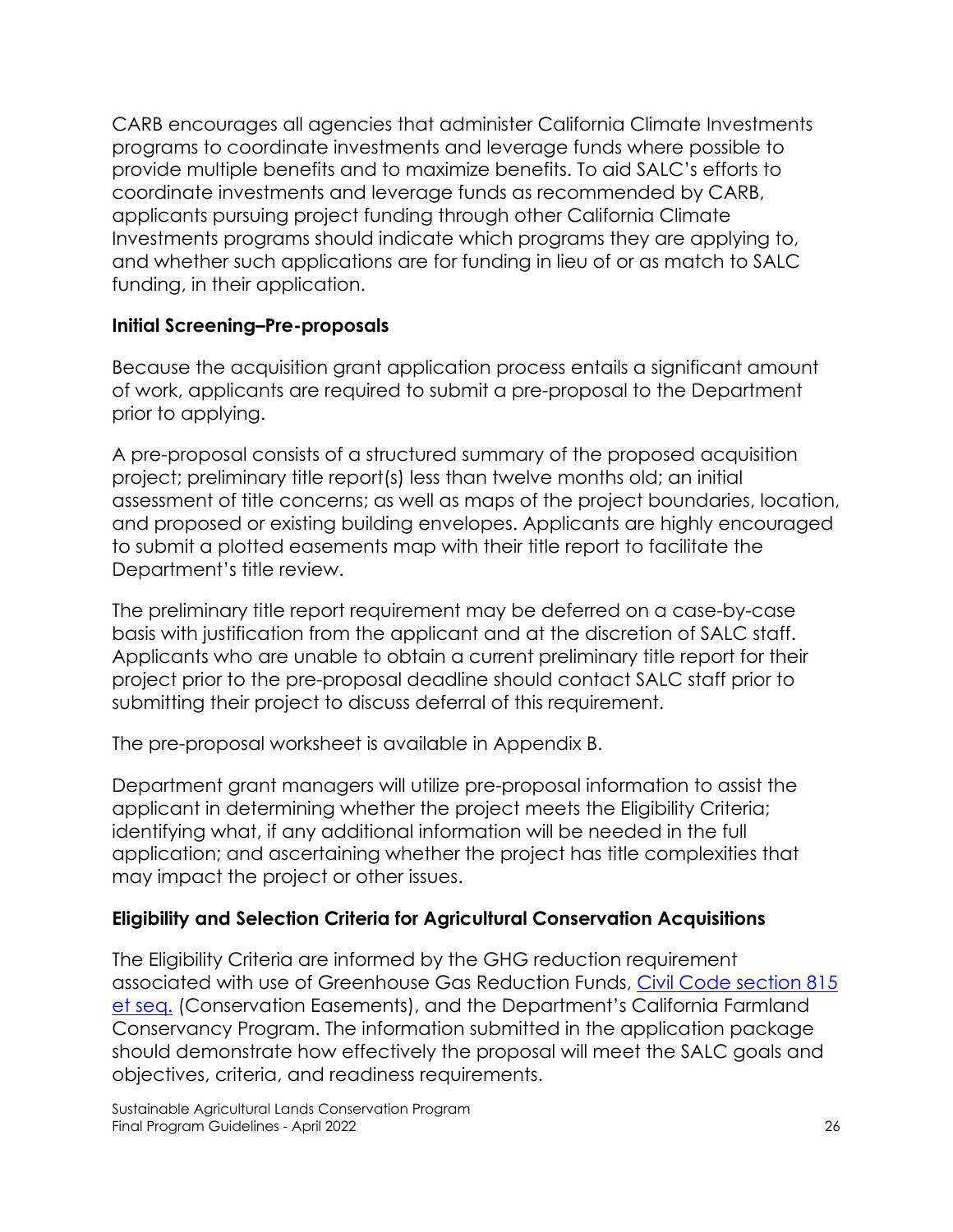CARB encourages all agencies that administer California Climate Investments programs to coordinate investments and leverage funds where possible to provide multiple benefits and to maximize benefits. To aid SALC's efforts to coordinate investments and leverage funds as recommended by CARB, applicants pursuing project funding through other California Climate Investments programs should indicate which programs they are applying to, and whether such applications are for funding in lieu of or as match to SALC funding, in their application.

## **Initial Screening–Pre-proposals**

Because the acquisition grant application process entails a significant amount of work, applicants are required to submit a pre-proposal to the Department prior to applying.

A pre-proposal consists of a structured summary of the proposed acquisition project; preliminary title report(s) less than twelve months old; an initial assessment of title concerns; as well as maps of the project boundaries, location, and proposed or existing building envelopes. Applicants are highly encouraged to submit a plotted easements map with their title report to facilitate the Department's title review.

The preliminary title report requirement may be deferred on a case-by-case basis with justification from the applicant and at the discretion of SALC staff. Applicants who are unable to obtain a current preliminary title report for their project prior to the pre-proposal deadline should contact SALC staff prior to submitting their project to discuss deferral of this requirement.

The pre-proposal worksheet is available in Appendix B.

Department grant managers will utilize pre-proposal information to assist the applicant in determining whether the project meets the Eligibility Criteria; identifying what, if any additional information will be needed in the full application; and ascertaining whether the project has title complexities that may impact the project or other issues.

#### **Eligibility and Selection Criteria for Agricultural Conservation Acquisitions**

The Eligibility Criteria are informed by the GHG reduction requirement associated with use of Greenhouse Gas Reduction Funds, Civil Code [section 815](https://leginfo.legislature.ca.gov/faces/codes_displayText.xhtml?lawCode=CIV&division=2.&title=2.&part=2.&chapter=4.&article=)  [et seq.](https://leginfo.legislature.ca.gov/faces/codes_displayText.xhtml?lawCode=CIV&division=2.&title=2.&part=2.&chapter=4.&article=) (Conservation Easements), and the Department's California Farmland Conservancy Program. The information submitted in the application package should demonstrate how effectively the proposal will meet the SALC goals and objectives, criteria, and readiness requirements.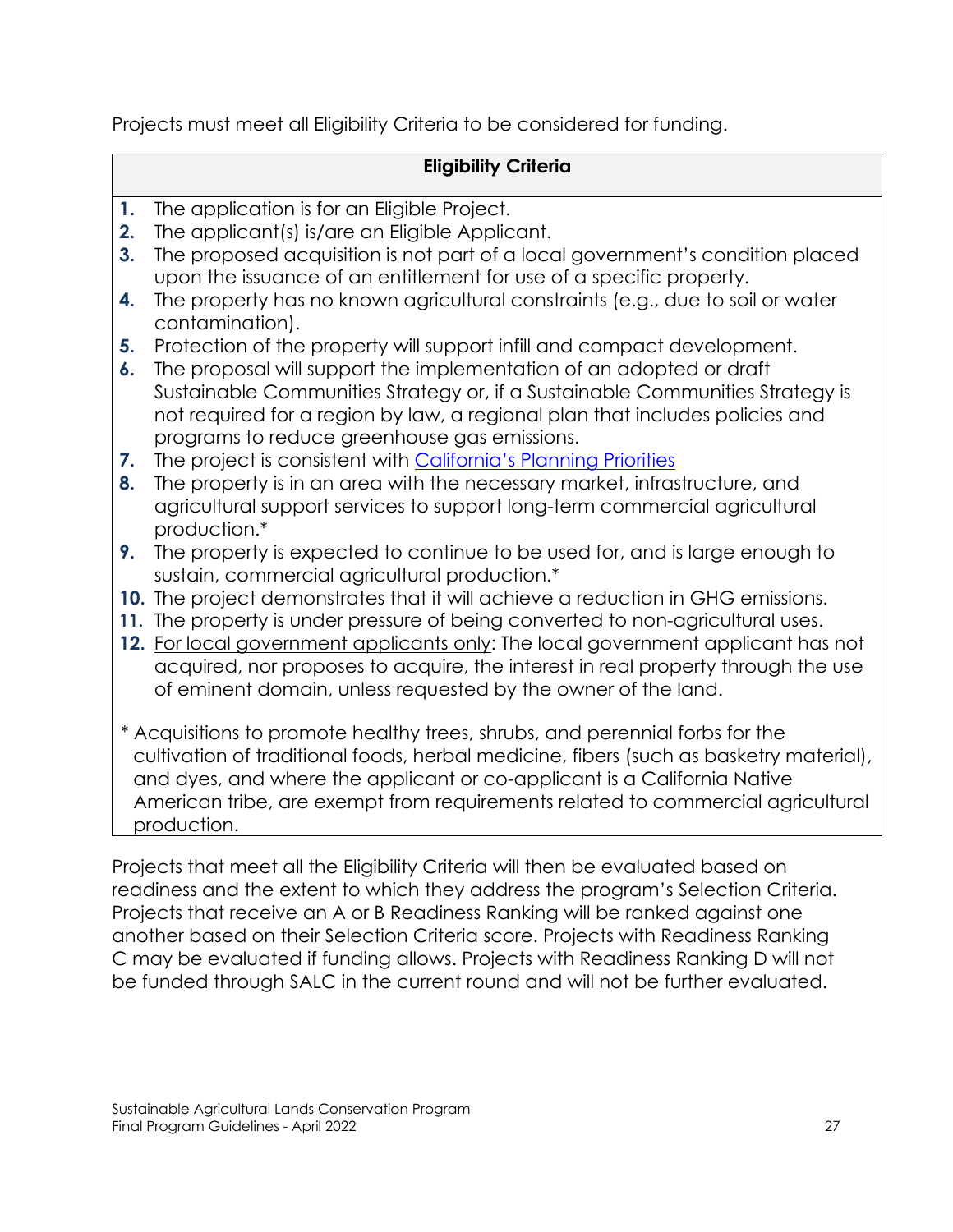Projects must meet all Eligibility Criteria to be considered for funding.

# **Eligibility Criteria**

- **1.** The application is for an Eligible Project.
- **2.** The applicant(s) is/are an Eligible Applicant.
- **3.** The proposed acquisition is not part of a local government's condition placed upon the issuance of an entitlement for use of a specific property.
- **4.** The property has no known agricultural constraints (e.g., due to soil or water contamination).
- **5.** Protection of the property will support infill and compact development.
- **6.** The proposal will support the implementation of an adopted or draft Sustainable Communities Strategy or, if a Sustainable Communities Strategy is not required for a region by law, a regional plan that includes policies and programs to reduce greenhouse gas emissions.
- **7.** The project is consistent with [California's Planning Priorities](https://leginfo.legislature.ca.gov/faces/codes_displaySection.xhtml?lawCode=GOV§ionNum=65041.1)
- **8.** The property is in an area with the necessary market, infrastructure, and agricultural support services to support long-term commercial agricultural production.\*
- **9.** The property is expected to continue to be used for, and is large enough to sustain, commercial agricultural production.\*
- **10.** The project demonstrates that it will achieve a reduction in GHG emissions.
- **11.** The property is under pressure of being converted to non-agricultural uses.
- **12.** For local government applicants only: The local government applicant has not acquired, nor proposes to acquire, the interest in real property through the use of eminent domain, unless requested by the owner of the land.
- \* Acquisitions to promote healthy trees, shrubs, and perennial forbs for the cultivation of traditional foods, herbal medicine, fibers (such as basketry material), and dyes, and where the applicant or co-applicant is a California Native American tribe, are exempt from requirements related to commercial agricultural production.

Projects that meet all the Eligibility Criteria will then be evaluated based on readiness and the extent to which they address the program's Selection Criteria. Projects that receive an A or B Readiness Ranking will be ranked against one another based on their Selection Criteria score. Projects with Readiness Ranking C may be evaluated if funding allows. Projects with Readiness Ranking D will not be funded through SALC in the current round and will not be further evaluated.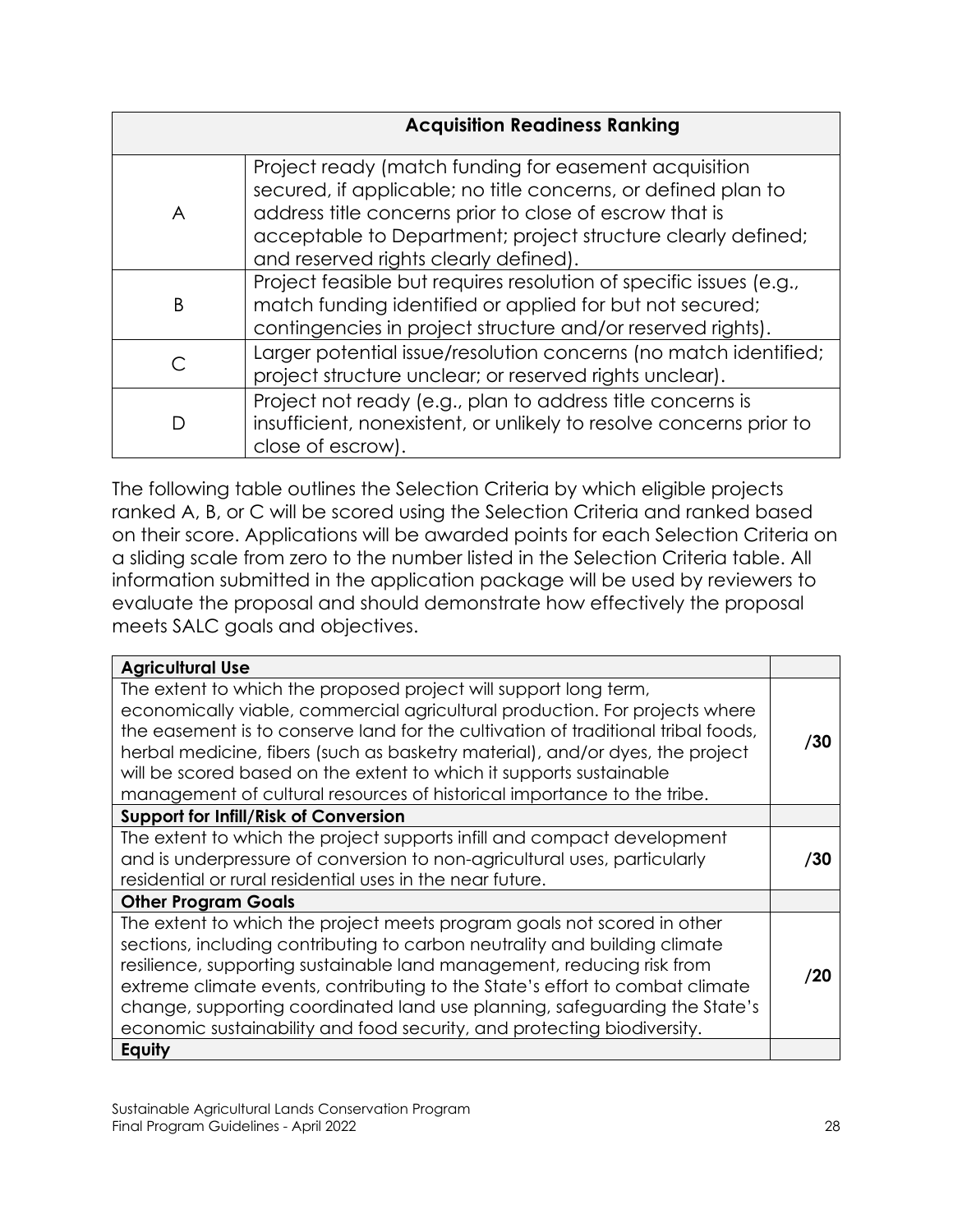|   | <b>Acquisition Readiness Ranking</b>                                                                                                                                                                                                                                                       |
|---|--------------------------------------------------------------------------------------------------------------------------------------------------------------------------------------------------------------------------------------------------------------------------------------------|
| A | Project ready (match funding for easement acquisition<br>secured, if applicable; no title concerns, or defined plan to<br>address title concerns prior to close of escrow that is<br>acceptable to Department; project structure clearly defined;<br>and reserved rights clearly defined). |
| B | Project feasible but requires resolution of specific issues (e.g.,<br>match funding identified or applied for but not secured;<br>contingencies in project structure and/or reserved rights).                                                                                              |
|   | Larger potential issue/resolution concerns (no match identified;<br>project structure unclear; or reserved rights unclear).                                                                                                                                                                |
| D | Project not ready (e.g., plan to address title concerns is<br>insufficient, nonexistent, or unlikely to resolve concerns prior to<br>close of escrow).                                                                                                                                     |

The following table outlines the Selection Criteria by which eligible projects ranked A, B, or C will be scored using the Selection Criteria and ranked based on their score. Applications will be awarded points for each Selection Criteria on a sliding scale from zero to the number listed in the Selection Criteria table. All information submitted in the application package will be used by reviewers to evaluate the proposal and should demonstrate how effectively the proposal meets SALC goals and objectives.

| <b>Agricultural Use</b>                                                                                                                                                                                                                                                                                                                                                                                                                                                  |     |
|--------------------------------------------------------------------------------------------------------------------------------------------------------------------------------------------------------------------------------------------------------------------------------------------------------------------------------------------------------------------------------------------------------------------------------------------------------------------------|-----|
| The extent to which the proposed project will support long term,<br>economically viable, commercial agricultural production. For projects where<br>the easement is to conserve land for the cultivation of traditional tribal foods,<br>herbal medicine, fibers (such as basketry material), and/or dyes, the project<br>will be scored based on the extent to which it supports sustainable<br>management of cultural resources of historical importance to the tribe.  | /30 |
| <b>Support for Infill/Risk of Conversion</b>                                                                                                                                                                                                                                                                                                                                                                                                                             |     |
| The extent to which the project supports infill and compact development<br>and is underpressure of conversion to non-agricultural uses, particularly<br>residential or rural residential uses in the near future.                                                                                                                                                                                                                                                        | /30 |
| <b>Other Program Goals</b>                                                                                                                                                                                                                                                                                                                                                                                                                                               |     |
| The extent to which the project meets program goals not scored in other<br>sections, including contributing to carbon neutrality and building climate<br>resilience, supporting sustainable land management, reducing risk from<br>extreme climate events, contributing to the State's effort to combat climate<br>change, supporting coordinated land use planning, safeguarding the State's<br>economic sustainability and food security, and protecting biodiversity. | /20 |
| Equity                                                                                                                                                                                                                                                                                                                                                                                                                                                                   |     |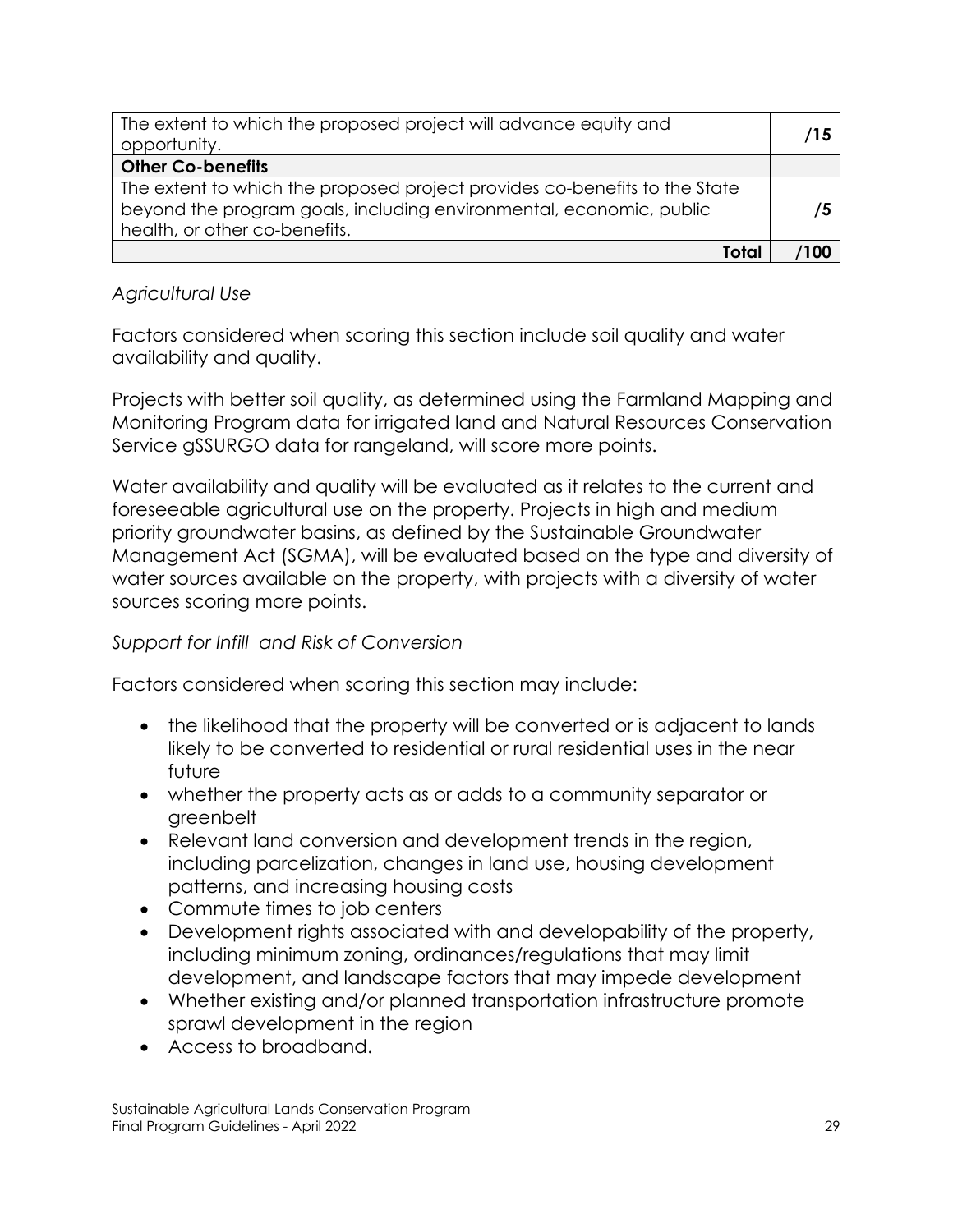| The extent to which the proposed project will advance equity and<br>opportunity.                                                                                                   | /15 |
|------------------------------------------------------------------------------------------------------------------------------------------------------------------------------------|-----|
| <b>Other Co-benefits</b>                                                                                                                                                           |     |
| The extent to which the proposed project provides co-benefits to the State<br>beyond the program goals, including environmental, economic, public<br>health, or other co-benefits. | 75  |
| Total                                                                                                                                                                              |     |

## *Agricultural Use*

Factors considered when scoring this section include soil quality and water availability and quality.

Projects with better soil quality, as determined using the Farmland Mapping and Monitoring Program data for irrigated land and Natural Resources Conservation Service gSSURGO data for rangeland, will score more points.

Water availability and quality will be evaluated as it relates to the current and foreseeable agricultural use on the property. Projects in high and medium priority groundwater basins, as defined by the Sustainable Groundwater Management Act (SGMA), will be evaluated based on the type and diversity of water sources available on the property, with projects with a diversity of water sources scoring more points.

#### *Support for Infill and Risk of Conversion*

Factors considered when scoring this section may include:

- the likelihood that the property will be converted or is adjacent to lands likely to be converted to residential or rural residential uses in the near future
- whether the property acts as or adds to a community separator or greenbelt
- Relevant land conversion and development trends in the region, including parcelization, changes in land use, housing development patterns, and increasing housing costs
- Commute times to job centers
- Development rights associated with and developability of the property, including minimum zoning, ordinances/regulations that may limit development, and landscape factors that may impede development
- Whether existing and/or planned transportation infrastructure promote sprawl development in the region
- Access to broadband.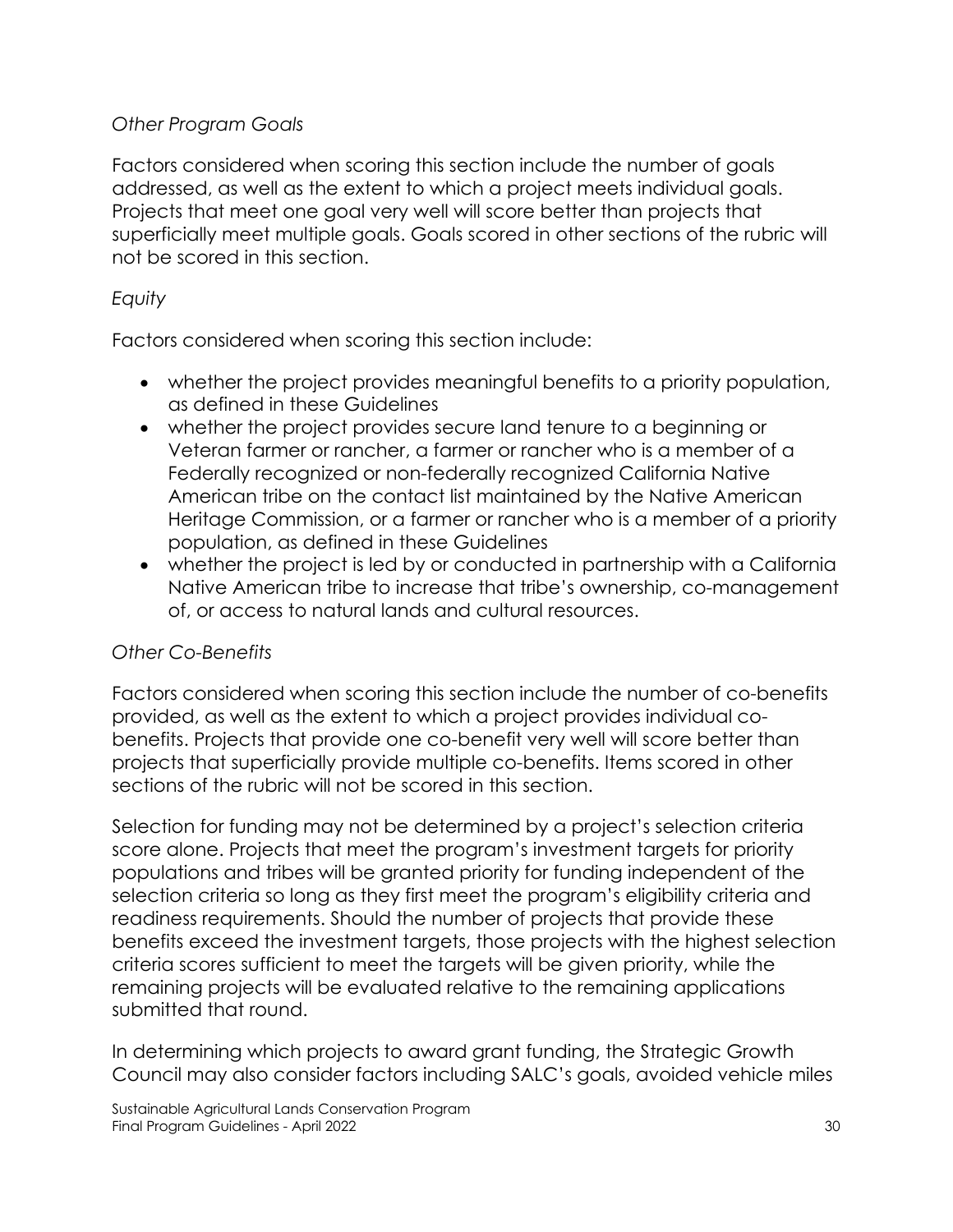## *Other Program Goals*

Factors considered when scoring this section include the number of goals addressed, as well as the extent to which a project meets individual goals. Projects that meet one goal very well will score better than projects that superficially meet multiple goals. Goals scored in other sections of the rubric will not be scored in this section.

## *Equity*

Factors considered when scoring this section include:

- whether the project provides meaningful benefits to a priority population, as defined in these Guidelines
- whether the project provides secure land tenure to a beginning or Veteran farmer or rancher, a farmer or rancher who is a member of a Federally recognized or non-federally recognized California Native American tribe on the contact list maintained by the Native American Heritage Commission, or a farmer or rancher who is a member of a priority population, as defined in these Guidelines
- whether the project is led by or conducted in partnership with a California Native American tribe to increase that tribe's ownership, co-management of, or access to natural lands and cultural resources.

# *Other Co-Benefits*

Factors considered when scoring this section include the number of co-benefits provided, as well as the extent to which a project provides individual cobenefits. Projects that provide one co-benefit very well will score better than projects that superficially provide multiple co-benefits. Items scored in other sections of the rubric will not be scored in this section.

Selection for funding may not be determined by a project's selection criteria score alone. Projects that meet the program's investment targets for priority populations and tribes will be granted priority for funding independent of the selection criteria so long as they first meet the program's eligibility criteria and readiness requirements. Should the number of projects that provide these benefits exceed the investment targets, those projects with the highest selection criteria scores sufficient to meet the targets will be given priority, while the remaining projects will be evaluated relative to the remaining applications submitted that round.

In determining which projects to award grant funding, the Strategic Growth Council may also consider factors including SALC's goals, avoided vehicle miles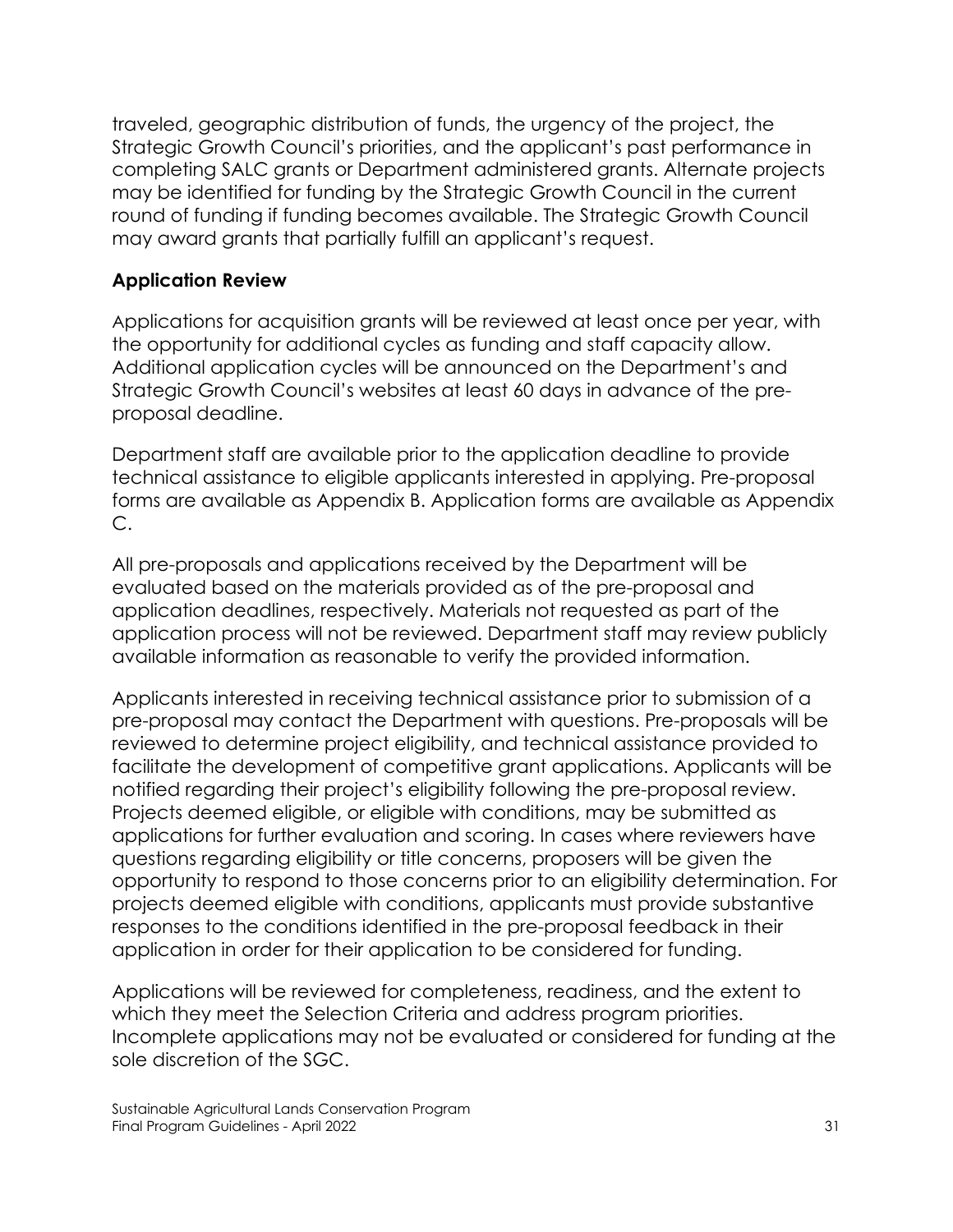traveled, geographic distribution of funds, the urgency of the project, the Strategic Growth Council's priorities, and the applicant's past performance in completing SALC grants or Department administered grants. Alternate projects may be identified for funding by the Strategic Growth Council in the current round of funding if funding becomes available. The Strategic Growth Council may award grants that partially fulfill an applicant's request.

#### **Application Review**

Applications for acquisition grants will be reviewed at least once per year, with the opportunity for additional cycles as funding and staff capacity allow. Additional application cycles will be announced on the Department's and Strategic Growth Council's websites at least 60 days in advance of the preproposal deadline.

Department staff are available prior to the application deadline to provide technical assistance to eligible applicants interested in applying. Pre-proposal forms are available as Appendix B. Application forms are available as Appendix C.

All pre-proposals and applications received by the Department will be evaluated based on the materials provided as of the pre-proposal and application deadlines, respectively. Materials not requested as part of the application process will not be reviewed. Department staff may review publicly available information as reasonable to verify the provided information.

Applicants interested in receiving technical assistance prior to submission of a pre-proposal may contact the Department with questions. Pre-proposals will be reviewed to determine project eligibility, and technical assistance provided to facilitate the development of competitive grant applications. Applicants will be notified regarding their project's eligibility following the pre-proposal review. Projects deemed eligible, or eligible with conditions, may be submitted as applications for further evaluation and scoring. In cases where reviewers have questions regarding eligibility or title concerns, proposers will be given the opportunity to respond to those concerns prior to an eligibility determination. For projects deemed eligible with conditions, applicants must provide substantive responses to the conditions identified in the pre-proposal feedback in their application in order for their application to be considered for funding.

Applications will be reviewed for completeness, readiness, and the extent to which they meet the Selection Criteria and address program priorities. Incomplete applications may not be evaluated or considered for funding at the sole discretion of the SGC.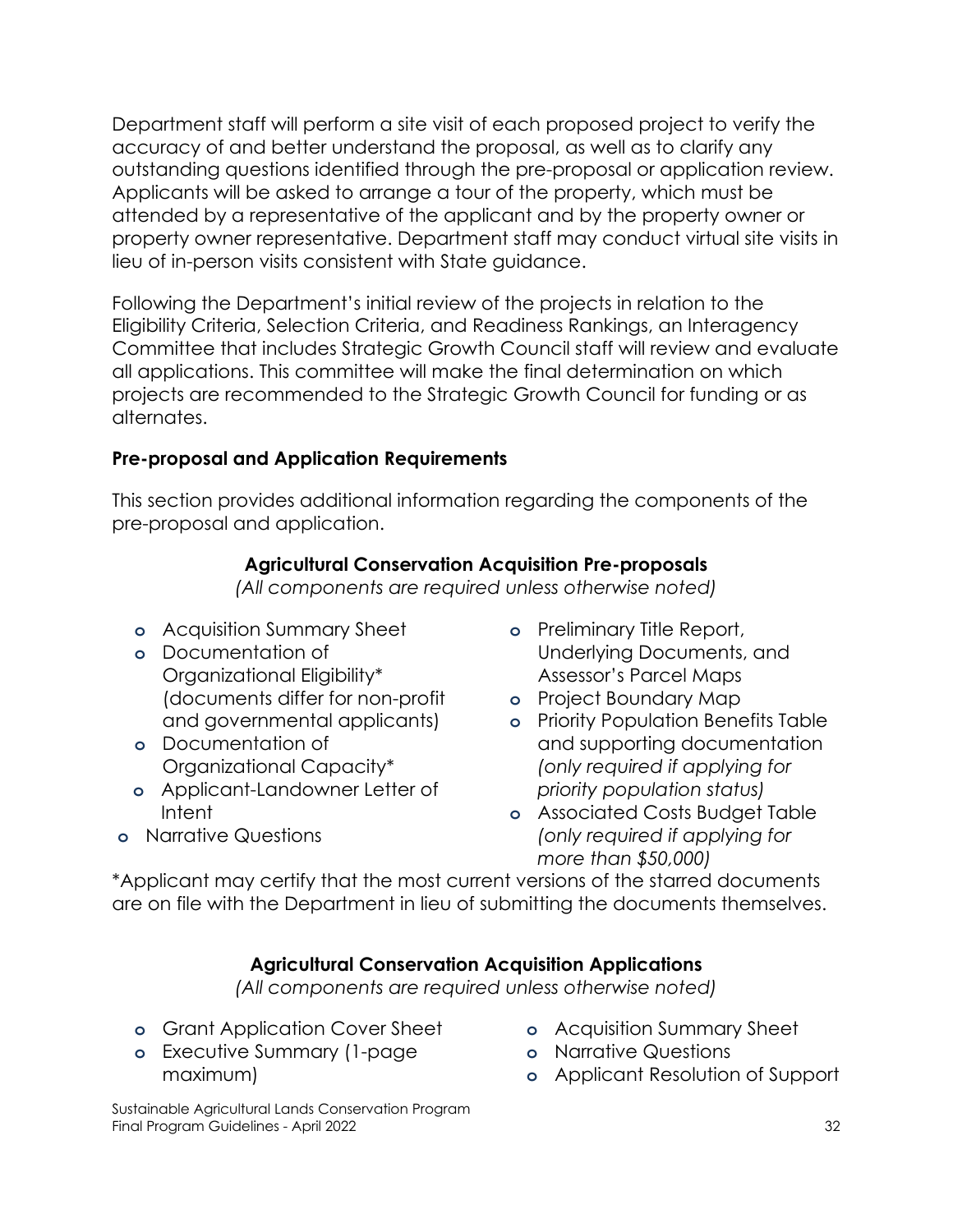Department staff will perform a site visit of each proposed project to verify the accuracy of and better understand the proposal, as well as to clarify any outstanding questions identified through the pre-proposal or application review. Applicants will be asked to arrange a tour of the property, which must be attended by a representative of the applicant and by the property owner or property owner representative. Department staff may conduct virtual site visits in lieu of in-person visits consistent with State guidance.

Following the Department's initial review of the projects in relation to the Eligibility Criteria, Selection Criteria, and Readiness Rankings, an Interagency Committee that includes Strategic Growth Council staff will review and evaluate all applications. This committee will make the final determination on which projects are recommended to the Strategic Growth Council for funding or as alternates.

## **Pre-proposal and Application Requirements**

This section provides additional information regarding the components of the pre-proposal and application.

## **Agricultural Conservation Acquisition Pre-proposals**

*(All components are required unless otherwise noted)*

- **o** Acquisition Summary Sheet
- **o** Documentation of Organizational Eligibility\* (documents differ for non-profit and governmental applicants)
- **o** Documentation of Organizational Capacity\*
- **o** Applicant-Landowner Letter of Intent
- **o** Preliminary Title Report, Underlying Documents, and Assessor's Parcel Maps
- **o** Project Boundary Map
- **o** Priority Population Benefits Table and supporting documentation *(only required if applying for priority population status)*
- **o** Associated Costs Budget Table *(only required if applying for more than \$50,000)*

**o** Narrative Questions

\*Applicant may certify that the most current versions of the starred documents are on file with the Department in lieu of submitting the documents themselves.

# **Agricultural Conservation Acquisition Applications**

*(All components are required unless otherwise noted)*

- **o** Grant Application Cover Sheet
- **o** Executive Summary (1-page maximum)
- **o** Acquisition Summary Sheet
- **o** Narrative Questions
- **o** Applicant Resolution of Support

Sustainable Agricultural Lands Conservation Program Final Program Guidelines - April 2022 32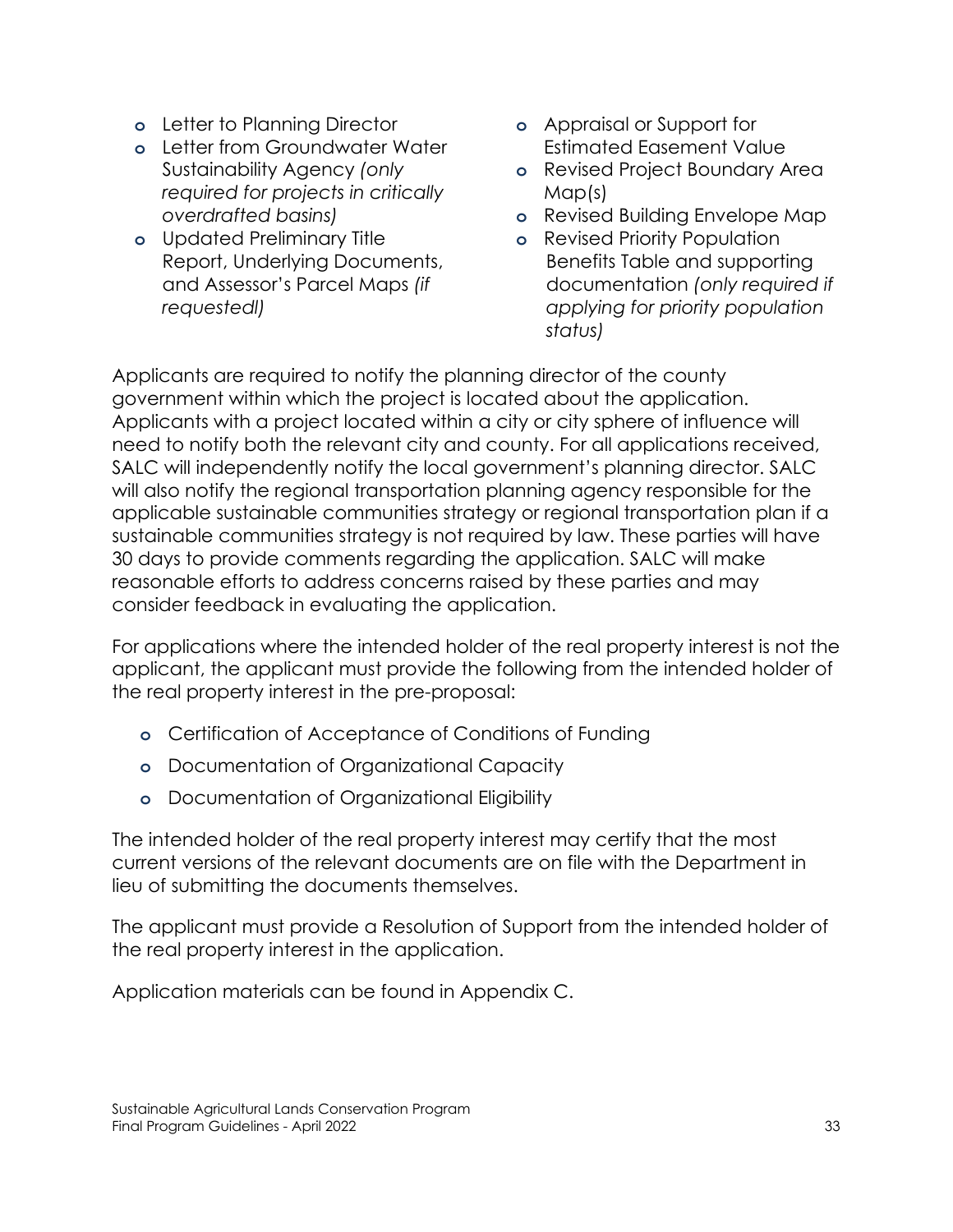- **o** Letter to Planning Director
- **o** Letter from Groundwater Water Sustainability Agency *(only required for projects in critically overdrafted basins)*
- **o** Updated Preliminary Title Report, Underlying Documents, and Assessor's Parcel Maps *(if requestedl)*
- **o** Appraisal or Support for Estimated Easement Value
- **o** Revised Project Boundary Area Map(s)
- **o** Revised Building Envelope Map
- **o** Revised Priority Population Benefits Table and supporting documentation *(only required if applying for priority population status)*

Applicants are required to notify the planning director of the county government within which the project is located about the application. Applicants with a project located within a city or city sphere of influence will need to notify both the relevant city and county. For all applications received, SALC will independently notify the local government's planning director. SALC will also notify the regional transportation planning agency responsible for the applicable sustainable communities strategy or regional transportation plan if a sustainable communities strategy is not required by law. These parties will have 30 days to provide comments regarding the application. SALC will make reasonable efforts to address concerns raised by these parties and may consider feedback in evaluating the application.

For applications where the intended holder of the real property interest is not the applicant, the applicant must provide the following from the intended holder of the real property interest in the pre-proposal:

- **o** Certification of Acceptance of Conditions of Funding
- **o** Documentation of Organizational Capacity
- **o** Documentation of Organizational Eligibility

The intended holder of the real property interest may certify that the most current versions of the relevant documents are on file with the Department in lieu of submitting the documents themselves.

The applicant must provide a Resolution of Support from the intended holder of the real property interest in the application.

Application materials can be found in Appendix C.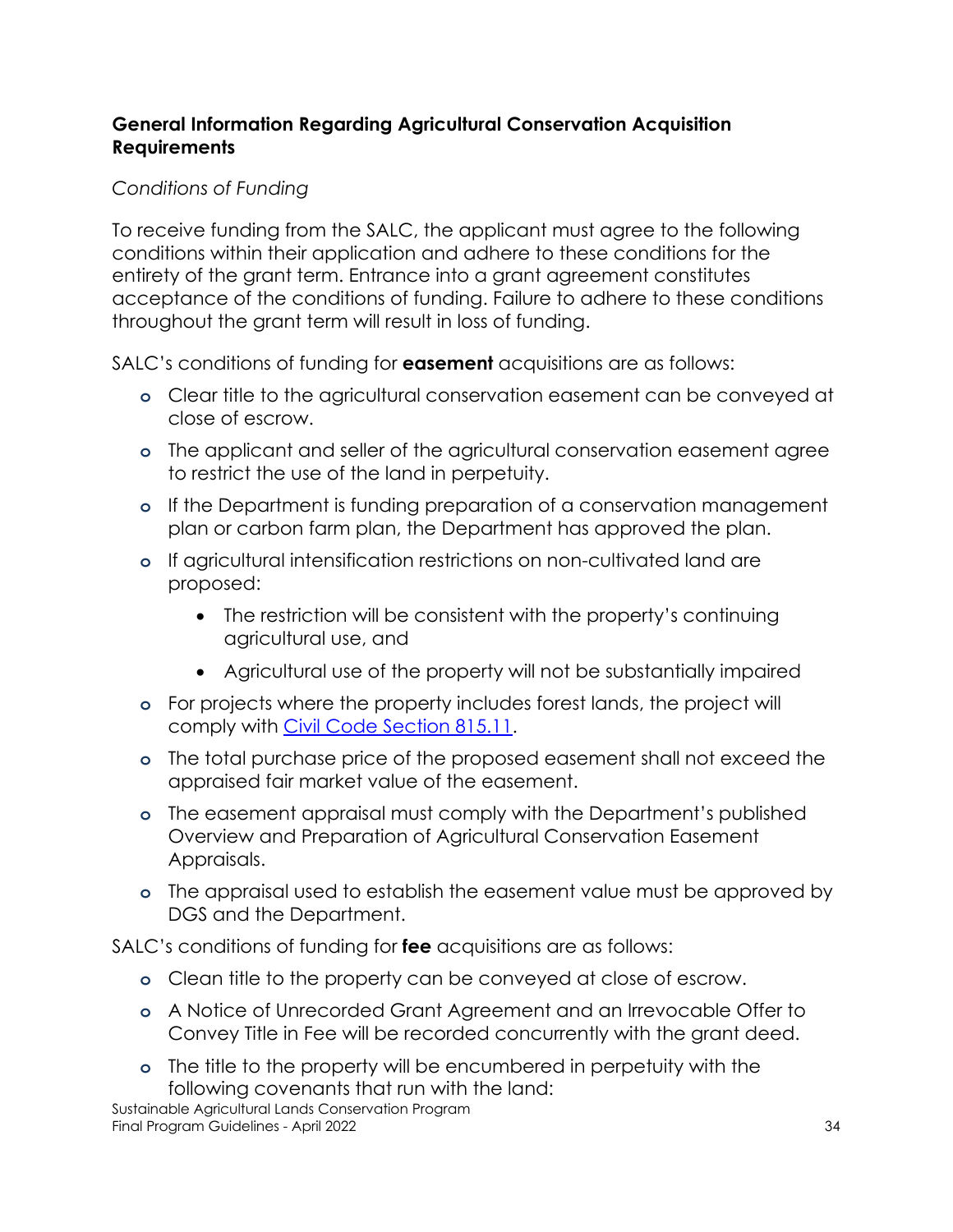# **General Information Regarding Agricultural Conservation Acquisition Requirements**

# *Conditions of Funding*

To receive funding from the SALC, the applicant must agree to the following conditions within their application and adhere to these conditions for the entirety of the grant term. Entrance into a grant agreement constitutes acceptance of the conditions of funding. Failure to adhere to these conditions throughout the grant term will result in loss of funding.

SALC's conditions of funding for **easement** acquisitions are as follows:

- **o** Clear title to the agricultural conservation easement can be conveyed at close of escrow.
- **o** The applicant and seller of the agricultural conservation easement agree to restrict the use of the land in perpetuity.
- **o** If the Department is funding preparation of a conservation management plan or carbon farm plan, the Department has approved the plan.
- **o** If agricultural intensification restrictions on non-cultivated land are proposed:
	- The restriction will be consistent with the property's continuing agricultural use, and
	- Agricultural use of the property will not be substantially impaired
- **o** For projects where the property includes forest lands, the project will comply with [Civil Code Section 815.11.](https://leginfo.legislature.ca.gov/faces/codes_displaySection.xhtml?lawCode=CIV§ionNum=815.11.)
- **o** The total purchase price of the proposed easement shall not exceed the appraised fair market value of the easement.
- **o** The easement appraisal must comply with the Department's published Overview and Preparation of Agricultural Conservation Easement Appraisals.
- **o** The appraisal used to establish the easement value must be approved by DGS and the Department.

SALC's conditions of funding for **fee** acquisitions are as follows:

- **o** Clean title to the property can be conveyed at close of escrow.
- **o** A Notice of Unrecorded Grant Agreement and an Irrevocable Offer to Convey Title in Fee will be recorded concurrently with the grant deed.
- **o** The title to the property will be encumbered in perpetuity with the following covenants that run with the land:

Sustainable Agricultural Lands Conservation Program Final Program Guidelines - April 2022 34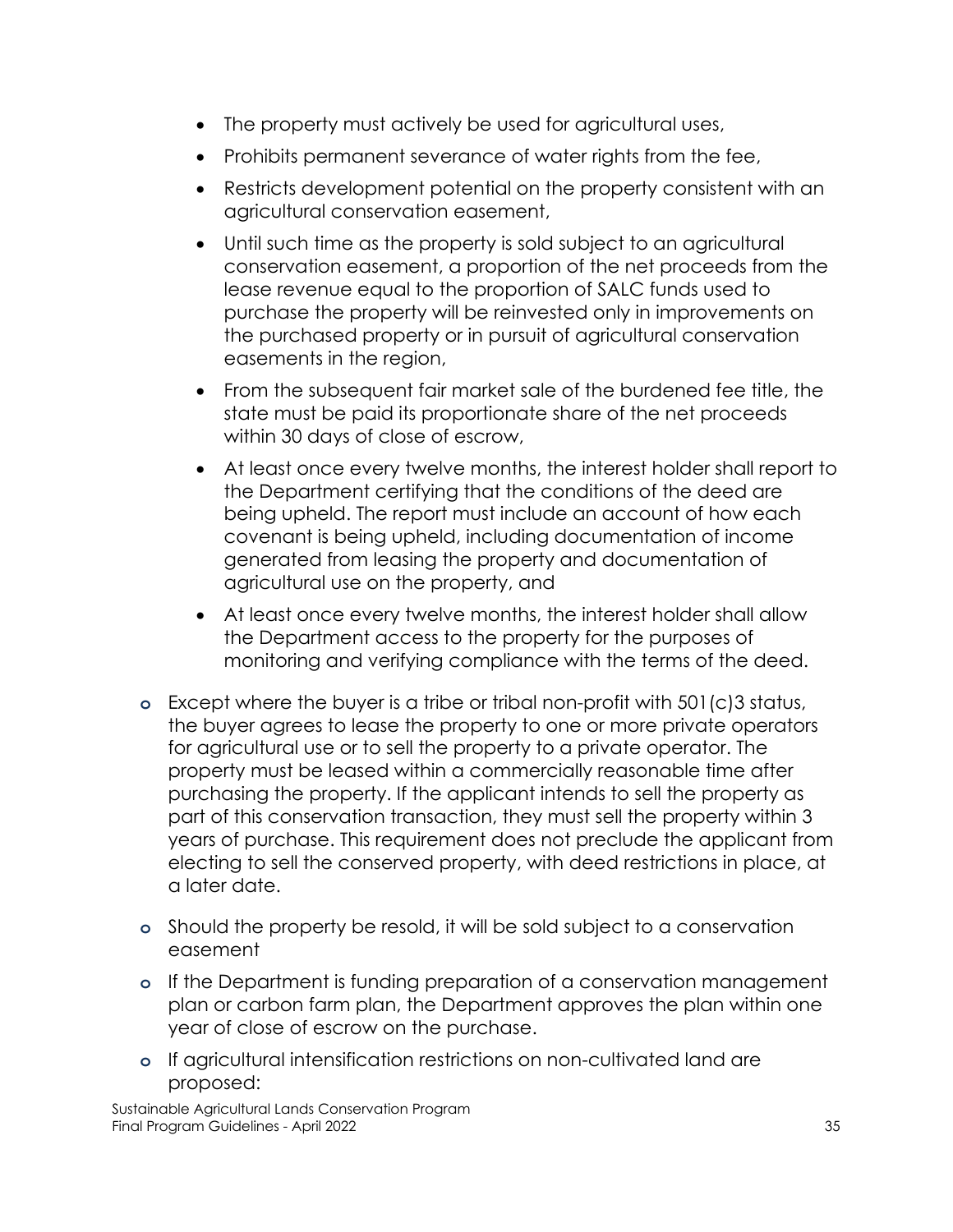- The property must actively be used for agricultural uses,
- Prohibits permanent severance of water rights from the fee,
- Restricts development potential on the property consistent with an agricultural conservation easement,
- Until such time as the property is sold subject to an agricultural conservation easement, a proportion of the net proceeds from the lease revenue equal to the proportion of SALC funds used to purchase the property will be reinvested only in improvements on the purchased property or in pursuit of agricultural conservation easements in the region,
- From the subsequent fair market sale of the burdened fee title, the state must be paid its proportionate share of the net proceeds within 30 days of close of escrow,
- At least once every twelve months, the interest holder shall report to the Department certifying that the conditions of the deed are being upheld. The report must include an account of how each covenant is being upheld, including documentation of income generated from leasing the property and documentation of agricultural use on the property, and
- At least once every twelve months, the interest holder shall allow the Department access to the property for the purposes of monitoring and verifying compliance with the terms of the deed.
- **o** Except where the buyer is a tribe or tribal non-profit with 501(c)3 status, the buyer agrees to lease the property to one or more private operators for agricultural use or to sell the property to a private operator. The property must be leased within a commercially reasonable time after purchasing the property. If the applicant intends to sell the property as part of this conservation transaction, they must sell the property within 3 years of purchase. This requirement does not preclude the applicant from electing to sell the conserved property, with deed restrictions in place, at a later date.
- **o** Should the property be resold, it will be sold subject to a conservation easement
- **o** If the Department is funding preparation of a conservation management plan or carbon farm plan, the Department approves the plan within one year of close of escrow on the purchase.
- **o** If agricultural intensification restrictions on non-cultivated land are proposed: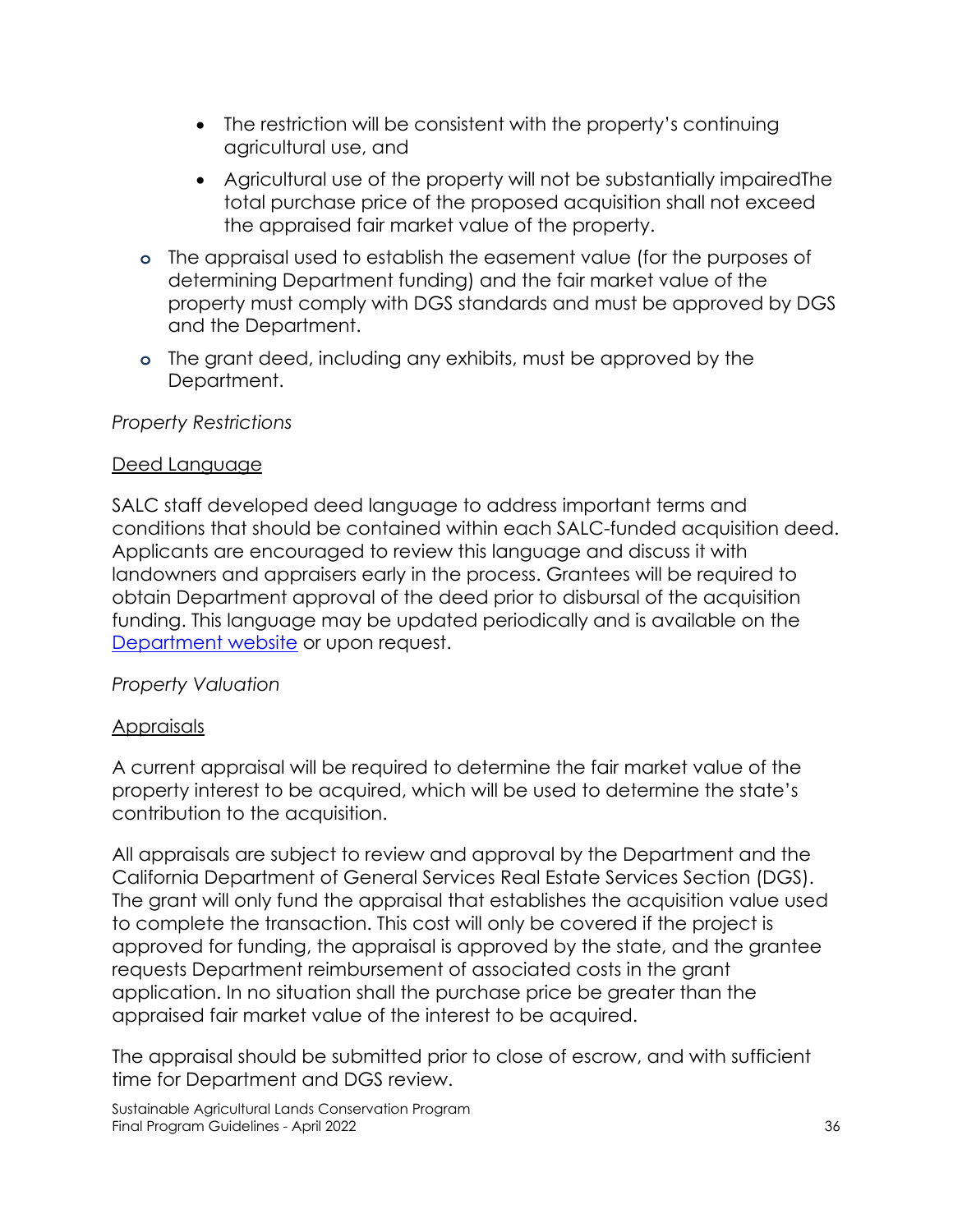- The restriction will be consistent with the property's continuing agricultural use, and
- Agricultural use of the property will not be substantially impairedThe total purchase price of the proposed acquisition shall not exceed the appraised fair market value of the property.
- **o** The appraisal used to establish the easement value (for the purposes of determining Department funding) and the fair market value of the property must comply with DGS standards and must be approved by DGS and the Department.
- **o** The grant deed, including any exhibits, must be approved by the Department.

## *Property Restrictions*

## Deed Language

SALC staff developed deed language to address important terms and conditions that should be contained within each SALC-funded acquisition deed. Applicants are encouraged to review this language and discuss it with landowners and appraisers early in the process. Grantees will be required to obtain Department approval of the deed prior to disbursal of the acquisition funding. This language may be updated periodically and is available on the [Department website](https://www.conservation.ca.gov/dlrp/grant-programs/Pages/grant.aspx) or upon request.

# *Property Valuation*

# Appraisals

A current appraisal will be required to determine the fair market value of the property interest to be acquired, which will be used to determine the state's contribution to the acquisition.

All appraisals are subject to review and approval by the Department and the California Department of General Services Real Estate Services Section (DGS). The grant will only fund the appraisal that establishes the acquisition value used to complete the transaction. This cost will only be covered if the project is approved for funding, the appraisal is approved by the state, and the grantee requests Department reimbursement of associated costs in the grant application. In no situation shall the purchase price be greater than the appraised fair market value of the interest to be acquired.

The appraisal should be submitted prior to close of escrow, and with sufficient time for Department and DGS review.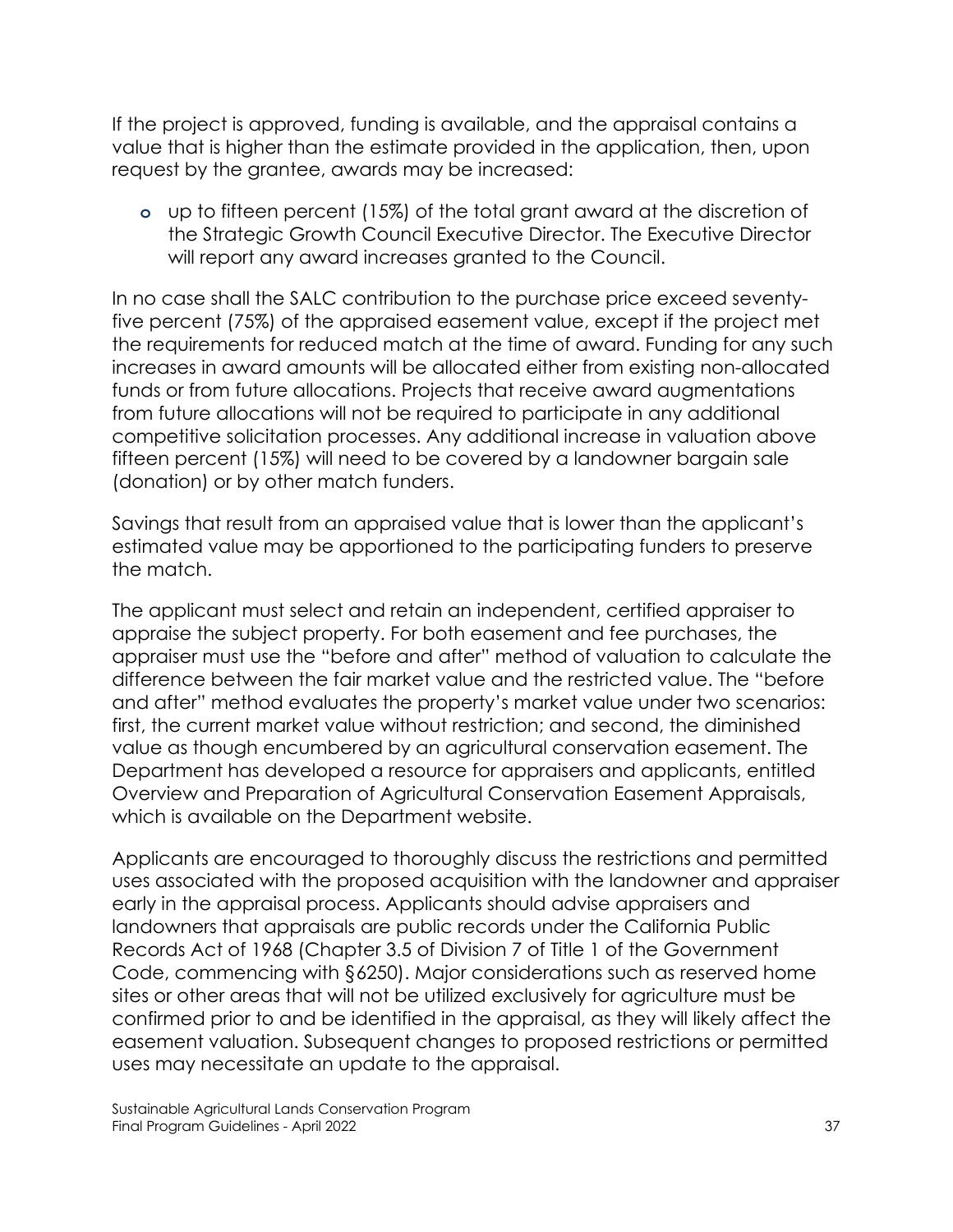If the project is approved, funding is available, and the appraisal contains a value that is higher than the estimate provided in the application, then, upon request by the grantee, awards may be increased:

**o** up to fifteen percent (15%) of the total grant award at the discretion of the Strategic Growth Council Executive Director. The Executive Director will report any award increases granted to the Council.

In no case shall the SALC contribution to the purchase price exceed seventyfive percent (75%) of the appraised easement value, except if the project met the requirements for reduced match at the time of award. Funding for any such increases in award amounts will be allocated either from existing non-allocated funds or from future allocations. Projects that receive award augmentations from future allocations will not be required to participate in any additional competitive solicitation processes. Any additional increase in valuation above fifteen percent (15%) will need to be covered by a landowner bargain sale (donation) or by other match funders.

Savings that result from an appraised value that is lower than the applicant's estimated value may be apportioned to the participating funders to preserve the match.

The applicant must select and retain an independent, certified appraiser to appraise the subject property. For both easement and fee purchases, the appraiser must use the "before and after" method of valuation to calculate the difference between the fair market value and the restricted value. The "before and after" method evaluates the property's market value under two scenarios: first, the current market value without restriction; and second, the diminished value as though encumbered by an agricultural conservation easement. The Department has developed a resource for appraisers and applicants, entitled Overview and Preparation of Agricultural Conservation Easement Appraisals, which is available on the Department website.

Applicants are encouraged to thoroughly discuss the restrictions and permitted uses associated with the proposed acquisition with the landowner and appraiser early in the appraisal process. Applicants should advise appraisers and landowners that appraisals are public records under the California Public Records Act of 1968 (Chapter 3.5 of Division 7 of Title 1 of the Government Code, commencing with §6250). Major considerations such as reserved home sites or other areas that will not be utilized exclusively for agriculture must be confirmed prior to and be identified in the appraisal, as they will likely affect the easement valuation. Subsequent changes to proposed restrictions or permitted uses may necessitate an update to the appraisal.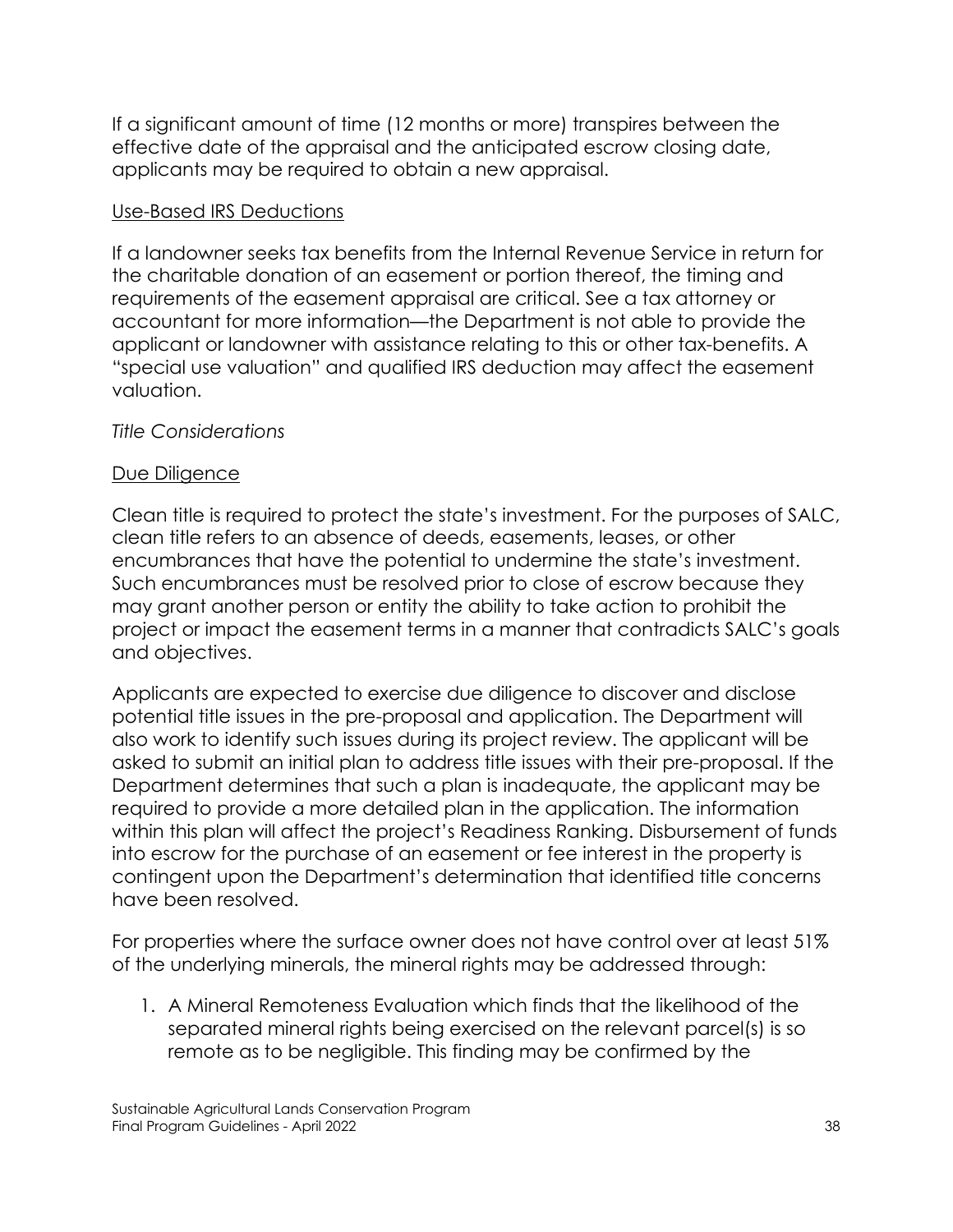If a significant amount of time (12 months or more) transpires between the effective date of the appraisal and the anticipated escrow closing date, applicants may be required to obtain a new appraisal.

#### Use-Based IRS Deductions

If a landowner seeks tax benefits from the Internal Revenue Service in return for the charitable donation of an easement or portion thereof, the timing and requirements of the easement appraisal are critical. See a tax attorney or accountant for more information—the Department is not able to provide the applicant or landowner with assistance relating to this or other tax-benefits. A "special use valuation" and qualified IRS deduction may affect the easement valuation.

#### *Title Considerations*

#### Due Diligence

Clean title is required to protect the state's investment. For the purposes of SALC, clean title refers to an absence of deeds, easements, leases, or other encumbrances that have the potential to undermine the state's investment. Such encumbrances must be resolved prior to close of escrow because they may grant another person or entity the ability to take action to prohibit the project or impact the easement terms in a manner that contradicts SALC's goals and objectives.

Applicants are expected to exercise due diligence to discover and disclose potential title issues in the pre-proposal and application. The Department will also work to identify such issues during its project review. The applicant will be asked to submit an initial plan to address title issues with their pre-proposal. If the Department determines that such a plan is inadequate, the applicant may be required to provide a more detailed plan in the application. The information within this plan will affect the project's Readiness Ranking. Disbursement of funds into escrow for the purchase of an easement or fee interest in the property is contingent upon the Department's determination that identified title concerns have been resolved.

For properties where the surface owner does not have control over at least 51% of the underlying minerals, the mineral rights may be addressed through:

1. A Mineral Remoteness Evaluation which finds that the likelihood of the separated mineral rights being exercised on the relevant parcel(s) is so remote as to be negligible. This finding may be confirmed by the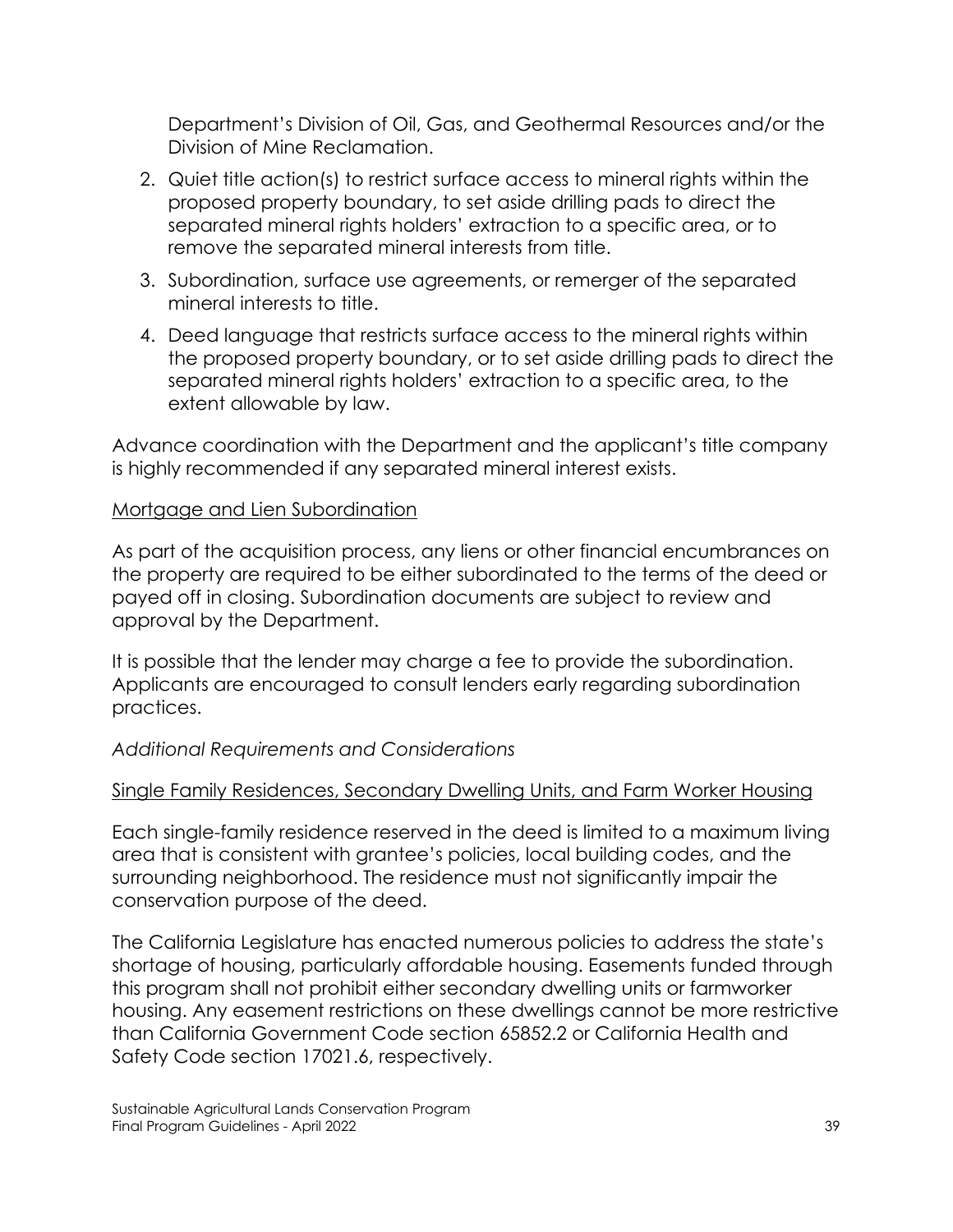Department's Division of Oil, Gas, and Geothermal Resources and/or the Division of Mine Reclamation.

- 2. Quiet title action(s) to restrict surface access to mineral rights within the proposed property boundary, to set aside drilling pads to direct the separated mineral rights holders' extraction to a specific area, or to remove the separated mineral interests from title.
- 3. Subordination, surface use agreements, or remerger of the separated mineral interests to title.
- 4. Deed language that restricts surface access to the mineral rights within the proposed property boundary, or to set aside drilling pads to direct the separated mineral rights holders' extraction to a specific area, to the extent allowable by law.

Advance coordination with the Department and the applicant's title company is highly recommended if any separated mineral interest exists.

#### Mortgage and Lien Subordination

As part of the acquisition process, any liens or other financial encumbrances on the property are required to be either subordinated to the terms of the deed or payed off in closing. Subordination documents are subject to review and approval by the Department.

It is possible that the lender may charge a fee to provide the subordination. Applicants are encouraged to consult lenders early regarding subordination practices.

# *Additional Requirements and Considerations*

# Single Family Residences, Secondary Dwelling Units, and Farm Worker Housing

Each single-family residence reserved in the deed is limited to a maximum living area that is consistent with grantee's policies, local building codes, and the surrounding neighborhood. The residence must not significantly impair the conservation purpose of the deed.

The California Legislature has enacted numerous policies to address the state's shortage of housing, particularly affordable housing. Easements funded through this program shall not prohibit either secondary dwelling units or farmworker housing. Any easement restrictions on these dwellings cannot be more restrictive than California Government Code section 65852.2 or California Health and Safety Code section 17021.6, respectively.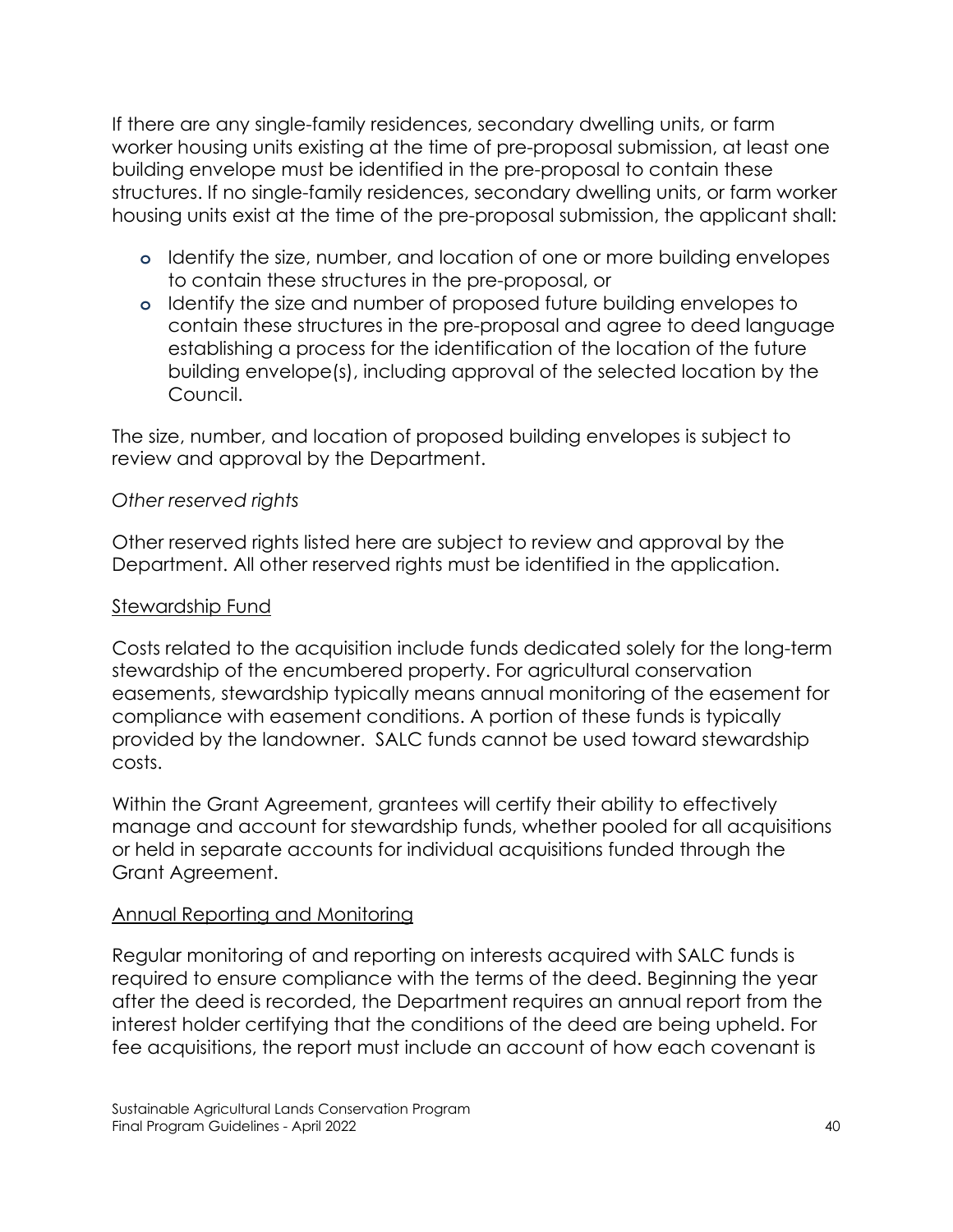If there are any single-family residences, secondary dwelling units, or farm worker housing units existing at the time of pre-proposal submission, at least one building envelope must be identified in the pre-proposal to contain these structures. If no single-family residences, secondary dwelling units, or farm worker housing units exist at the time of the pre-proposal submission, the applicant shall:

- **o** Identify the size, number, and location of one or more building envelopes to contain these structures in the pre-proposal, or
- **o** Identify the size and number of proposed future building envelopes to contain these structures in the pre-proposal and agree to deed language establishing a process for the identification of the location of the future building envelope(s), including approval of the selected location by the Council.

The size, number, and location of proposed building envelopes is subject to review and approval by the Department.

#### *Other reserved rights*

Other reserved rights listed here are subject to review and approval by the Department. All other reserved rights must be identified in the application.

#### Stewardship Fund

Costs related to the acquisition include funds dedicated solely for the long-term stewardship of the encumbered property. For agricultural conservation easements, stewardship typically means annual monitoring of the easement for compliance with easement conditions. A portion of these funds is typically provided by the landowner. SALC funds cannot be used toward stewardship costs.

Within the Grant Agreement, grantees will certify their ability to effectively manage and account for stewardship funds, whether pooled for all acquisitions or held in separate accounts for individual acquisitions funded through the Grant Agreement.

#### Annual Reporting and Monitoring

Regular monitoring of and reporting on interests acquired with SALC funds is required to ensure compliance with the terms of the deed. Beginning the year after the deed is recorded, the Department requires an annual report from the interest holder certifying that the conditions of the deed are being upheld. For fee acquisitions, the report must include an account of how each covenant is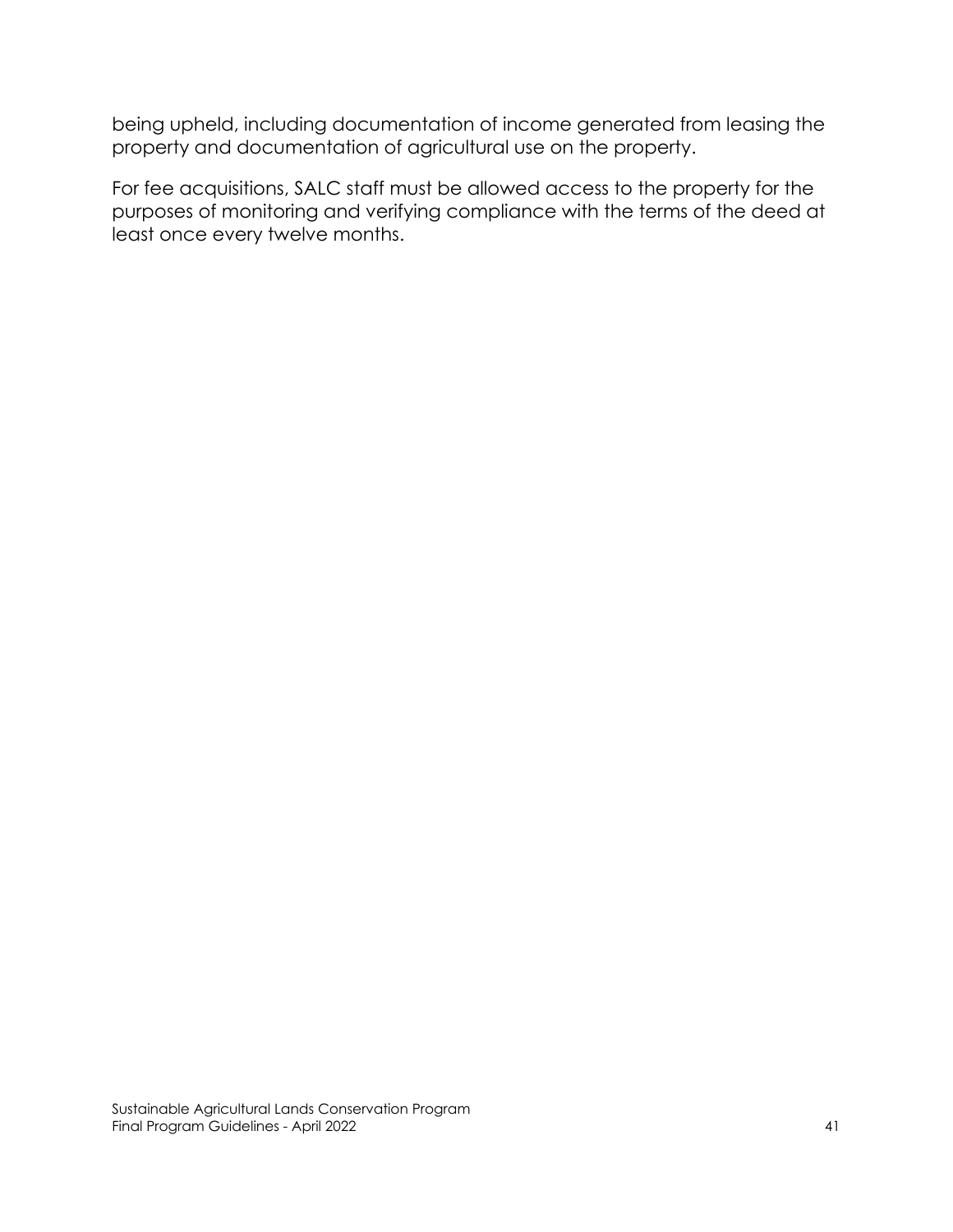being upheld, including documentation of income generated from leasing the property and documentation of agricultural use on the property.

For fee acquisitions, SALC staff must be allowed access to the property for the purposes of monitoring and verifying compliance with the terms of the deed at least once every twelve months.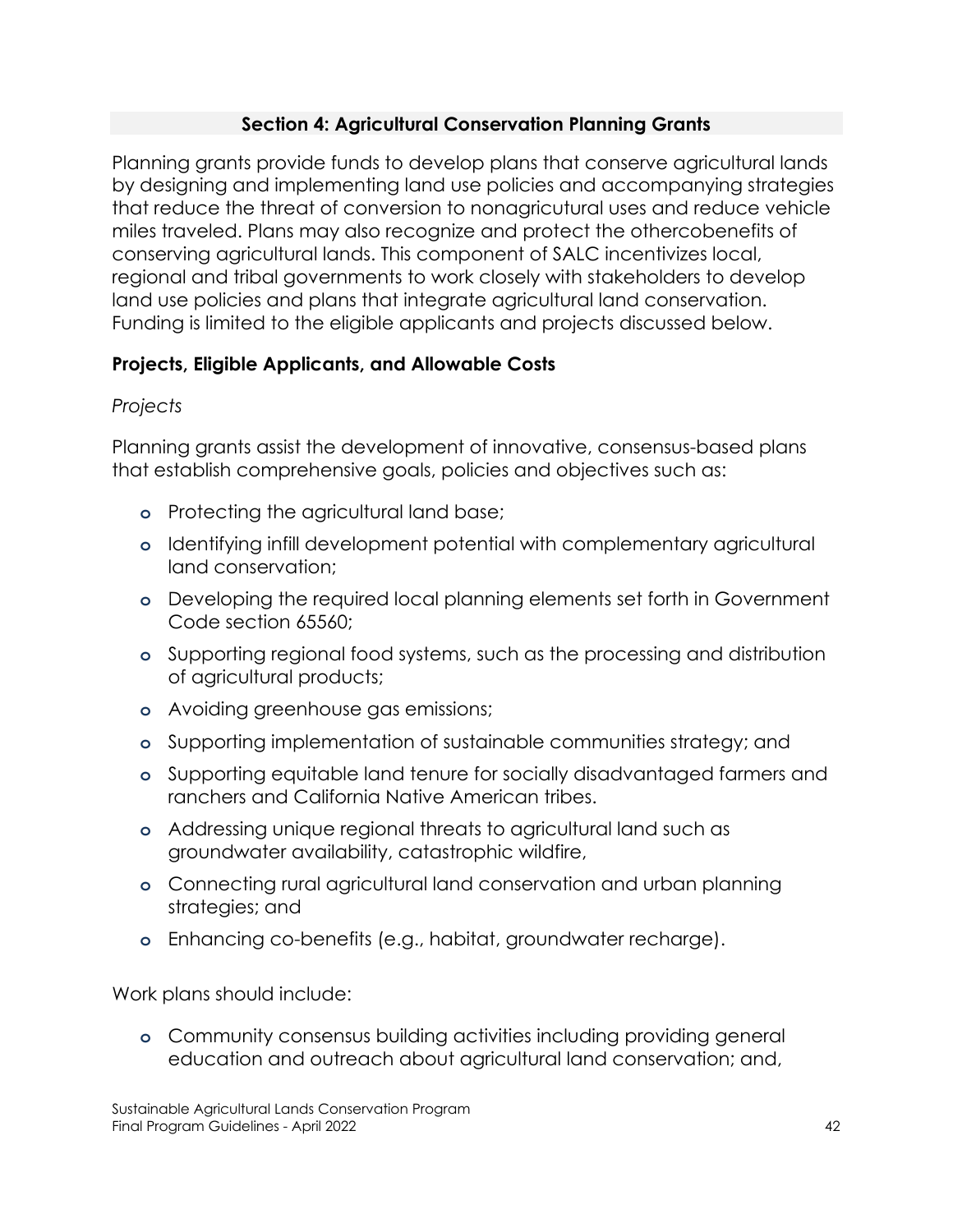## **Section 4: Agricultural Conservation Planning Grants**

Planning grants provide funds to develop plans that conserve agricultural lands by designing and implementing land use policies and accompanying strategies that reduce the threat of conversion to nonagricutural uses and reduce vehicle miles traveled. Plans may also recognize and protect the othercobenefits of conserving agricultural lands. This component of SALC incentivizes local, regional and tribal governments to work closely with stakeholders to develop land use policies and plans that integrate agricultural land conservation. Funding is limited to the eligible applicants and projects discussed below.

# **Projects, Eligible Applicants, and Allowable Costs**

## *Projects*

Planning grants assist the development of innovative, consensus-based plans that establish comprehensive goals, policies and objectives such as:

- **o** Protecting the agricultural land base;
- **o** Identifying infill development potential with complementary agricultural land conservation;
- **o** Developing the required local planning elements set forth in Government Code section 65560;
- **o** Supporting regional food systems, such as the processing and distribution of agricultural products;
- **o** Avoiding greenhouse gas emissions;
- **o** Supporting implementation of sustainable communities strategy; and
- **o** Supporting equitable land tenure for socially disadvantaged farmers and ranchers and California Native American tribes.
- **o** Addressing unique regional threats to agricultural land such as groundwater availability, catastrophic wildfire,
- **o** Connecting rural agricultural land conservation and urban planning strategies; and
- **o** Enhancing co-benefits (e.g., habitat, groundwater recharge).

Work plans should include:

**o** Community consensus building activities including providing general education and outreach about agricultural land conservation; and,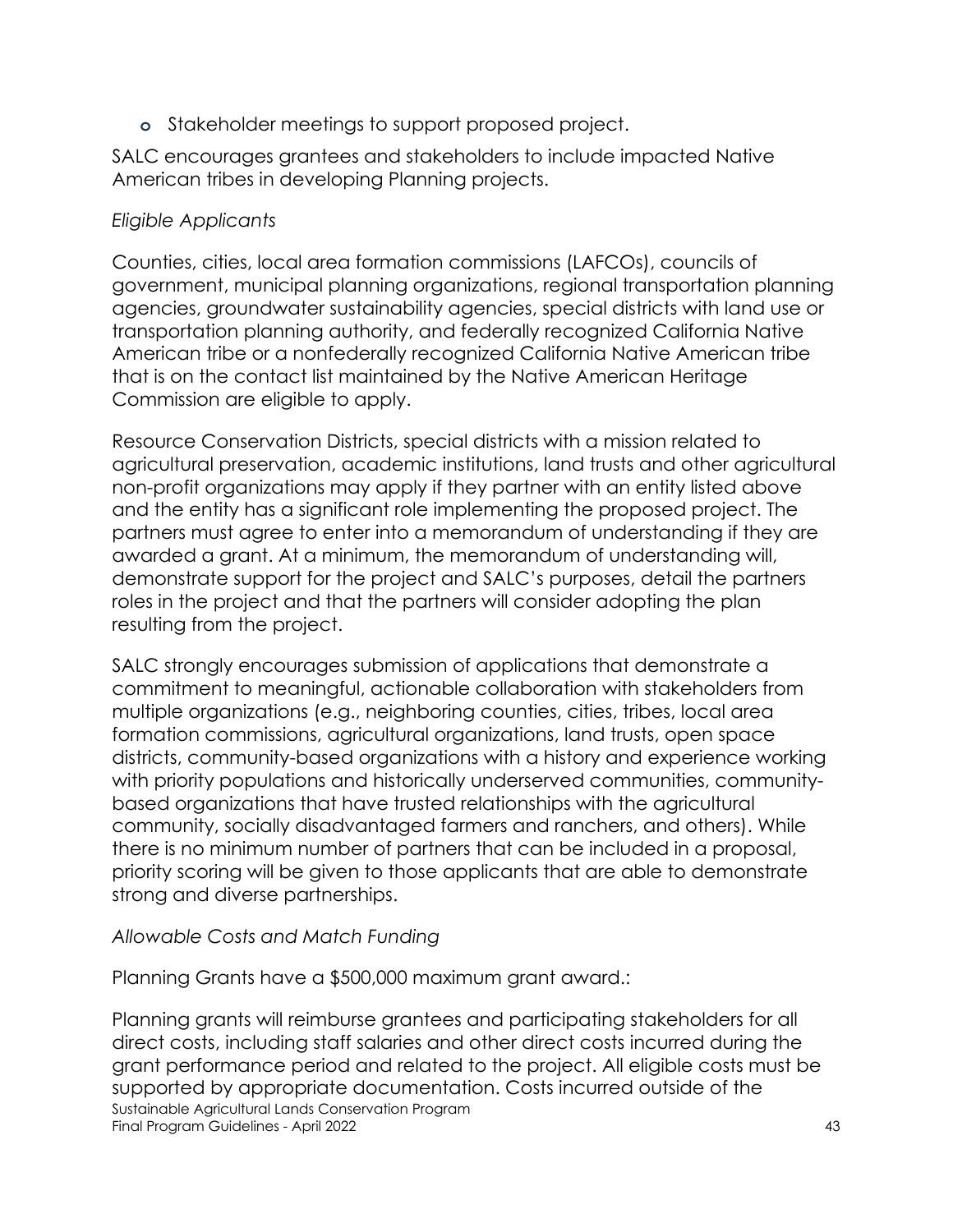**o** Stakeholder meetings to support proposed project.

SALC encourages grantees and stakeholders to include impacted Native American tribes in developing Planning projects.

#### *Eligible Applicants*

Counties, cities, local area formation commissions (LAFCOs), councils of government, municipal planning organizations, regional transportation planning agencies, groundwater sustainability agencies, special districts with land use or transportation planning authority, and federally recognized California Native American tribe or a nonfederally recognized California Native American tribe that is on the contact list maintained by the Native American Heritage Commission are eligible to apply.

Resource Conservation Districts, special districts with a mission related to agricultural preservation, academic institutions, land trusts and other agricultural non-profit organizations may apply if they partner with an entity listed above and the entity has a significant role implementing the proposed project. The partners must agree to enter into a memorandum of understanding if they are awarded a grant. At a minimum, the memorandum of understanding will, demonstrate support for the project and SALC's purposes, detail the partners roles in the project and that the partners will consider adopting the plan resulting from the project.

SALC strongly encourages submission of applications that demonstrate a commitment to meaningful, actionable collaboration with stakeholders from multiple organizations (e.g., neighboring counties, cities, tribes, local area formation commissions, agricultural organizations, land trusts, open space districts, community-based organizations with a history and experience working with priority populations and historically underserved communities, communitybased organizations that have trusted relationships with the agricultural community, socially disadvantaged farmers and ranchers, and others). While there is no minimum number of partners that can be included in a proposal, priority scoring will be given to those applicants that are able to demonstrate strong and diverse partnerships.

# *Allowable Costs and Match Funding*

Planning Grants have a \$500,000 maximum grant award.:

Sustainable Agricultural Lands Conservation Program Final Program Guidelines - April 2022 43 Planning grants will reimburse grantees and participating stakeholders for all direct costs, including staff salaries and other direct costs incurred during the grant performance period and related to the project. All eligible costs must be supported by appropriate documentation. Costs incurred outside of the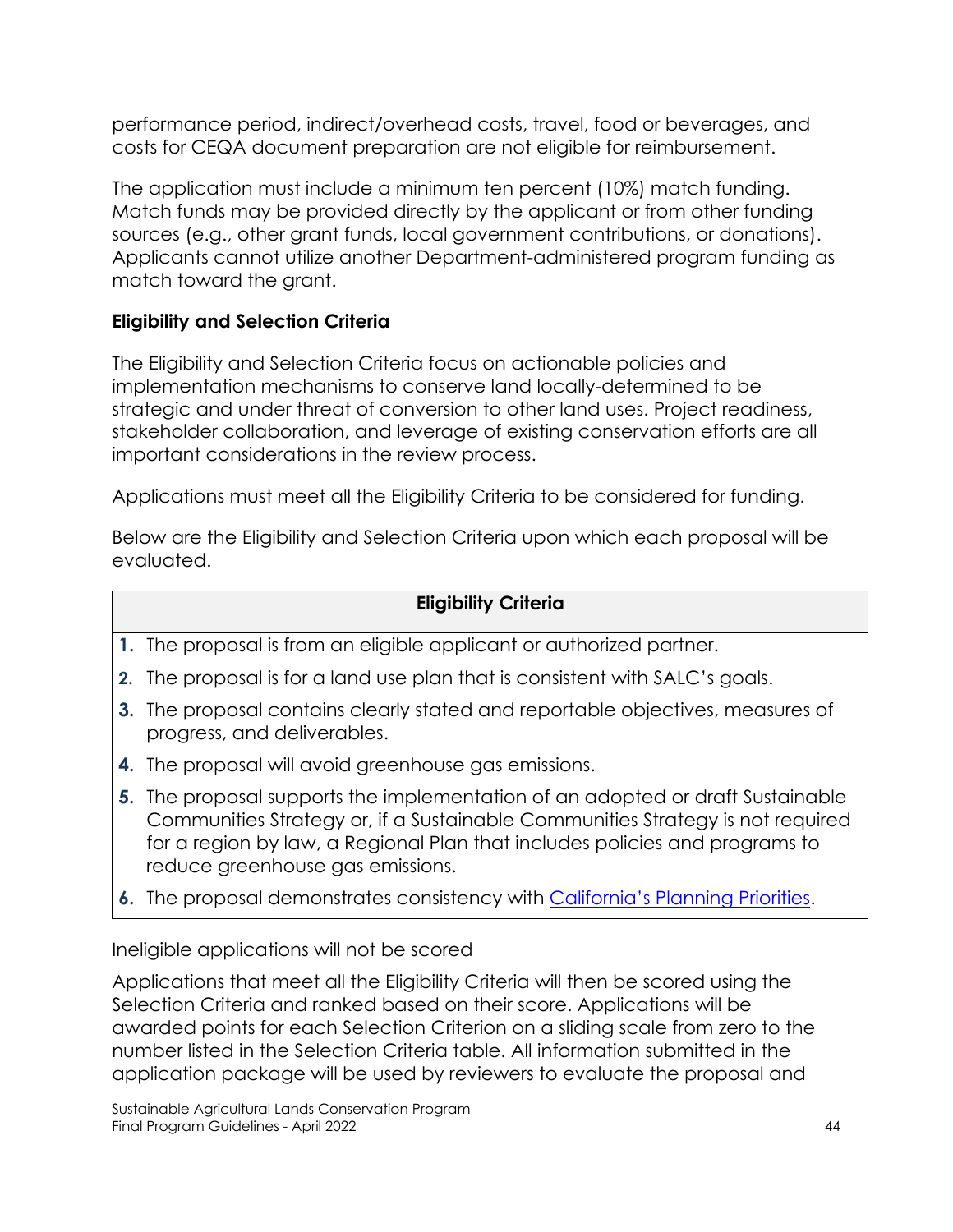performance period, indirect/overhead costs, travel, food or beverages, and costs for CEQA document preparation are not eligible for reimbursement.

The application must include a minimum ten percent (10%) match funding. Match funds may be provided directly by the applicant or from other funding sources (e.g., other grant funds, local government contributions, or donations). Applicants cannot utilize another Department-administered program funding as match toward the grant.

# **Eligibility and Selection Criteria**

The Eligibility and Selection Criteria focus on actionable policies and implementation mechanisms to conserve land locally-determined to be strategic and under threat of conversion to other land uses. Project readiness, stakeholder collaboration, and leverage of existing conservation efforts are all important considerations in the review process.

Applications must meet all the Eligibility Criteria to be considered for funding.

Below are the Eligibility and Selection Criteria upon which each proposal will be evaluated.

# **Eligibility Criteria**

- **1.** The proposal is from an eligible applicant or authorized partner.
- **2.** The proposal is for a land use plan that is consistent with SALC's goals.
- **3.** The proposal contains clearly stated and reportable objectives, measures of progress, and deliverables.
- **4.** The proposal will avoid greenhouse gas emissions.
- **5.** The proposal supports the implementation of an adopted or draft Sustainable Communities Strategy or, if a Sustainable Communities Strategy is not required for a region by law, a Regional Plan that includes policies and programs to reduce greenhouse gas emissions.
- **6.** The proposal demonstrates consistency with [California's Planning Priorities.](https://leginfo.legislature.ca.gov/faces/codes_displaySection.xhtml?lawCode=GOV§ionNum=65041.1)

Ineligible applications will not be scored

Applications that meet all the Eligibility Criteria will then be scored using the Selection Criteria and ranked based on their score. Applications will be awarded points for each Selection Criterion on a sliding scale from zero to the number listed in the Selection Criteria table. All information submitted in the application package will be used by reviewers to evaluate the proposal and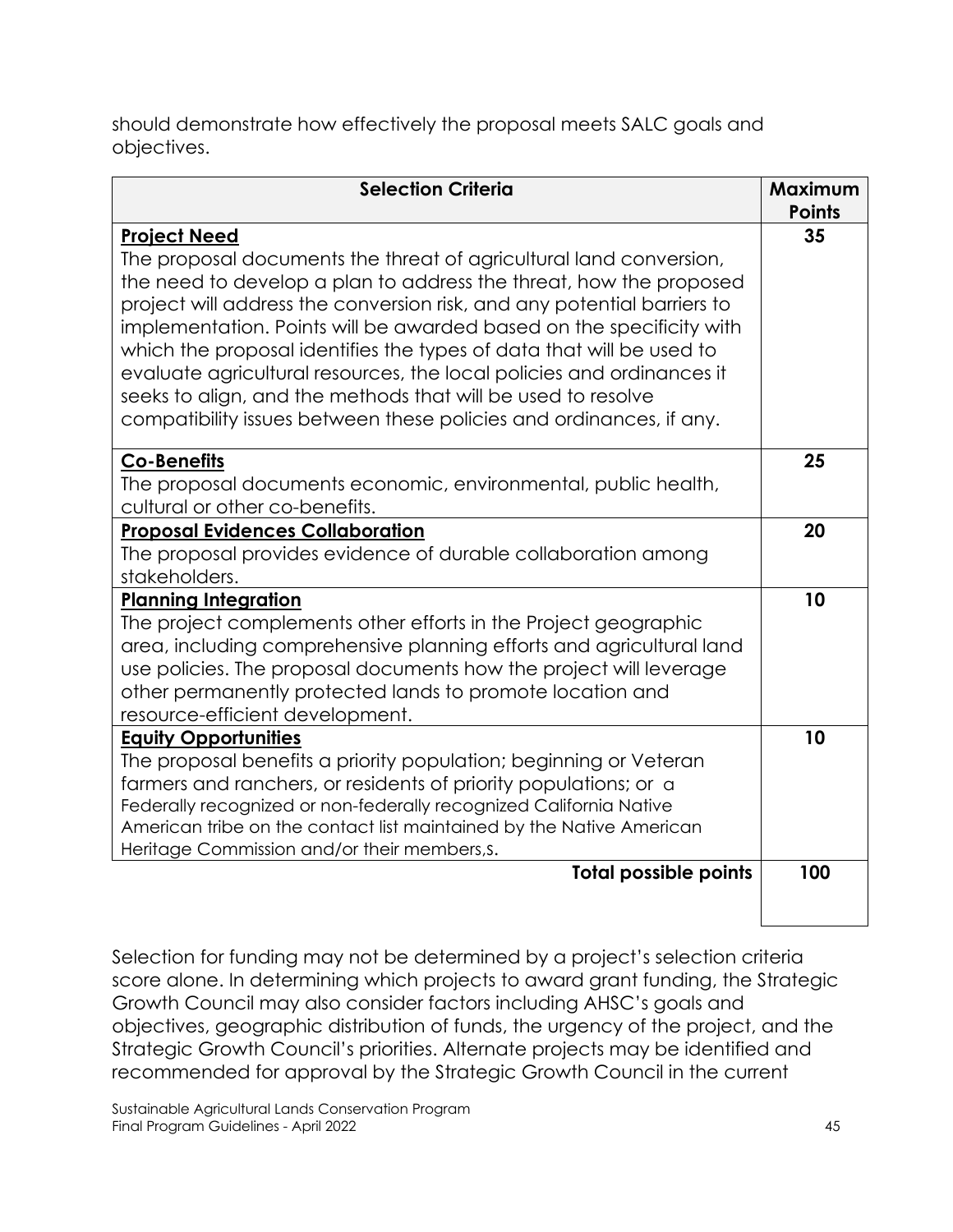should demonstrate how effectively the proposal meets SALC goals and objectives.

| <b>Selection Criteria</b>                                                                                                                                                                                                                                                                                                                                                                                                                                                                                                                                                                                  | Maximum<br><b>Points</b> |
|------------------------------------------------------------------------------------------------------------------------------------------------------------------------------------------------------------------------------------------------------------------------------------------------------------------------------------------------------------------------------------------------------------------------------------------------------------------------------------------------------------------------------------------------------------------------------------------------------------|--------------------------|
| <b>Project Need</b><br>The proposal documents the threat of agricultural land conversion,<br>the need to develop a plan to address the threat, how the proposed<br>project will address the conversion risk, and any potential barriers to<br>implementation. Points will be awarded based on the specificity with<br>which the proposal identifies the types of data that will be used to<br>evaluate agricultural resources, the local policies and ordinances it<br>seeks to align, and the methods that will be used to resolve<br>compatibility issues between these policies and ordinances, if any. | 35                       |
| <b>Co-Benefits</b><br>The proposal documents economic, environmental, public health,<br>cultural or other co-benefits.                                                                                                                                                                                                                                                                                                                                                                                                                                                                                     | 25                       |
| <b>Proposal Evidences Collaboration</b><br>The proposal provides evidence of durable collaboration among<br>stakeholders.                                                                                                                                                                                                                                                                                                                                                                                                                                                                                  | 20                       |
| <b>Planning Integration</b><br>The project complements other efforts in the Project geographic<br>area, including comprehensive planning efforts and agricultural land<br>use policies. The proposal documents how the project will leverage<br>other permanently protected lands to promote location and<br>resource-efficient development.                                                                                                                                                                                                                                                               | 10                       |
| <b>Equity Opportunities</b><br>The proposal benefits a priority population; beginning or Veteran<br>farmers and ranchers, or residents of priority populations; or a<br>Federally recognized or non-federally recognized California Native<br>American tribe on the contact list maintained by the Native American<br>Heritage Commission and/or their members, s.                                                                                                                                                                                                                                         | 10                       |
| <b>Total possible points</b>                                                                                                                                                                                                                                                                                                                                                                                                                                                                                                                                                                               | 100                      |

Selection for funding may not be determined by a project's selection criteria score alone. In determining which projects to award grant funding, the Strategic Growth Council may also consider factors including AHSC's goals and objectives, geographic distribution of funds, the urgency of the project, and the Strategic Growth Council's priorities. Alternate projects may be identified and recommended for approval by the Strategic Growth Council in the current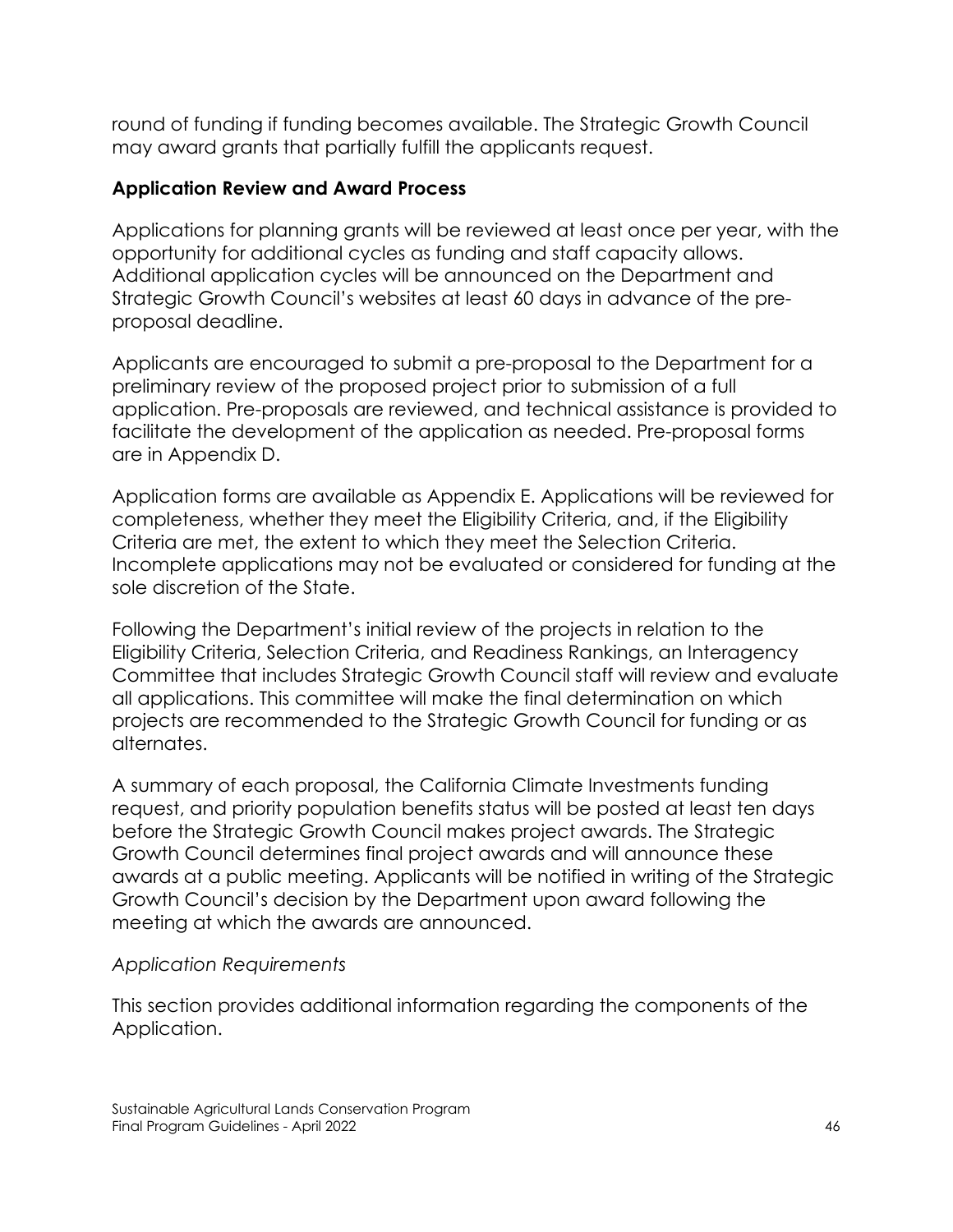round of funding if funding becomes available. The Strategic Growth Council may award grants that partially fulfill the applicants request.

## **Application Review and Award Process**

Applications for planning grants will be reviewed at least once per year, with the opportunity for additional cycles as funding and staff capacity allows. Additional application cycles will be announced on the Department and Strategic Growth Council's websites at least 60 days in advance of the preproposal deadline.

Applicants are encouraged to submit a pre-proposal to the Department for a preliminary review of the proposed project prior to submission of a full application. Pre-proposals are reviewed, and technical assistance is provided to facilitate the development of the application as needed. Pre-proposal forms are in Appendix D.

Application forms are available as Appendix E. Applications will be reviewed for completeness, whether they meet the Eligibility Criteria, and, if the Eligibility Criteria are met, the extent to which they meet the Selection Criteria. Incomplete applications may not be evaluated or considered for funding at the sole discretion of the State.

Following the Department's initial review of the projects in relation to the Eligibility Criteria, Selection Criteria, and Readiness Rankings, an Interagency Committee that includes Strategic Growth Council staff will review and evaluate all applications. This committee will make the final determination on which projects are recommended to the Strategic Growth Council for funding or as alternates.

A summary of each proposal, the California Climate Investments funding request, and priority population benefits status will be posted at least ten days before the Strategic Growth Council makes project awards. The Strategic Growth Council determines final project awards and will announce these awards at a public meeting. Applicants will be notified in writing of the Strategic Growth Council's decision by the Department upon award following the meeting at which the awards are announced.

#### *Application Requirements*

This section provides additional information regarding the components of the Application.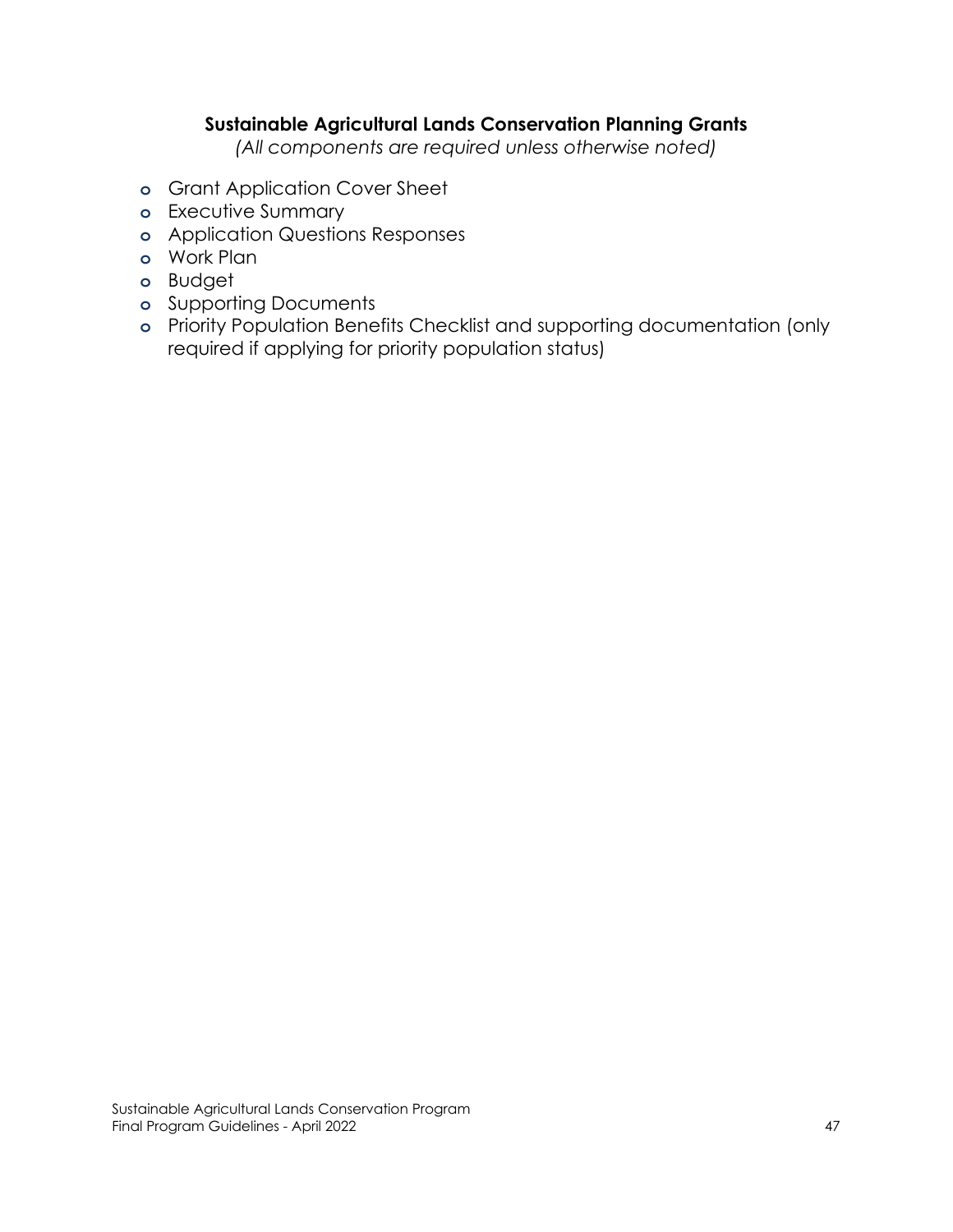#### **Sustainable Agricultural Lands Conservation Planning Grants**

*(All components are required unless otherwise noted)*

- **o** Grant Application Cover Sheet
- **o** Executive Summary
- **o** Application Questions Responses
- **o** Work Plan
- **o** Budget
- **o** Supporting Documents
- **o** Priority Population Benefits Checklist and supporting documentation (only required if applying for priority population status)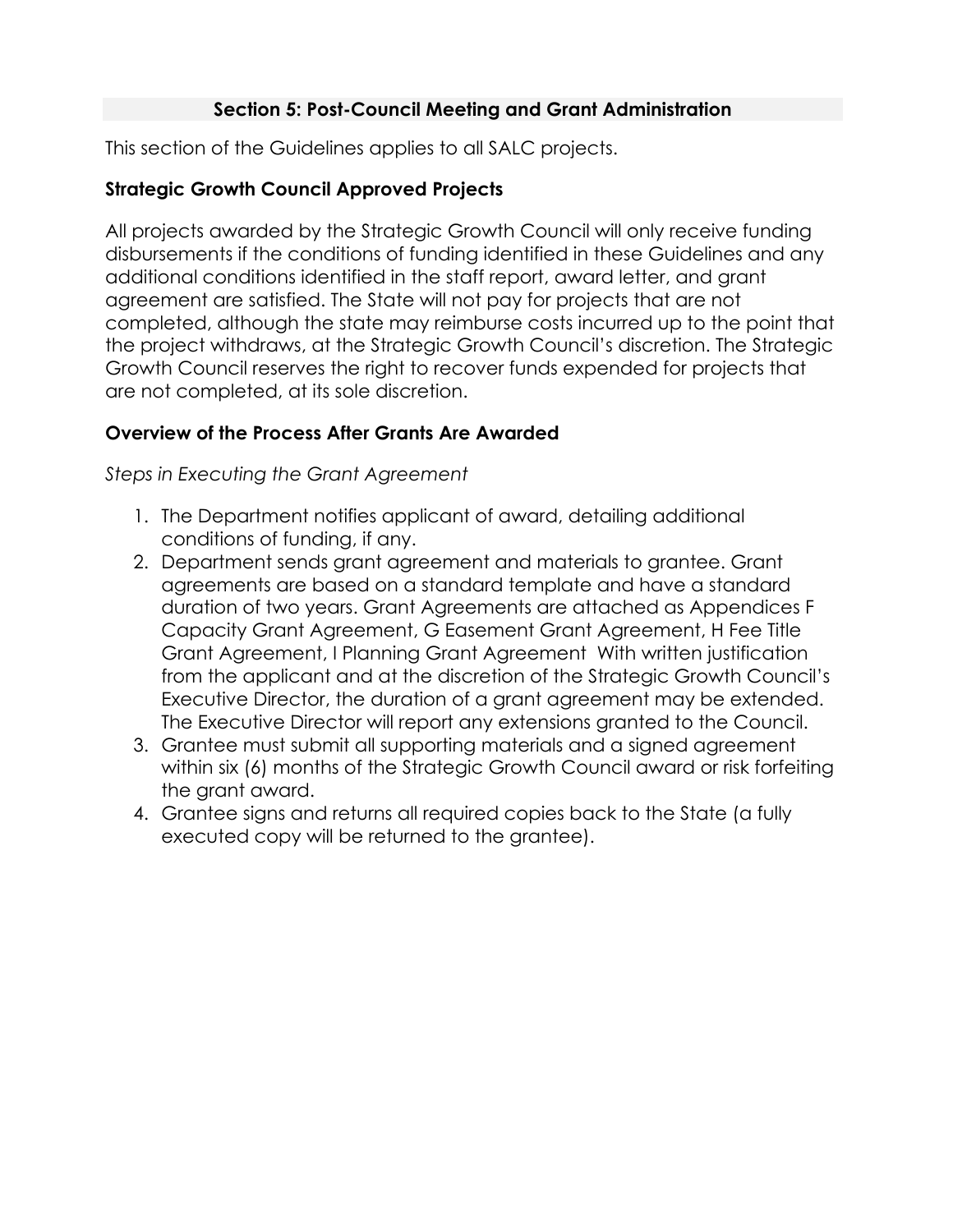## **Section 5: Post-Council Meeting and Grant Administration**

This section of the Guidelines applies to all SALC projects.

## **Strategic Growth Council Approved Projects**

All projects awarded by the Strategic Growth Council will only receive funding disbursements if the conditions of funding identified in these Guidelines and any additional conditions identified in the staff report, award letter, and grant agreement are satisfied. The State will not pay for projects that are not completed, although the state may reimburse costs incurred up to the point that the project withdraws, at the Strategic Growth Council's discretion. The Strategic Growth Council reserves the right to recover funds expended for projects that are not completed, at its sole discretion.

# **Overview of the Process After Grants Are Awarded**

*Steps in Executing the Grant Agreement*

- 1. The Department notifies applicant of award, detailing additional conditions of funding, if any.
- 2. Department sends grant agreement and materials to grantee. Grant agreements are based on a standard template and have a standard duration of two years. Grant Agreements are attached as Appendices F Capacity Grant Agreement, G Easement Grant Agreement, H Fee Title Grant Agreement, I Planning Grant Agreement With written justification from the applicant and at the discretion of the Strategic Growth Council's Executive Director, the duration of a grant agreement may be extended. The Executive Director will report any extensions granted to the Council.
- 3. Grantee must submit all supporting materials and a signed agreement within six (6) months of the Strategic Growth Council award or risk forfeiting the grant award.
- 4. Grantee signs and returns all required copies back to the State (a fully executed copy will be returned to the grantee).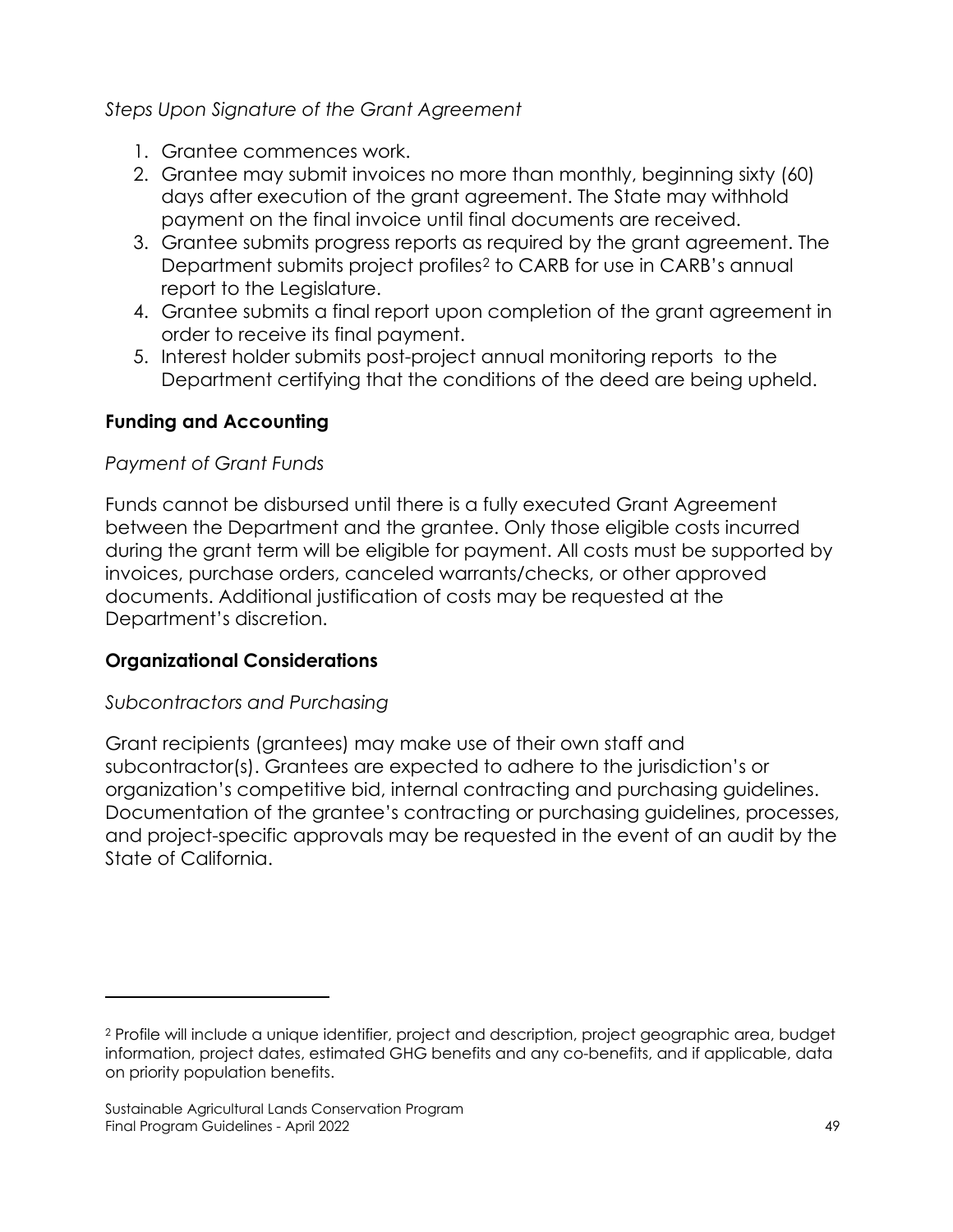*Steps Upon Signature of the Grant Agreement*

- 1. Grantee commences work.
- 2. Grantee may submit invoices no more than monthly, beginning sixty (60) days after execution of the grant agreement. The State may withhold payment on the final invoice until final documents are received.
- 3. Grantee submits progress reports as required by the grant agreement. The Department submits project profiles[2](#page-49-0) to CARB for use in CARB's annual report to the Legislature.
- 4. Grantee submits a final report upon completion of the grant agreement in order to receive its final payment.
- 5. Interest holder submits post-project annual monitoring reports to the Department certifying that the conditions of the deed are being upheld.

# **Funding and Accounting**

# *Payment of Grant Funds*

Funds cannot be disbursed until there is a fully executed Grant Agreement between the Department and the grantee. Only those eligible costs incurred during the grant term will be eligible for payment. All costs must be supported by invoices, purchase orders, canceled warrants/checks, or other approved documents. Additional justification of costs may be requested at the Department's discretion.

# **Organizational Considerations**

# *Subcontractors and Purchasing*

Grant recipients (grantees) may make use of their own staff and subcontractor(s). Grantees are expected to adhere to the jurisdiction's or organization's competitive bid, internal contracting and purchasing guidelines. Documentation of the grantee's contracting or purchasing guidelines, processes, and project-specific approvals may be requested in the event of an audit by the State of California.

<span id="page-49-0"></span><sup>2</sup> Profile will include a unique identifier, project and description, project geographic area, budget information, project dates, estimated GHG benefits and any co-benefits, and if applicable, data on priority population benefits.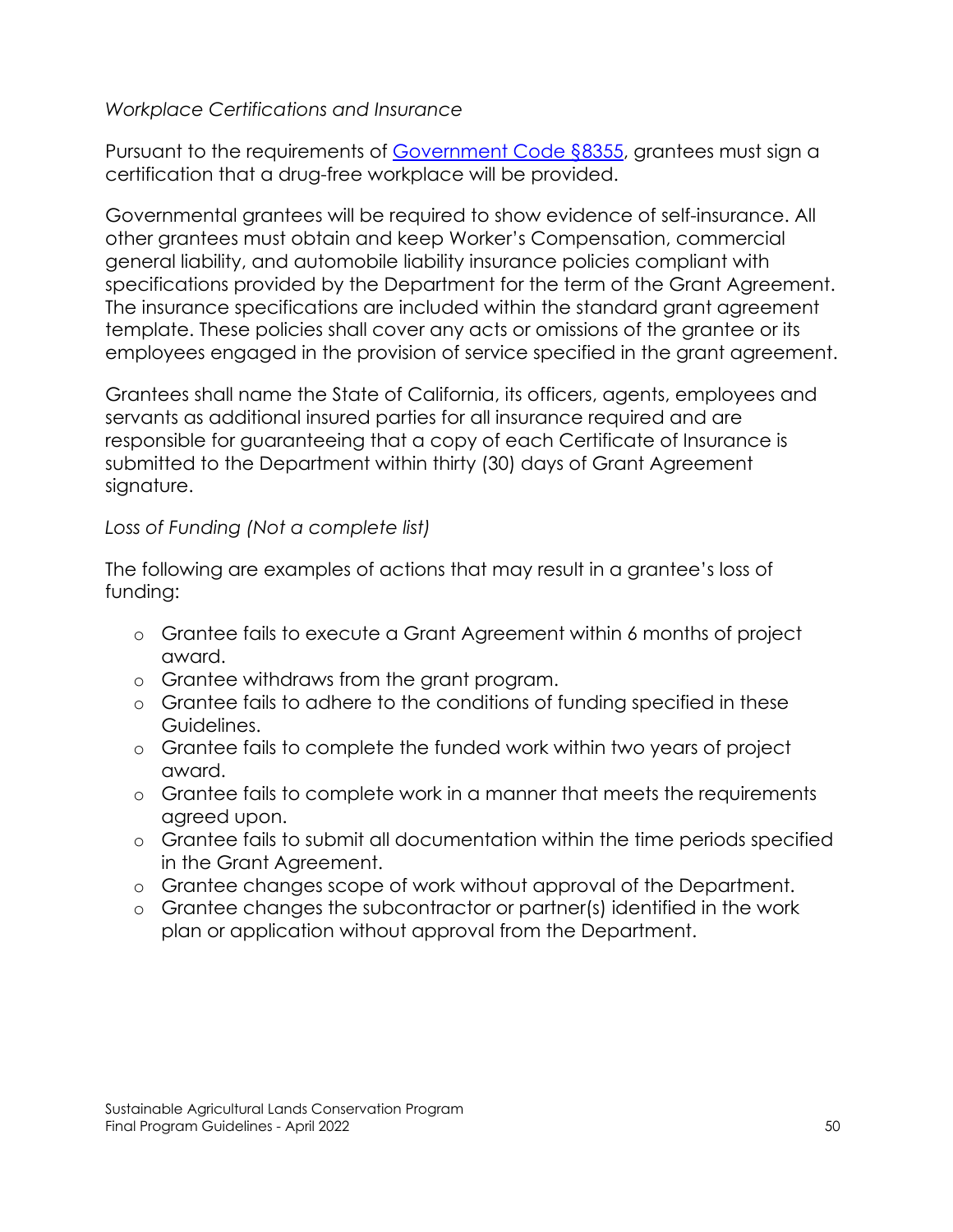#### *Workplace Certifications and Insurance*

Pursuant to the requirements of [Government Code §8355,](https://leginfo.legislature.ca.gov/faces/codes_displaySection.xhtml?lawCode=GOV§ionNum=8355.) grantees must sign a certification that a drug-free workplace will be provided.

Governmental grantees will be required to show evidence of self-insurance. All other grantees must obtain and keep Worker's Compensation, commercial general liability, and automobile liability insurance policies compliant with specifications provided by the Department for the term of the Grant Agreement. The insurance specifications are included within the standard grant agreement template. These policies shall cover any acts or omissions of the grantee or its employees engaged in the provision of service specified in the grant agreement.

Grantees shall name the State of California, its officers, agents, employees and servants as additional insured parties for all insurance required and are responsible for guaranteeing that a copy of each Certificate of Insurance is submitted to the Department within thirty (30) days of Grant Agreement signature.

## *Loss of Funding (Not a complete list)*

The following are examples of actions that may result in a grantee's loss of funding:

- o Grantee fails to execute a Grant Agreement within 6 months of project award.
- o Grantee withdraws from the grant program.
- o Grantee fails to adhere to the conditions of funding specified in these Guidelines.
- o Grantee fails to complete the funded work within two years of project award.
- o Grantee fails to complete work in a manner that meets the requirements agreed upon.
- o Grantee fails to submit all documentation within the time periods specified in the Grant Agreement.
- o Grantee changes scope of work without approval of the Department.
- o Grantee changes the subcontractor or partner(s) identified in the work plan or application without approval from the Department.